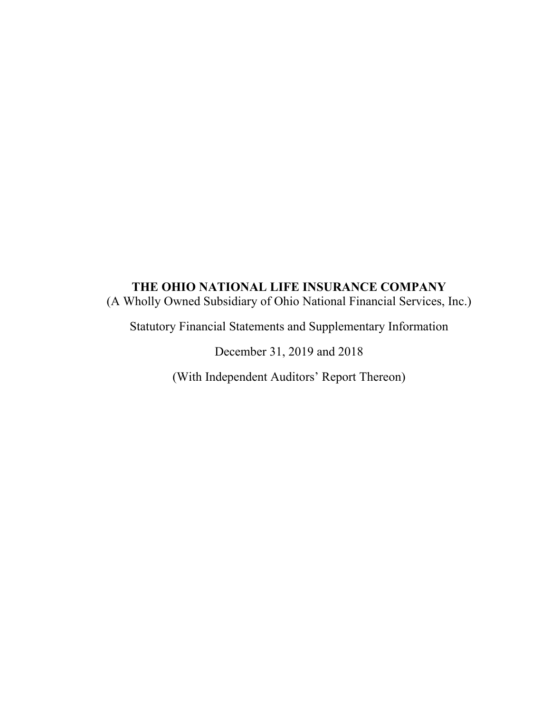# **THE OHIO NATIONAL LIFE INSURANCE COMPANY**  (A Wholly Owned Subsidiary of Ohio National Financial Services, Inc.)

Statutory Financial Statements and Supplementary Information

December 31, 2019 and 2018

(With Independent Auditors' Report Thereon)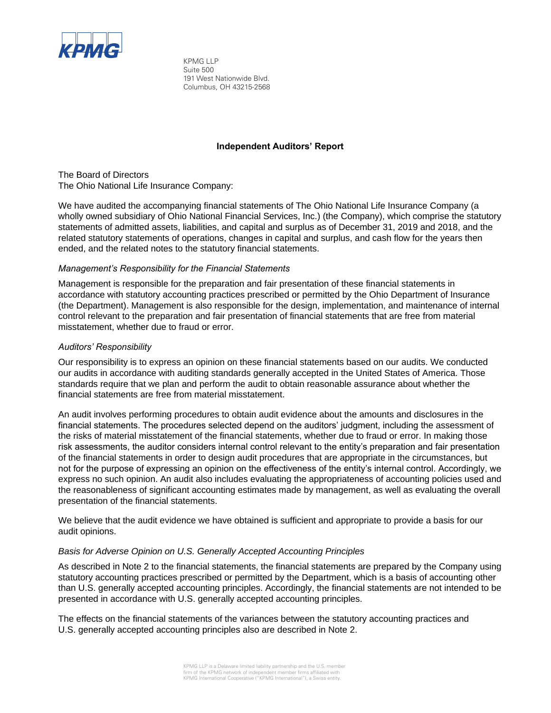

KPMG LLP Suite 500 191 West Nationwide Blvd. Columbus, OH 43215-2568

### **Independent Auditors' Report**

The Board of Directors The Ohio National Life Insurance Company:

We have audited the accompanying financial statements of The Ohio National Life Insurance Company (a wholly owned subsidiary of Ohio National Financial Services, Inc.) (the Company), which comprise the statutory statements of admitted assets, liabilities, and capital and surplus as of December 31, 2019 and 2018, and the related statutory statements of operations, changes in capital and surplus, and cash flow for the years then ended, and the related notes to the statutory financial statements.

#### *Management's Responsibility for the Financial Statements*

Management is responsible for the preparation and fair presentation of these financial statements in accordance with statutory accounting practices prescribed or permitted by the Ohio Department of Insurance (the Department). Management is also responsible for the design, implementation, and maintenance of internal control relevant to the preparation and fair presentation of financial statements that are free from material misstatement, whether due to fraud or error.

### *Auditors' Responsibility*

Our responsibility is to express an opinion on these financial statements based on our audits. We conducted our audits in accordance with auditing standards generally accepted in the United States of America. Those standards require that we plan and perform the audit to obtain reasonable assurance about whether the financial statements are free from material misstatement.

An audit involves performing procedures to obtain audit evidence about the amounts and disclosures in the financial statements. The procedures selected depend on the auditors' judgment, including the assessment of the risks of material misstatement of the financial statements, whether due to fraud or error. In making those risk assessments, the auditor considers internal control relevant to the entity's preparation and fair presentation of the financial statements in order to design audit procedures that are appropriate in the circumstances, but not for the purpose of expressing an opinion on the effectiveness of the entity's internal control. Accordingly, we express no such opinion. An audit also includes evaluating the appropriateness of accounting policies used and the reasonableness of significant accounting estimates made by management, as well as evaluating the overall presentation of the financial statements.

We believe that the audit evidence we have obtained is sufficient and appropriate to provide a basis for our audit opinions.

#### *Basis for Adverse Opinion on U.S. Generally Accepted Accounting Principles*

As described in Note 2 to the financial statements, the financial statements are prepared by the Company using statutory accounting practices prescribed or permitted by the Department, which is a basis of accounting other than U.S. generally accepted accounting principles. Accordingly, the financial statements are not intended to be presented in accordance with U.S. generally accepted accounting principles.

The effects on the financial statements of the variances between the statutory accounting practices and U.S. generally accepted accounting principles also are described in Note 2.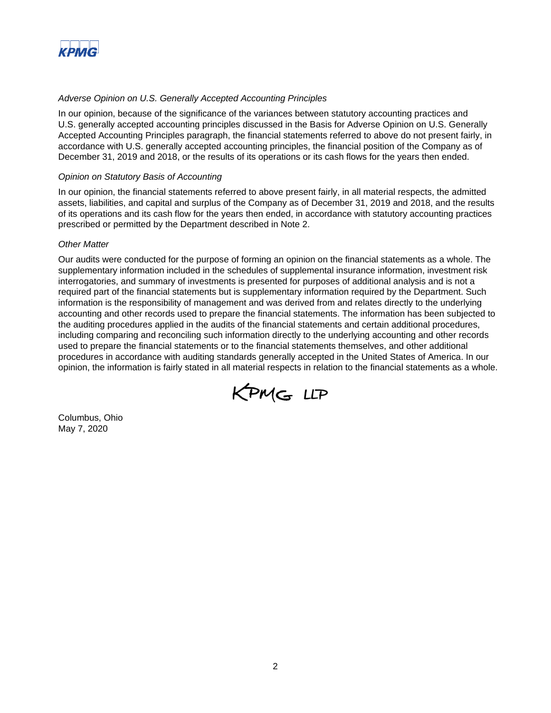

### *Adverse Opinion on U.S. Generally Accepted Accounting Principles*

In our opinion, because of the significance of the variances between statutory accounting practices and U.S. generally accepted accounting principles discussed in the Basis for Adverse Opinion on U.S. Generally Accepted Accounting Principles paragraph, the financial statements referred to above do not present fairly, in accordance with U.S. generally accepted accounting principles, the financial position of the Company as of December 31, 2019 and 2018, or the results of its operations or its cash flows for the years then ended.

#### *Opinion on Statutory Basis of Accounting*

In our opinion, the financial statements referred to above present fairly, in all material respects, the admitted assets, liabilities, and capital and surplus of the Company as of December 31, 2019 and 2018, and the results of its operations and its cash flow for the years then ended, in accordance with statutory accounting practices prescribed or permitted by the Department described in Note 2.

#### *Other Matter*

Our audits were conducted for the purpose of forming an opinion on the financial statements as a whole. The supplementary information included in the schedules of supplemental insurance information, investment risk interrogatories, and summary of investments is presented for purposes of additional analysis and is not a required part of the financial statements but is supplementary information required by the Department. Such information is the responsibility of management and was derived from and relates directly to the underlying accounting and other records used to prepare the financial statements. The information has been subjected to the auditing procedures applied in the audits of the financial statements and certain additional procedures, including comparing and reconciling such information directly to the underlying accounting and other records used to prepare the financial statements or to the financial statements themselves, and other additional procedures in accordance with auditing standards generally accepted in the United States of America. In our opinion, the information is fairly stated in all material respects in relation to the financial statements as a whole.



Columbus, Ohio May 7, 2020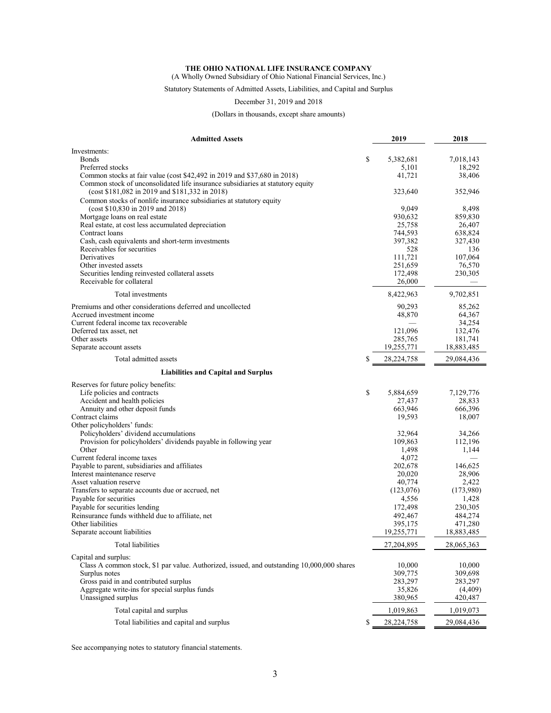(A Wholly Owned Subsidiary of Ohio National Financial Services, Inc.)

### Statutory Statements of Admitted Assets, Liabilities, and Capital and Surplus

December 31, 2019 and 2018

(Dollars in thousands, except share amounts)

| Investments:<br>\$<br>5,382,681<br><b>Bonds</b><br>7,018,143<br>Preferred stocks<br>5,101<br>18,292<br>41,721<br>Common stocks at fair value (cost \$42,492 in 2019 and \$37,680 in 2018)<br>38,406<br>Common stock of unconsolidated life insurance subsidiaries at statutory equity<br>(cost \$181,082 in 2019 and \$181,332 in 2018)<br>323,640<br>352,946<br>Common stocks of nonlife insurance subsidiaries at statutory equity<br>(cost $$10,830$ in 2019 and 2018)<br>9,049<br>8,498<br>930,632<br>Mortgage loans on real estate<br>859,830<br>Real estate, at cost less accumulated depreciation<br>25,758<br>26,407<br>Contract loans<br>744,593<br>638,824<br>Cash, cash equivalents and short-term investments<br>397,382<br>327,430<br>Receivables for securities<br>528<br>136<br>Derivatives<br>111.721<br>107,064<br>Other invested assets<br>251,659<br>76,570<br>Securities lending reinvested collateral assets<br>172,498<br>230,305<br>Receivable for collateral<br>26,000<br>Total investments<br>8,422,963<br>9,702,851<br>Premiums and other considerations deferred and uncollected<br>90,293<br>85,262<br>Accrued investment income<br>48,870<br>64,367<br>Current federal income tax recoverable<br>34,254<br>Deferred tax asset, net<br>121,096<br>132,476<br>Other assets<br>285,765<br>181,741<br>Separate account assets<br>19,255,771<br>18,883,485<br>Total admitted assets<br>\$<br>28,224,758<br>29,084,436<br><b>Liabilities and Capital and Surplus</b><br>Reserves for future policy benefits:<br>\$<br>Life policies and contracts<br>5,884,659<br>7,129,776<br>Accident and health policies<br>27,437<br>28,833<br>663,946<br>Annuity and other deposit funds<br>666,396<br>Contract claims<br>19,593<br>18,007<br>Other policyholders' funds:<br>Policyholders' dividend accumulations<br>32,964<br>34,266<br>109,863<br>Provision for policyholders' dividends payable in following year<br>112,196<br>Other<br>1,498<br>1,144<br>Current federal income taxes<br>4,072<br>Payable to parent, subsidiaries and affiliates<br>202,678<br>146,625<br>Interest maintenance reserve<br>20,020<br>28,906<br>Asset valuation reserve<br>40,774<br>2,422<br>Transfers to separate accounts due or accrued, net<br>(123,076)<br>(173,980)<br>Payable for securities<br>4,556<br>1,428<br>Payable for securities lending<br>172,498<br>230,305<br>Reinsurance funds withheld due to affiliate, net<br>492,467<br>484,274<br>Other liabilities<br>395,175<br>471,280<br>Separate account liabilities<br>19,255,771<br>18,883,485<br>Total liabilities<br>27,204,895<br>28,065,363<br>Capital and surplus:<br>Class A common stock, \$1 par value. Authorized, issued, and outstanding 10,000,000 shares<br>10,000<br>10,000<br>Surplus notes<br>309,775<br>309,698<br>Gross paid in and contributed surplus<br>283,297<br>283,297<br>Aggregate write-ins for special surplus funds<br>35,826<br>(4, 409)<br>Unassigned surplus<br>380,965<br>420,487<br>1,019,863<br>Total capital and surplus<br>1,019,073<br>Total liabilities and capital and surplus<br>28,224,758<br>29,084,436<br>\$ | <b>Admitted Assets</b> | 2019 | 2018 |
|---------------------------------------------------------------------------------------------------------------------------------------------------------------------------------------------------------------------------------------------------------------------------------------------------------------------------------------------------------------------------------------------------------------------------------------------------------------------------------------------------------------------------------------------------------------------------------------------------------------------------------------------------------------------------------------------------------------------------------------------------------------------------------------------------------------------------------------------------------------------------------------------------------------------------------------------------------------------------------------------------------------------------------------------------------------------------------------------------------------------------------------------------------------------------------------------------------------------------------------------------------------------------------------------------------------------------------------------------------------------------------------------------------------------------------------------------------------------------------------------------------------------------------------------------------------------------------------------------------------------------------------------------------------------------------------------------------------------------------------------------------------------------------------------------------------------------------------------------------------------------------------------------------------------------------------------------------------------------------------------------------------------------------------------------------------------------------------------------------------------------------------------------------------------------------------------------------------------------------------------------------------------------------------------------------------------------------------------------------------------------------------------------------------------------------------------------------------------------------------------------------------------------------------------------------------------------------------------------------------------------------------------------------------------------------------------------------------------------------------------------------------------------------------------------------------------------------------------------------------------------------------------------------------------------------------------------------------------------------------------------------------------------------------------------------------------------------------------------------------------------|------------------------|------|------|
|                                                                                                                                                                                                                                                                                                                                                                                                                                                                                                                                                                                                                                                                                                                                                                                                                                                                                                                                                                                                                                                                                                                                                                                                                                                                                                                                                                                                                                                                                                                                                                                                                                                                                                                                                                                                                                                                                                                                                                                                                                                                                                                                                                                                                                                                                                                                                                                                                                                                                                                                                                                                                                                                                                                                                                                                                                                                                                                                                                                                                                                                                                                           |                        |      |      |
|                                                                                                                                                                                                                                                                                                                                                                                                                                                                                                                                                                                                                                                                                                                                                                                                                                                                                                                                                                                                                                                                                                                                                                                                                                                                                                                                                                                                                                                                                                                                                                                                                                                                                                                                                                                                                                                                                                                                                                                                                                                                                                                                                                                                                                                                                                                                                                                                                                                                                                                                                                                                                                                                                                                                                                                                                                                                                                                                                                                                                                                                                                                           |                        |      |      |
|                                                                                                                                                                                                                                                                                                                                                                                                                                                                                                                                                                                                                                                                                                                                                                                                                                                                                                                                                                                                                                                                                                                                                                                                                                                                                                                                                                                                                                                                                                                                                                                                                                                                                                                                                                                                                                                                                                                                                                                                                                                                                                                                                                                                                                                                                                                                                                                                                                                                                                                                                                                                                                                                                                                                                                                                                                                                                                                                                                                                                                                                                                                           |                        |      |      |
|                                                                                                                                                                                                                                                                                                                                                                                                                                                                                                                                                                                                                                                                                                                                                                                                                                                                                                                                                                                                                                                                                                                                                                                                                                                                                                                                                                                                                                                                                                                                                                                                                                                                                                                                                                                                                                                                                                                                                                                                                                                                                                                                                                                                                                                                                                                                                                                                                                                                                                                                                                                                                                                                                                                                                                                                                                                                                                                                                                                                                                                                                                                           |                        |      |      |
|                                                                                                                                                                                                                                                                                                                                                                                                                                                                                                                                                                                                                                                                                                                                                                                                                                                                                                                                                                                                                                                                                                                                                                                                                                                                                                                                                                                                                                                                                                                                                                                                                                                                                                                                                                                                                                                                                                                                                                                                                                                                                                                                                                                                                                                                                                                                                                                                                                                                                                                                                                                                                                                                                                                                                                                                                                                                                                                                                                                                                                                                                                                           |                        |      |      |
|                                                                                                                                                                                                                                                                                                                                                                                                                                                                                                                                                                                                                                                                                                                                                                                                                                                                                                                                                                                                                                                                                                                                                                                                                                                                                                                                                                                                                                                                                                                                                                                                                                                                                                                                                                                                                                                                                                                                                                                                                                                                                                                                                                                                                                                                                                                                                                                                                                                                                                                                                                                                                                                                                                                                                                                                                                                                                                                                                                                                                                                                                                                           |                        |      |      |
|                                                                                                                                                                                                                                                                                                                                                                                                                                                                                                                                                                                                                                                                                                                                                                                                                                                                                                                                                                                                                                                                                                                                                                                                                                                                                                                                                                                                                                                                                                                                                                                                                                                                                                                                                                                                                                                                                                                                                                                                                                                                                                                                                                                                                                                                                                                                                                                                                                                                                                                                                                                                                                                                                                                                                                                                                                                                                                                                                                                                                                                                                                                           |                        |      |      |
|                                                                                                                                                                                                                                                                                                                                                                                                                                                                                                                                                                                                                                                                                                                                                                                                                                                                                                                                                                                                                                                                                                                                                                                                                                                                                                                                                                                                                                                                                                                                                                                                                                                                                                                                                                                                                                                                                                                                                                                                                                                                                                                                                                                                                                                                                                                                                                                                                                                                                                                                                                                                                                                                                                                                                                                                                                                                                                                                                                                                                                                                                                                           |                        |      |      |
|                                                                                                                                                                                                                                                                                                                                                                                                                                                                                                                                                                                                                                                                                                                                                                                                                                                                                                                                                                                                                                                                                                                                                                                                                                                                                                                                                                                                                                                                                                                                                                                                                                                                                                                                                                                                                                                                                                                                                                                                                                                                                                                                                                                                                                                                                                                                                                                                                                                                                                                                                                                                                                                                                                                                                                                                                                                                                                                                                                                                                                                                                                                           |                        |      |      |
|                                                                                                                                                                                                                                                                                                                                                                                                                                                                                                                                                                                                                                                                                                                                                                                                                                                                                                                                                                                                                                                                                                                                                                                                                                                                                                                                                                                                                                                                                                                                                                                                                                                                                                                                                                                                                                                                                                                                                                                                                                                                                                                                                                                                                                                                                                                                                                                                                                                                                                                                                                                                                                                                                                                                                                                                                                                                                                                                                                                                                                                                                                                           |                        |      |      |
|                                                                                                                                                                                                                                                                                                                                                                                                                                                                                                                                                                                                                                                                                                                                                                                                                                                                                                                                                                                                                                                                                                                                                                                                                                                                                                                                                                                                                                                                                                                                                                                                                                                                                                                                                                                                                                                                                                                                                                                                                                                                                                                                                                                                                                                                                                                                                                                                                                                                                                                                                                                                                                                                                                                                                                                                                                                                                                                                                                                                                                                                                                                           |                        |      |      |
|                                                                                                                                                                                                                                                                                                                                                                                                                                                                                                                                                                                                                                                                                                                                                                                                                                                                                                                                                                                                                                                                                                                                                                                                                                                                                                                                                                                                                                                                                                                                                                                                                                                                                                                                                                                                                                                                                                                                                                                                                                                                                                                                                                                                                                                                                                                                                                                                                                                                                                                                                                                                                                                                                                                                                                                                                                                                                                                                                                                                                                                                                                                           |                        |      |      |
|                                                                                                                                                                                                                                                                                                                                                                                                                                                                                                                                                                                                                                                                                                                                                                                                                                                                                                                                                                                                                                                                                                                                                                                                                                                                                                                                                                                                                                                                                                                                                                                                                                                                                                                                                                                                                                                                                                                                                                                                                                                                                                                                                                                                                                                                                                                                                                                                                                                                                                                                                                                                                                                                                                                                                                                                                                                                                                                                                                                                                                                                                                                           |                        |      |      |
|                                                                                                                                                                                                                                                                                                                                                                                                                                                                                                                                                                                                                                                                                                                                                                                                                                                                                                                                                                                                                                                                                                                                                                                                                                                                                                                                                                                                                                                                                                                                                                                                                                                                                                                                                                                                                                                                                                                                                                                                                                                                                                                                                                                                                                                                                                                                                                                                                                                                                                                                                                                                                                                                                                                                                                                                                                                                                                                                                                                                                                                                                                                           |                        |      |      |
|                                                                                                                                                                                                                                                                                                                                                                                                                                                                                                                                                                                                                                                                                                                                                                                                                                                                                                                                                                                                                                                                                                                                                                                                                                                                                                                                                                                                                                                                                                                                                                                                                                                                                                                                                                                                                                                                                                                                                                                                                                                                                                                                                                                                                                                                                                                                                                                                                                                                                                                                                                                                                                                                                                                                                                                                                                                                                                                                                                                                                                                                                                                           |                        |      |      |
|                                                                                                                                                                                                                                                                                                                                                                                                                                                                                                                                                                                                                                                                                                                                                                                                                                                                                                                                                                                                                                                                                                                                                                                                                                                                                                                                                                                                                                                                                                                                                                                                                                                                                                                                                                                                                                                                                                                                                                                                                                                                                                                                                                                                                                                                                                                                                                                                                                                                                                                                                                                                                                                                                                                                                                                                                                                                                                                                                                                                                                                                                                                           |                        |      |      |
|                                                                                                                                                                                                                                                                                                                                                                                                                                                                                                                                                                                                                                                                                                                                                                                                                                                                                                                                                                                                                                                                                                                                                                                                                                                                                                                                                                                                                                                                                                                                                                                                                                                                                                                                                                                                                                                                                                                                                                                                                                                                                                                                                                                                                                                                                                                                                                                                                                                                                                                                                                                                                                                                                                                                                                                                                                                                                                                                                                                                                                                                                                                           |                        |      |      |
|                                                                                                                                                                                                                                                                                                                                                                                                                                                                                                                                                                                                                                                                                                                                                                                                                                                                                                                                                                                                                                                                                                                                                                                                                                                                                                                                                                                                                                                                                                                                                                                                                                                                                                                                                                                                                                                                                                                                                                                                                                                                                                                                                                                                                                                                                                                                                                                                                                                                                                                                                                                                                                                                                                                                                                                                                                                                                                                                                                                                                                                                                                                           |                        |      |      |
|                                                                                                                                                                                                                                                                                                                                                                                                                                                                                                                                                                                                                                                                                                                                                                                                                                                                                                                                                                                                                                                                                                                                                                                                                                                                                                                                                                                                                                                                                                                                                                                                                                                                                                                                                                                                                                                                                                                                                                                                                                                                                                                                                                                                                                                                                                                                                                                                                                                                                                                                                                                                                                                                                                                                                                                                                                                                                                                                                                                                                                                                                                                           |                        |      |      |
|                                                                                                                                                                                                                                                                                                                                                                                                                                                                                                                                                                                                                                                                                                                                                                                                                                                                                                                                                                                                                                                                                                                                                                                                                                                                                                                                                                                                                                                                                                                                                                                                                                                                                                                                                                                                                                                                                                                                                                                                                                                                                                                                                                                                                                                                                                                                                                                                                                                                                                                                                                                                                                                                                                                                                                                                                                                                                                                                                                                                                                                                                                                           |                        |      |      |
|                                                                                                                                                                                                                                                                                                                                                                                                                                                                                                                                                                                                                                                                                                                                                                                                                                                                                                                                                                                                                                                                                                                                                                                                                                                                                                                                                                                                                                                                                                                                                                                                                                                                                                                                                                                                                                                                                                                                                                                                                                                                                                                                                                                                                                                                                                                                                                                                                                                                                                                                                                                                                                                                                                                                                                                                                                                                                                                                                                                                                                                                                                                           |                        |      |      |
|                                                                                                                                                                                                                                                                                                                                                                                                                                                                                                                                                                                                                                                                                                                                                                                                                                                                                                                                                                                                                                                                                                                                                                                                                                                                                                                                                                                                                                                                                                                                                                                                                                                                                                                                                                                                                                                                                                                                                                                                                                                                                                                                                                                                                                                                                                                                                                                                                                                                                                                                                                                                                                                                                                                                                                                                                                                                                                                                                                                                                                                                                                                           |                        |      |      |
|                                                                                                                                                                                                                                                                                                                                                                                                                                                                                                                                                                                                                                                                                                                                                                                                                                                                                                                                                                                                                                                                                                                                                                                                                                                                                                                                                                                                                                                                                                                                                                                                                                                                                                                                                                                                                                                                                                                                                                                                                                                                                                                                                                                                                                                                                                                                                                                                                                                                                                                                                                                                                                                                                                                                                                                                                                                                                                                                                                                                                                                                                                                           |                        |      |      |
|                                                                                                                                                                                                                                                                                                                                                                                                                                                                                                                                                                                                                                                                                                                                                                                                                                                                                                                                                                                                                                                                                                                                                                                                                                                                                                                                                                                                                                                                                                                                                                                                                                                                                                                                                                                                                                                                                                                                                                                                                                                                                                                                                                                                                                                                                                                                                                                                                                                                                                                                                                                                                                                                                                                                                                                                                                                                                                                                                                                                                                                                                                                           |                        |      |      |
|                                                                                                                                                                                                                                                                                                                                                                                                                                                                                                                                                                                                                                                                                                                                                                                                                                                                                                                                                                                                                                                                                                                                                                                                                                                                                                                                                                                                                                                                                                                                                                                                                                                                                                                                                                                                                                                                                                                                                                                                                                                                                                                                                                                                                                                                                                                                                                                                                                                                                                                                                                                                                                                                                                                                                                                                                                                                                                                                                                                                                                                                                                                           |                        |      |      |
|                                                                                                                                                                                                                                                                                                                                                                                                                                                                                                                                                                                                                                                                                                                                                                                                                                                                                                                                                                                                                                                                                                                                                                                                                                                                                                                                                                                                                                                                                                                                                                                                                                                                                                                                                                                                                                                                                                                                                                                                                                                                                                                                                                                                                                                                                                                                                                                                                                                                                                                                                                                                                                                                                                                                                                                                                                                                                                                                                                                                                                                                                                                           |                        |      |      |
|                                                                                                                                                                                                                                                                                                                                                                                                                                                                                                                                                                                                                                                                                                                                                                                                                                                                                                                                                                                                                                                                                                                                                                                                                                                                                                                                                                                                                                                                                                                                                                                                                                                                                                                                                                                                                                                                                                                                                                                                                                                                                                                                                                                                                                                                                                                                                                                                                                                                                                                                                                                                                                                                                                                                                                                                                                                                                                                                                                                                                                                                                                                           |                        |      |      |
|                                                                                                                                                                                                                                                                                                                                                                                                                                                                                                                                                                                                                                                                                                                                                                                                                                                                                                                                                                                                                                                                                                                                                                                                                                                                                                                                                                                                                                                                                                                                                                                                                                                                                                                                                                                                                                                                                                                                                                                                                                                                                                                                                                                                                                                                                                                                                                                                                                                                                                                                                                                                                                                                                                                                                                                                                                                                                                                                                                                                                                                                                                                           |                        |      |      |
|                                                                                                                                                                                                                                                                                                                                                                                                                                                                                                                                                                                                                                                                                                                                                                                                                                                                                                                                                                                                                                                                                                                                                                                                                                                                                                                                                                                                                                                                                                                                                                                                                                                                                                                                                                                                                                                                                                                                                                                                                                                                                                                                                                                                                                                                                                                                                                                                                                                                                                                                                                                                                                                                                                                                                                                                                                                                                                                                                                                                                                                                                                                           |                        |      |      |
|                                                                                                                                                                                                                                                                                                                                                                                                                                                                                                                                                                                                                                                                                                                                                                                                                                                                                                                                                                                                                                                                                                                                                                                                                                                                                                                                                                                                                                                                                                                                                                                                                                                                                                                                                                                                                                                                                                                                                                                                                                                                                                                                                                                                                                                                                                                                                                                                                                                                                                                                                                                                                                                                                                                                                                                                                                                                                                                                                                                                                                                                                                                           |                        |      |      |
|                                                                                                                                                                                                                                                                                                                                                                                                                                                                                                                                                                                                                                                                                                                                                                                                                                                                                                                                                                                                                                                                                                                                                                                                                                                                                                                                                                                                                                                                                                                                                                                                                                                                                                                                                                                                                                                                                                                                                                                                                                                                                                                                                                                                                                                                                                                                                                                                                                                                                                                                                                                                                                                                                                                                                                                                                                                                                                                                                                                                                                                                                                                           |                        |      |      |
|                                                                                                                                                                                                                                                                                                                                                                                                                                                                                                                                                                                                                                                                                                                                                                                                                                                                                                                                                                                                                                                                                                                                                                                                                                                                                                                                                                                                                                                                                                                                                                                                                                                                                                                                                                                                                                                                                                                                                                                                                                                                                                                                                                                                                                                                                                                                                                                                                                                                                                                                                                                                                                                                                                                                                                                                                                                                                                                                                                                                                                                                                                                           |                        |      |      |
|                                                                                                                                                                                                                                                                                                                                                                                                                                                                                                                                                                                                                                                                                                                                                                                                                                                                                                                                                                                                                                                                                                                                                                                                                                                                                                                                                                                                                                                                                                                                                                                                                                                                                                                                                                                                                                                                                                                                                                                                                                                                                                                                                                                                                                                                                                                                                                                                                                                                                                                                                                                                                                                                                                                                                                                                                                                                                                                                                                                                                                                                                                                           |                        |      |      |
|                                                                                                                                                                                                                                                                                                                                                                                                                                                                                                                                                                                                                                                                                                                                                                                                                                                                                                                                                                                                                                                                                                                                                                                                                                                                                                                                                                                                                                                                                                                                                                                                                                                                                                                                                                                                                                                                                                                                                                                                                                                                                                                                                                                                                                                                                                                                                                                                                                                                                                                                                                                                                                                                                                                                                                                                                                                                                                                                                                                                                                                                                                                           |                        |      |      |
|                                                                                                                                                                                                                                                                                                                                                                                                                                                                                                                                                                                                                                                                                                                                                                                                                                                                                                                                                                                                                                                                                                                                                                                                                                                                                                                                                                                                                                                                                                                                                                                                                                                                                                                                                                                                                                                                                                                                                                                                                                                                                                                                                                                                                                                                                                                                                                                                                                                                                                                                                                                                                                                                                                                                                                                                                                                                                                                                                                                                                                                                                                                           |                        |      |      |
|                                                                                                                                                                                                                                                                                                                                                                                                                                                                                                                                                                                                                                                                                                                                                                                                                                                                                                                                                                                                                                                                                                                                                                                                                                                                                                                                                                                                                                                                                                                                                                                                                                                                                                                                                                                                                                                                                                                                                                                                                                                                                                                                                                                                                                                                                                                                                                                                                                                                                                                                                                                                                                                                                                                                                                                                                                                                                                                                                                                                                                                                                                                           |                        |      |      |
|                                                                                                                                                                                                                                                                                                                                                                                                                                                                                                                                                                                                                                                                                                                                                                                                                                                                                                                                                                                                                                                                                                                                                                                                                                                                                                                                                                                                                                                                                                                                                                                                                                                                                                                                                                                                                                                                                                                                                                                                                                                                                                                                                                                                                                                                                                                                                                                                                                                                                                                                                                                                                                                                                                                                                                                                                                                                                                                                                                                                                                                                                                                           |                        |      |      |
|                                                                                                                                                                                                                                                                                                                                                                                                                                                                                                                                                                                                                                                                                                                                                                                                                                                                                                                                                                                                                                                                                                                                                                                                                                                                                                                                                                                                                                                                                                                                                                                                                                                                                                                                                                                                                                                                                                                                                                                                                                                                                                                                                                                                                                                                                                                                                                                                                                                                                                                                                                                                                                                                                                                                                                                                                                                                                                                                                                                                                                                                                                                           |                        |      |      |
|                                                                                                                                                                                                                                                                                                                                                                                                                                                                                                                                                                                                                                                                                                                                                                                                                                                                                                                                                                                                                                                                                                                                                                                                                                                                                                                                                                                                                                                                                                                                                                                                                                                                                                                                                                                                                                                                                                                                                                                                                                                                                                                                                                                                                                                                                                                                                                                                                                                                                                                                                                                                                                                                                                                                                                                                                                                                                                                                                                                                                                                                                                                           |                        |      |      |
|                                                                                                                                                                                                                                                                                                                                                                                                                                                                                                                                                                                                                                                                                                                                                                                                                                                                                                                                                                                                                                                                                                                                                                                                                                                                                                                                                                                                                                                                                                                                                                                                                                                                                                                                                                                                                                                                                                                                                                                                                                                                                                                                                                                                                                                                                                                                                                                                                                                                                                                                                                                                                                                                                                                                                                                                                                                                                                                                                                                                                                                                                                                           |                        |      |      |
|                                                                                                                                                                                                                                                                                                                                                                                                                                                                                                                                                                                                                                                                                                                                                                                                                                                                                                                                                                                                                                                                                                                                                                                                                                                                                                                                                                                                                                                                                                                                                                                                                                                                                                                                                                                                                                                                                                                                                                                                                                                                                                                                                                                                                                                                                                                                                                                                                                                                                                                                                                                                                                                                                                                                                                                                                                                                                                                                                                                                                                                                                                                           |                        |      |      |
|                                                                                                                                                                                                                                                                                                                                                                                                                                                                                                                                                                                                                                                                                                                                                                                                                                                                                                                                                                                                                                                                                                                                                                                                                                                                                                                                                                                                                                                                                                                                                                                                                                                                                                                                                                                                                                                                                                                                                                                                                                                                                                                                                                                                                                                                                                                                                                                                                                                                                                                                                                                                                                                                                                                                                                                                                                                                                                                                                                                                                                                                                                                           |                        |      |      |
|                                                                                                                                                                                                                                                                                                                                                                                                                                                                                                                                                                                                                                                                                                                                                                                                                                                                                                                                                                                                                                                                                                                                                                                                                                                                                                                                                                                                                                                                                                                                                                                                                                                                                                                                                                                                                                                                                                                                                                                                                                                                                                                                                                                                                                                                                                                                                                                                                                                                                                                                                                                                                                                                                                                                                                                                                                                                                                                                                                                                                                                                                                                           |                        |      |      |
|                                                                                                                                                                                                                                                                                                                                                                                                                                                                                                                                                                                                                                                                                                                                                                                                                                                                                                                                                                                                                                                                                                                                                                                                                                                                                                                                                                                                                                                                                                                                                                                                                                                                                                                                                                                                                                                                                                                                                                                                                                                                                                                                                                                                                                                                                                                                                                                                                                                                                                                                                                                                                                                                                                                                                                                                                                                                                                                                                                                                                                                                                                                           |                        |      |      |
|                                                                                                                                                                                                                                                                                                                                                                                                                                                                                                                                                                                                                                                                                                                                                                                                                                                                                                                                                                                                                                                                                                                                                                                                                                                                                                                                                                                                                                                                                                                                                                                                                                                                                                                                                                                                                                                                                                                                                                                                                                                                                                                                                                                                                                                                                                                                                                                                                                                                                                                                                                                                                                                                                                                                                                                                                                                                                                                                                                                                                                                                                                                           |                        |      |      |
|                                                                                                                                                                                                                                                                                                                                                                                                                                                                                                                                                                                                                                                                                                                                                                                                                                                                                                                                                                                                                                                                                                                                                                                                                                                                                                                                                                                                                                                                                                                                                                                                                                                                                                                                                                                                                                                                                                                                                                                                                                                                                                                                                                                                                                                                                                                                                                                                                                                                                                                                                                                                                                                                                                                                                                                                                                                                                                                                                                                                                                                                                                                           |                        |      |      |
|                                                                                                                                                                                                                                                                                                                                                                                                                                                                                                                                                                                                                                                                                                                                                                                                                                                                                                                                                                                                                                                                                                                                                                                                                                                                                                                                                                                                                                                                                                                                                                                                                                                                                                                                                                                                                                                                                                                                                                                                                                                                                                                                                                                                                                                                                                                                                                                                                                                                                                                                                                                                                                                                                                                                                                                                                                                                                                                                                                                                                                                                                                                           |                        |      |      |
|                                                                                                                                                                                                                                                                                                                                                                                                                                                                                                                                                                                                                                                                                                                                                                                                                                                                                                                                                                                                                                                                                                                                                                                                                                                                                                                                                                                                                                                                                                                                                                                                                                                                                                                                                                                                                                                                                                                                                                                                                                                                                                                                                                                                                                                                                                                                                                                                                                                                                                                                                                                                                                                                                                                                                                                                                                                                                                                                                                                                                                                                                                                           |                        |      |      |
|                                                                                                                                                                                                                                                                                                                                                                                                                                                                                                                                                                                                                                                                                                                                                                                                                                                                                                                                                                                                                                                                                                                                                                                                                                                                                                                                                                                                                                                                                                                                                                                                                                                                                                                                                                                                                                                                                                                                                                                                                                                                                                                                                                                                                                                                                                                                                                                                                                                                                                                                                                                                                                                                                                                                                                                                                                                                                                                                                                                                                                                                                                                           |                        |      |      |
|                                                                                                                                                                                                                                                                                                                                                                                                                                                                                                                                                                                                                                                                                                                                                                                                                                                                                                                                                                                                                                                                                                                                                                                                                                                                                                                                                                                                                                                                                                                                                                                                                                                                                                                                                                                                                                                                                                                                                                                                                                                                                                                                                                                                                                                                                                                                                                                                                                                                                                                                                                                                                                                                                                                                                                                                                                                                                                                                                                                                                                                                                                                           |                        |      |      |
|                                                                                                                                                                                                                                                                                                                                                                                                                                                                                                                                                                                                                                                                                                                                                                                                                                                                                                                                                                                                                                                                                                                                                                                                                                                                                                                                                                                                                                                                                                                                                                                                                                                                                                                                                                                                                                                                                                                                                                                                                                                                                                                                                                                                                                                                                                                                                                                                                                                                                                                                                                                                                                                                                                                                                                                                                                                                                                                                                                                                                                                                                                                           |                        |      |      |
|                                                                                                                                                                                                                                                                                                                                                                                                                                                                                                                                                                                                                                                                                                                                                                                                                                                                                                                                                                                                                                                                                                                                                                                                                                                                                                                                                                                                                                                                                                                                                                                                                                                                                                                                                                                                                                                                                                                                                                                                                                                                                                                                                                                                                                                                                                                                                                                                                                                                                                                                                                                                                                                                                                                                                                                                                                                                                                                                                                                                                                                                                                                           |                        |      |      |
|                                                                                                                                                                                                                                                                                                                                                                                                                                                                                                                                                                                                                                                                                                                                                                                                                                                                                                                                                                                                                                                                                                                                                                                                                                                                                                                                                                                                                                                                                                                                                                                                                                                                                                                                                                                                                                                                                                                                                                                                                                                                                                                                                                                                                                                                                                                                                                                                                                                                                                                                                                                                                                                                                                                                                                                                                                                                                                                                                                                                                                                                                                                           |                        |      |      |
|                                                                                                                                                                                                                                                                                                                                                                                                                                                                                                                                                                                                                                                                                                                                                                                                                                                                                                                                                                                                                                                                                                                                                                                                                                                                                                                                                                                                                                                                                                                                                                                                                                                                                                                                                                                                                                                                                                                                                                                                                                                                                                                                                                                                                                                                                                                                                                                                                                                                                                                                                                                                                                                                                                                                                                                                                                                                                                                                                                                                                                                                                                                           |                        |      |      |
|                                                                                                                                                                                                                                                                                                                                                                                                                                                                                                                                                                                                                                                                                                                                                                                                                                                                                                                                                                                                                                                                                                                                                                                                                                                                                                                                                                                                                                                                                                                                                                                                                                                                                                                                                                                                                                                                                                                                                                                                                                                                                                                                                                                                                                                                                                                                                                                                                                                                                                                                                                                                                                                                                                                                                                                                                                                                                                                                                                                                                                                                                                                           |                        |      |      |
|                                                                                                                                                                                                                                                                                                                                                                                                                                                                                                                                                                                                                                                                                                                                                                                                                                                                                                                                                                                                                                                                                                                                                                                                                                                                                                                                                                                                                                                                                                                                                                                                                                                                                                                                                                                                                                                                                                                                                                                                                                                                                                                                                                                                                                                                                                                                                                                                                                                                                                                                                                                                                                                                                                                                                                                                                                                                                                                                                                                                                                                                                                                           |                        |      |      |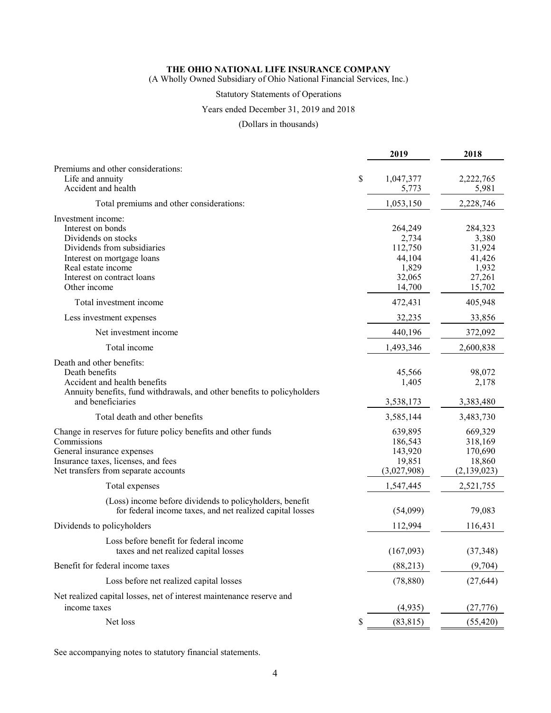(A Wholly Owned Subsidiary of Ohio National Financial Services, Inc.)

## Statutory Statements of Operations

### Years ended December 31, 2019 and 2018

### (Dollars in thousands)

|                                                                                                                                                                                                 |   | 2019                                                               | 2018                                                              |
|-------------------------------------------------------------------------------------------------------------------------------------------------------------------------------------------------|---|--------------------------------------------------------------------|-------------------------------------------------------------------|
| Premiums and other considerations:<br>Life and annuity<br>\$<br>Accident and health                                                                                                             |   | 1,047,377<br>5,773                                                 | 2,222,765<br>5,981                                                |
| Total premiums and other considerations:                                                                                                                                                        |   | 1,053,150                                                          | 2,228,746                                                         |
| Investment income:<br>Interest on bonds<br>Dividends on stocks<br>Dividends from subsidiaries<br>Interest on mortgage loans<br>Real estate income<br>Interest on contract loans<br>Other income |   | 264,249<br>2,734<br>112,750<br>44,104<br>1,829<br>32,065<br>14,700 | 284,323<br>3,380<br>31,924<br>41,426<br>1,932<br>27,261<br>15,702 |
| Total investment income                                                                                                                                                                         |   | 472,431                                                            | 405,948                                                           |
| Less investment expenses                                                                                                                                                                        |   | 32,235                                                             | 33,856                                                            |
| Net investment income                                                                                                                                                                           |   | 440,196                                                            | 372,092                                                           |
| Total income                                                                                                                                                                                    |   | 1,493,346                                                          | 2,600,838                                                         |
| Death and other benefits:<br>Death benefits<br>Accident and health benefits<br>Annuity benefits, fund withdrawals, and other benefits to policyholders                                          |   | 45,566<br>1,405                                                    | 98,072<br>2,178                                                   |
| and beneficiaries                                                                                                                                                                               |   | 3,538,173                                                          | 3,383,480                                                         |
| Total death and other benefits                                                                                                                                                                  |   | 3,585,144                                                          | 3,483,730                                                         |
| Change in reserves for future policy benefits and other funds<br>Commissions<br>General insurance expenses<br>Insurance taxes, licenses, and fees<br>Net transfers from separate accounts       |   | 639,895<br>186,543<br>143,920<br>19,851<br>(3,027,908)             | 669,329<br>318,169<br>170,690<br>18,860<br>(2,139,023)            |
| Total expenses                                                                                                                                                                                  |   | 1,547,445                                                          | 2,521,755                                                         |
| (Loss) income before dividends to policyholders, benefit<br>for federal income taxes, and net realized capital losses                                                                           |   | (54,099)                                                           | 79,083                                                            |
| Dividends to policyholders                                                                                                                                                                      |   | 112,994                                                            | 116,431                                                           |
| Loss before benefit for federal income<br>taxes and net realized capital losses                                                                                                                 |   | (167,093)                                                          | (37, 348)                                                         |
| Benefit for federal income taxes                                                                                                                                                                |   | (88, 213)                                                          | (9,704)                                                           |
| Loss before net realized capital losses                                                                                                                                                         |   | (78, 880)                                                          | (27, 644)                                                         |
| Net realized capital losses, net of interest maintenance reserve and<br>income taxes                                                                                                            |   | (4,935)                                                            | (27,776)                                                          |
| Net loss                                                                                                                                                                                        | S | (83, 815)                                                          | (55, 420)                                                         |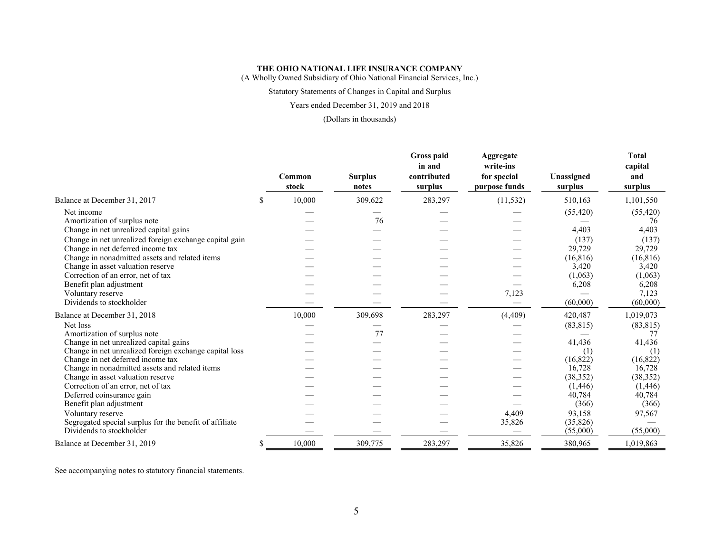(A Wholly Owned Subsidiary of Ohio National Financial Services, Inc.)

### Statutory Statements of Changes in Capital and Surplus

#### Years ended December 31, 2019 and 2018

#### (Dollars in thousands)

|                                                         | Common<br>stock | <b>Surplus</b><br>notes | Gross paid<br>in and<br>contributed<br>surplus | Aggregate<br>write-ins<br>for special<br>purpose funds | Unassigned<br>surplus | <b>Total</b><br>capital<br>and<br>surplus |
|---------------------------------------------------------|-----------------|-------------------------|------------------------------------------------|--------------------------------------------------------|-----------------------|-------------------------------------------|
| Balance at December 31, 2017                            | \$<br>10,000    | 309,622                 | 283,297                                        | (11, 532)                                              | 510,163               | 1,101,550                                 |
| Net income                                              |                 |                         |                                                |                                                        | (55, 420)             | (55, 420)                                 |
| Amortization of surplus note                            |                 | 76                      |                                                |                                                        |                       | 76                                        |
| Change in net unrealized capital gains                  |                 |                         |                                                |                                                        | 4,403                 | 4,403                                     |
| Change in net unrealized foreign exchange capital gain  |                 |                         |                                                |                                                        | (137)                 | (137)                                     |
| Change in net deferred income tax                       |                 |                         |                                                |                                                        | 29,729                | 29,729                                    |
| Change in nonadmitted assets and related items          |                 |                         |                                                |                                                        | (16, 816)             | (16, 816)                                 |
| Change in asset valuation reserve                       |                 |                         |                                                |                                                        | 3,420                 | 3,420                                     |
| Correction of an error, net of tax                      |                 |                         |                                                |                                                        | (1,063)               | (1,063)                                   |
| Benefit plan adjustment                                 |                 |                         |                                                |                                                        | 6,208                 | 6,208                                     |
| Voluntary reserve                                       |                 |                         |                                                | 7,123                                                  |                       | 7,123                                     |
| Dividends to stockholder                                |                 |                         |                                                |                                                        | (60,000)              | (60,000)                                  |
| Balance at December 31, 2018                            | 10,000          | 309,698                 | 283,297                                        | (4, 409)                                               | 420,487               | 1,019,073                                 |
| Net loss                                                |                 |                         |                                                |                                                        | (83, 815)             | (83, 815)                                 |
| Amortization of surplus note                            |                 | 77                      |                                                |                                                        |                       | 77                                        |
| Change in net unrealized capital gains                  |                 |                         |                                                |                                                        | 41,436                | 41,436                                    |
| Change in net unrealized foreign exchange capital loss  |                 |                         |                                                |                                                        | (1)                   | (1)                                       |
| Change in net deferred income tax                       |                 |                         |                                                |                                                        | (16, 822)             | (16,822)                                  |
| Change in nonadmitted assets and related items          |                 |                         |                                                |                                                        | 16,728                | 16,728                                    |
| Change in asset valuation reserve                       |                 |                         |                                                |                                                        | (38, 352)             | (38, 352)                                 |
| Correction of an error, net of tax                      |                 |                         |                                                |                                                        | (1,446)               | (1,446)                                   |
| Deferred coinsurance gain                               |                 |                         |                                                |                                                        | 40,784                | 40,784                                    |
| Benefit plan adjustment                                 |                 |                         |                                                |                                                        | (366)                 | (366)                                     |
| Voluntary reserve                                       |                 |                         |                                                | 4,409                                                  | 93,158                | 97,567                                    |
| Segregated special surplus for the benefit of affiliate |                 |                         |                                                | 35,826                                                 | (35, 826)             |                                           |
| Dividends to stockholder                                |                 |                         |                                                |                                                        | (55,000)              | (55,000)                                  |
| Balance at December 31, 2019                            | \$<br>10.000    | 309,775                 | 283,297                                        | 35,826                                                 | 380,965               | 1,019,863                                 |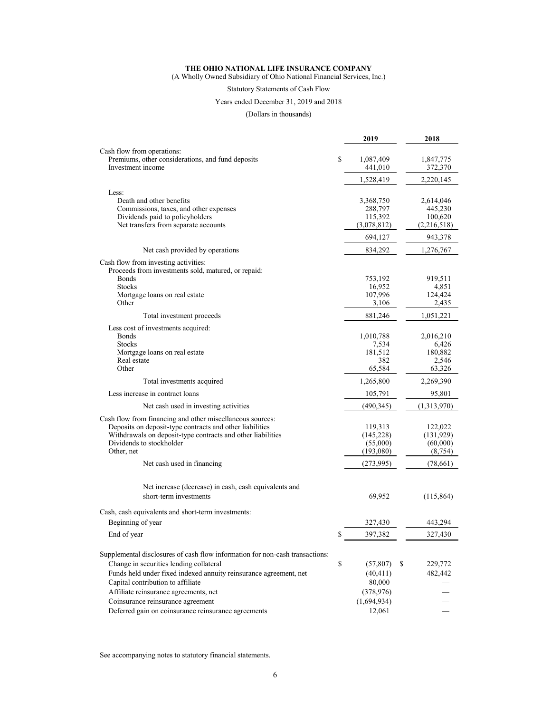(A Wholly Owned Subsidiary of Ohio National Financial Services, Inc.)

### Statutory Statements of Cash Flow

#### Years ended December 31, 2019 and 2018

### (Dollars in thousands)

|                                                                                         | 2019                   | 2018                   |
|-----------------------------------------------------------------------------------------|------------------------|------------------------|
| Cash flow from operations:                                                              |                        |                        |
| Premiums, other considerations, and fund deposits                                       | \$<br>1,087,409        | 1,847,775              |
| Investment income                                                                       | 441,010                | 372,370                |
|                                                                                         | 1,528,419              | 2,220,145              |
| Less:                                                                                   |                        |                        |
| Death and other benefits                                                                | 3,368,750              | 2,614,046              |
| Commissions, taxes, and other expenses                                                  | 288,797                | 445,230                |
| Dividends paid to policyholders                                                         | 115,392                | 100,620                |
| Net transfers from separate accounts                                                    | (3,078,812)            | (2,216,518)            |
|                                                                                         | 694,127                | 943,378                |
| Net cash provided by operations                                                         | 834,292                | 1,276,767              |
| Cash flow from investing activities:                                                    |                        |                        |
| Proceeds from investments sold, matured, or repaid:                                     |                        |                        |
| Bonds                                                                                   | 753,192                | 919,511                |
| <b>Stocks</b>                                                                           | 16,952                 | 4,851                  |
| Mortgage loans on real estate                                                           | 107,996                | 124,424                |
| Other                                                                                   | 3,106                  | 2,435                  |
| Total investment proceeds                                                               | 881,246                | 1,051,221              |
| Less cost of investments acquired:                                                      |                        |                        |
| <b>Bonds</b>                                                                            | 1,010,788              | 2,016,210              |
| <b>Stocks</b>                                                                           | 7,534                  | 6,426                  |
| Mortgage loans on real estate<br>Real estate                                            | 181,512<br>382         | 180,882<br>2,546       |
| Other                                                                                   | 65,584                 | 63,326                 |
| Total investments acquired                                                              | 1,265,800              | 2,269,390              |
| Less increase in contract loans                                                         | 105,791                | 95,801                 |
| Net cash used in investing activities                                                   | (490, 345)             | (1,313,970)            |
|                                                                                         |                        |                        |
| Cash flow from financing and other miscellaneous sources:                               |                        |                        |
| Deposits on deposit-type contracts and other liabilities                                | 119,313                | 122,022                |
| Withdrawals on deposit-type contracts and other liabilities<br>Dividends to stockholder | (145, 228)<br>(55,000) | (131, 929)<br>(60,000) |
| Other, net                                                                              | (193,080)              | (8, 754)               |
| Net cash used in financing                                                              | (273,995)              | (78, 661)              |
|                                                                                         |                        |                        |
| Net increase (decrease) in cash, cash equivalents and                                   |                        |                        |
| short-term investments                                                                  | 69,952                 | (115, 864)             |
| Cash, cash equivalents and short-term investments:                                      |                        |                        |
| Beginning of year                                                                       | 327,430                | 443,294                |
| End of year                                                                             | \$<br>397,382          | 327,430                |
|                                                                                         |                        |                        |
| Supplemental disclosures of cash flow information for non-cash transactions:            |                        |                        |
| Change in securities lending collateral                                                 | \$<br>(57, 807)        | \$<br>229,772          |
| Funds held under fixed indexed annuity reinsurance agreement, net                       | (40, 411)              | 482,442                |
| Capital contribution to affiliate                                                       | 80,000                 |                        |
| Affiliate reinsurance agreements, net                                                   | (378, 976)             |                        |
| Coinsurance reinsurance agreement                                                       | (1,694,934)            |                        |
| Deferred gain on coinsurance reinsurance agreements                                     | 12,061                 |                        |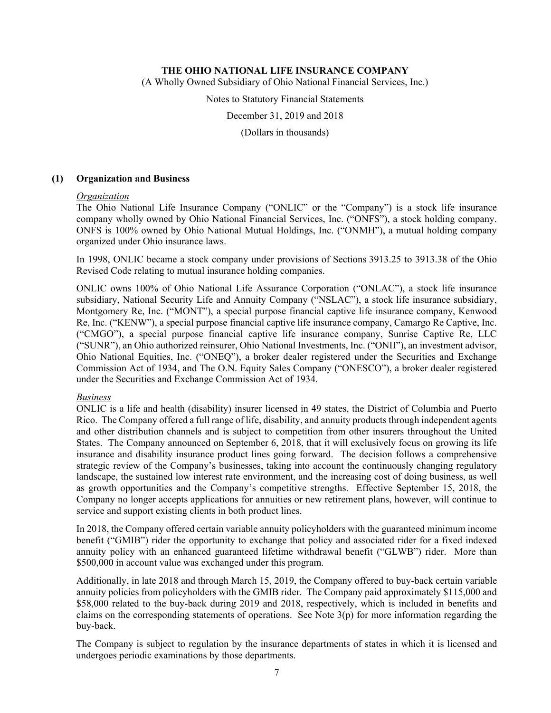(A Wholly Owned Subsidiary of Ohio National Financial Services, Inc.)

Notes to Statutory Financial Statements

December 31, 2019 and 2018

(Dollars in thousands)

#### **(1) Organization and Business**

#### *Organization*

The Ohio National Life Insurance Company ("ONLIC" or the "Company") is a stock life insurance company wholly owned by Ohio National Financial Services, Inc. ("ONFS"), a stock holding company. ONFS is 100% owned by Ohio National Mutual Holdings, Inc. ("ONMH"), a mutual holding company organized under Ohio insurance laws.

In 1998, ONLIC became a stock company under provisions of Sections 3913.25 to 3913.38 of the Ohio Revised Code relating to mutual insurance holding companies.

ONLIC owns 100% of Ohio National Life Assurance Corporation ("ONLAC"), a stock life insurance subsidiary, National Security Life and Annuity Company ("NSLAC"), a stock life insurance subsidiary, Montgomery Re, Inc. ("MONT"), a special purpose financial captive life insurance company, Kenwood Re, Inc. ("KENW"), a special purpose financial captive life insurance company, Camargo Re Captive, Inc. ("CMGO"), a special purpose financial captive life insurance company, Sunrise Captive Re, LLC ("SUNR"), an Ohio authorized reinsurer, Ohio National Investments, Inc. ("ONII"), an investment advisor, Ohio National Equities, Inc. ("ONEQ"), a broker dealer registered under the Securities and Exchange Commission Act of 1934, and The O.N. Equity Sales Company ("ONESCO"), a broker dealer registered under the Securities and Exchange Commission Act of 1934.

#### *Business*

ONLIC is a life and health (disability) insurer licensed in 49 states, the District of Columbia and Puerto Rico. The Company offered a full range of life, disability, and annuity products through independent agents and other distribution channels and is subject to competition from other insurers throughout the United States. The Company announced on September 6, 2018, that it will exclusively focus on growing its life insurance and disability insurance product lines going forward. The decision follows a comprehensive strategic review of the Company's businesses, taking into account the continuously changing regulatory landscape, the sustained low interest rate environment, and the increasing cost of doing business, as well as growth opportunities and the Company's competitive strengths. Effective September 15, 2018, the Company no longer accepts applications for annuities or new retirement plans, however, will continue to service and support existing clients in both product lines.

In 2018, the Company offered certain variable annuity policyholders with the guaranteed minimum income benefit ("GMIB") rider the opportunity to exchange that policy and associated rider for a fixed indexed annuity policy with an enhanced guaranteed lifetime withdrawal benefit ("GLWB") rider. More than \$500,000 in account value was exchanged under this program.

Additionally, in late 2018 and through March 15, 2019, the Company offered to buy-back certain variable annuity policies from policyholders with the GMIB rider. The Company paid approximately \$115,000 and \$58,000 related to the buy-back during 2019 and 2018, respectively, which is included in benefits and claims on the corresponding statements of operations. See Note  $3(p)$  for more information regarding the buy-back.

The Company is subject to regulation by the insurance departments of states in which it is licensed and undergoes periodic examinations by those departments.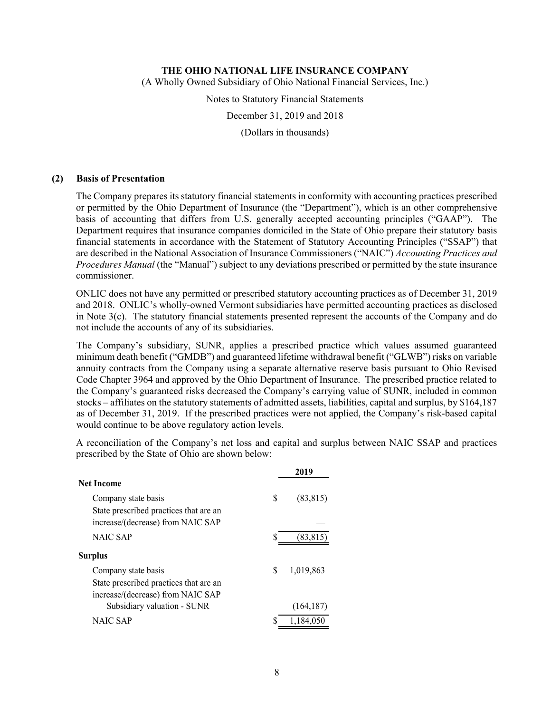(A Wholly Owned Subsidiary of Ohio National Financial Services, Inc.)

Notes to Statutory Financial Statements

December 31, 2019 and 2018

(Dollars in thousands)

#### **(2) Basis of Presentation**

The Company prepares its statutory financial statements in conformity with accounting practices prescribed or permitted by the Ohio Department of Insurance (the "Department"), which is an other comprehensive basis of accounting that differs from U.S. generally accepted accounting principles ("GAAP"). The Department requires that insurance companies domiciled in the State of Ohio prepare their statutory basis financial statements in accordance with the Statement of Statutory Accounting Principles ("SSAP") that are described in the National Association of Insurance Commissioners ("NAIC") *Accounting Practices and Procedures Manual* (the "Manual") subject to any deviations prescribed or permitted by the state insurance commissioner.

ONLIC does not have any permitted or prescribed statutory accounting practices as of December 31, 2019 and 2018. ONLIC's wholly-owned Vermont subsidiaries have permitted accounting practices as disclosed in Note 3(c). The statutory financial statements presented represent the accounts of the Company and do not include the accounts of any of its subsidiaries.

The Company's subsidiary, SUNR, applies a prescribed practice which values assumed guaranteed minimum death benefit ("GMDB") and guaranteed lifetime withdrawal benefit ("GLWB") risks on variable annuity contracts from the Company using a separate alternative reserve basis pursuant to Ohio Revised Code Chapter 3964 and approved by the Ohio Department of Insurance. The prescribed practice related to the Company's guaranteed risks decreased the Company's carrying value of SUNR, included in common stocks – affiliates on the statutory statements of admitted assets, liabilities, capital and surplus, by \$164,187 as of December 31, 2019. If the prescribed practices were not applied, the Company's risk-based capital would continue to be above regulatory action levels.

A reconciliation of the Company's net loss and capital and surplus between NAIC SSAP and practices prescribed by the State of Ohio are shown below:

|                                        |   | 2019       |
|----------------------------------------|---|------------|
| <b>Net Income</b>                      |   |            |
| Company state basis                    | S | (83, 815)  |
| State prescribed practices that are an |   |            |
| increase/(decrease) from NAIC SAP      |   |            |
| <b>NAIC SAP</b>                        | S | (83, 815)  |
| <b>Surplus</b>                         |   |            |
| Company state basis                    | S | 1,019,863  |
| State prescribed practices that are an |   |            |
| increase/(decrease) from NAIC SAP      |   |            |
| Subsidiary valuation - SUNR            |   | (164, 187) |
| NAIC SAP                               | S | 1.184.050  |
|                                        |   |            |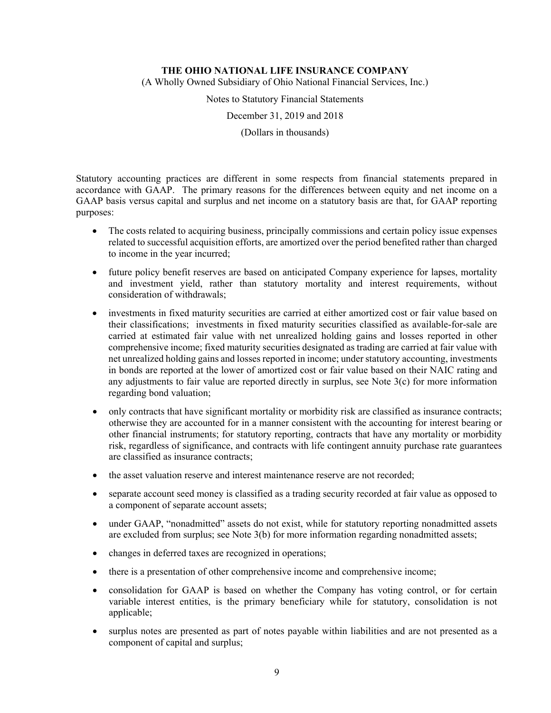(A Wholly Owned Subsidiary of Ohio National Financial Services, Inc.)

Notes to Statutory Financial Statements

December 31, 2019 and 2018

(Dollars in thousands)

Statutory accounting practices are different in some respects from financial statements prepared in accordance with GAAP. The primary reasons for the differences between equity and net income on a GAAP basis versus capital and surplus and net income on a statutory basis are that, for GAAP reporting purposes:

- The costs related to acquiring business, principally commissions and certain policy issue expenses related to successful acquisition efforts, are amortized over the period benefited rather than charged to income in the year incurred;
- future policy benefit reserves are based on anticipated Company experience for lapses, mortality and investment yield, rather than statutory mortality and interest requirements, without consideration of withdrawals;
- investments in fixed maturity securities are carried at either amortized cost or fair value based on their classifications; investments in fixed maturity securities classified as available-for-sale are carried at estimated fair value with net unrealized holding gains and losses reported in other comprehensive income; fixed maturity securities designated as trading are carried at fair value with net unrealized holding gains and losses reported in income; under statutory accounting, investments in bonds are reported at the lower of amortized cost or fair value based on their NAIC rating and any adjustments to fair value are reported directly in surplus, see Note 3(c) for more information regarding bond valuation;
- only contracts that have significant mortality or morbidity risk are classified as insurance contracts; otherwise they are accounted for in a manner consistent with the accounting for interest bearing or other financial instruments; for statutory reporting, contracts that have any mortality or morbidity risk, regardless of significance, and contracts with life contingent annuity purchase rate guarantees are classified as insurance contracts;
- the asset valuation reserve and interest maintenance reserve are not recorded;
- separate account seed money is classified as a trading security recorded at fair value as opposed to a component of separate account assets;
- under GAAP, "nonadmitted" assets do not exist, while for statutory reporting nonadmitted assets are excluded from surplus; see Note 3(b) for more information regarding nonadmitted assets;
- changes in deferred taxes are recognized in operations;
- there is a presentation of other comprehensive income and comprehensive income;
- consolidation for GAAP is based on whether the Company has voting control, or for certain variable interest entities, is the primary beneficiary while for statutory, consolidation is not applicable;
- surplus notes are presented as part of notes payable within liabilities and are not presented as a component of capital and surplus;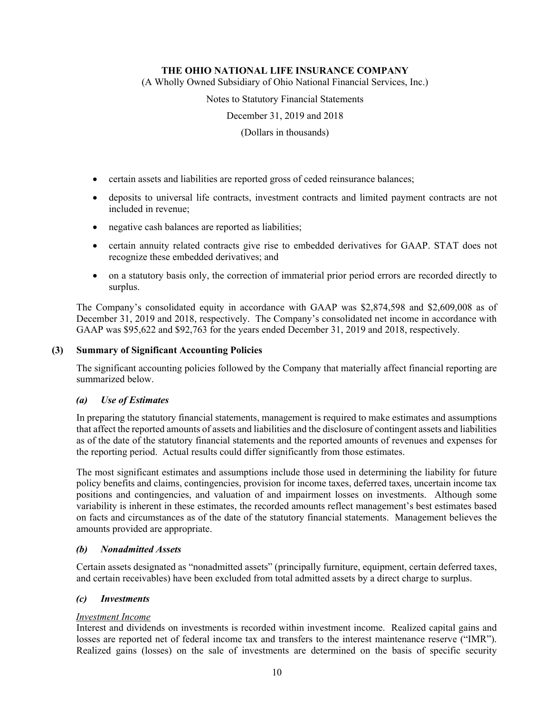(A Wholly Owned Subsidiary of Ohio National Financial Services, Inc.)

Notes to Statutory Financial Statements

December 31, 2019 and 2018

(Dollars in thousands)

- certain assets and liabilities are reported gross of ceded reinsurance balances;
- deposits to universal life contracts, investment contracts and limited payment contracts are not included in revenue;
- negative cash balances are reported as liabilities;
- certain annuity related contracts give rise to embedded derivatives for GAAP. STAT does not recognize these embedded derivatives; and
- on a statutory basis only, the correction of immaterial prior period errors are recorded directly to surplus.

The Company's consolidated equity in accordance with GAAP was \$2,874,598 and \$2,609,008 as of December 31, 2019 and 2018, respectively. The Company's consolidated net income in accordance with GAAP was \$95,622 and \$92,763 for the years ended December 31, 2019 and 2018, respectively.

### **(3) Summary of Significant Accounting Policies**

The significant accounting policies followed by the Company that materially affect financial reporting are summarized below.

### *(a) Use of Estimates*

In preparing the statutory financial statements, management is required to make estimates and assumptions that affect the reported amounts of assets and liabilities and the disclosure of contingent assets and liabilities as of the date of the statutory financial statements and the reported amounts of revenues and expenses for the reporting period. Actual results could differ significantly from those estimates.

The most significant estimates and assumptions include those used in determining the liability for future policy benefits and claims, contingencies, provision for income taxes, deferred taxes, uncertain income tax positions and contingencies, and valuation of and impairment losses on investments. Although some variability is inherent in these estimates, the recorded amounts reflect management's best estimates based on facts and circumstances as of the date of the statutory financial statements. Management believes the amounts provided are appropriate.

#### *(b) Nonadmitted Assets*

Certain assets designated as "nonadmitted assets" (principally furniture, equipment, certain deferred taxes, and certain receivables) have been excluded from total admitted assets by a direct charge to surplus.

#### *(c) Investments*

### *Investment Income*

Interest and dividends on investments is recorded within investment income. Realized capital gains and losses are reported net of federal income tax and transfers to the interest maintenance reserve ("IMR"). Realized gains (losses) on the sale of investments are determined on the basis of specific security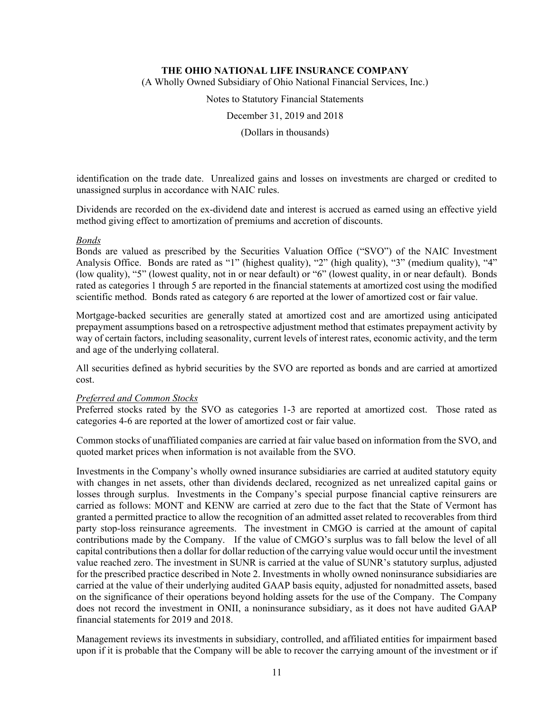(A Wholly Owned Subsidiary of Ohio National Financial Services, Inc.)

Notes to Statutory Financial Statements

December 31, 2019 and 2018

(Dollars in thousands)

identification on the trade date. Unrealized gains and losses on investments are charged or credited to unassigned surplus in accordance with NAIC rules.

Dividends are recorded on the ex-dividend date and interest is accrued as earned using an effective yield method giving effect to amortization of premiums and accretion of discounts.

#### *Bonds*

Bonds are valued as prescribed by the Securities Valuation Office ("SVO") of the NAIC Investment Analysis Office. Bonds are rated as "1" (highest quality), "2" (high quality), "3" (medium quality), "4" (low quality), "5" (lowest quality, not in or near default) or "6" (lowest quality, in or near default). Bonds rated as categories 1 through 5 are reported in the financial statements at amortized cost using the modified scientific method. Bonds rated as category 6 are reported at the lower of amortized cost or fair value.

Mortgage-backed securities are generally stated at amortized cost and are amortized using anticipated prepayment assumptions based on a retrospective adjustment method that estimates prepayment activity by way of certain factors, including seasonality, current levels of interest rates, economic activity, and the term and age of the underlying collateral.

All securities defined as hybrid securities by the SVO are reported as bonds and are carried at amortized cost.

#### *Preferred and Common Stocks*

Preferred stocks rated by the SVO as categories 1-3 are reported at amortized cost. Those rated as categories 4-6 are reported at the lower of amortized cost or fair value.

Common stocks of unaffiliated companies are carried at fair value based on information from the SVO, and quoted market prices when information is not available from the SVO.

Investments in the Company's wholly owned insurance subsidiaries are carried at audited statutory equity with changes in net assets, other than dividends declared, recognized as net unrealized capital gains or losses through surplus. Investments in the Company's special purpose financial captive reinsurers are carried as follows: MONT and KENW are carried at zero due to the fact that the State of Vermont has granted a permitted practice to allow the recognition of an admitted asset related to recoverables from third party stop-loss reinsurance agreements. The investment in CMGO is carried at the amount of capital contributions made by the Company. If the value of CMGO's surplus was to fall below the level of all capital contributions then a dollar for dollar reduction of the carrying value would occur until the investment value reached zero. The investment in SUNR is carried at the value of SUNR's statutory surplus, adjusted for the prescribed practice described in Note 2. Investments in wholly owned noninsurance subsidiaries are carried at the value of their underlying audited GAAP basis equity, adjusted for nonadmitted assets, based on the significance of their operations beyond holding assets for the use of the Company. The Company does not record the investment in ONII, a noninsurance subsidiary, as it does not have audited GAAP financial statements for 2019 and 2018.

Management reviews its investments in subsidiary, controlled, and affiliated entities for impairment based upon if it is probable that the Company will be able to recover the carrying amount of the investment or if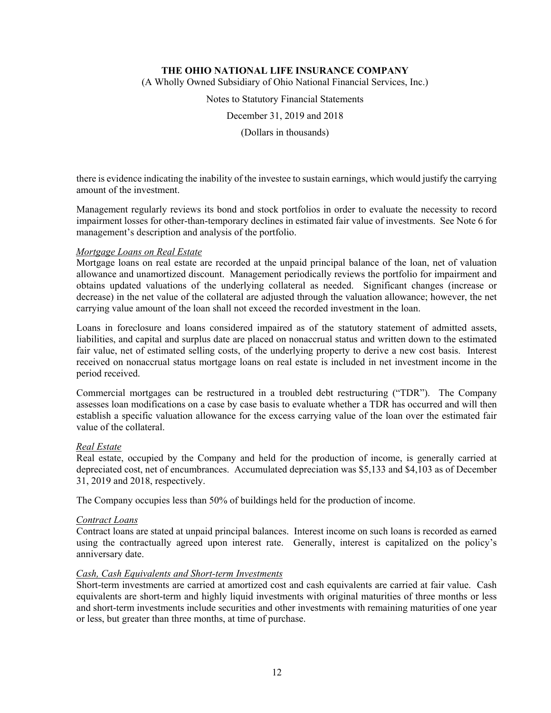(A Wholly Owned Subsidiary of Ohio National Financial Services, Inc.)

Notes to Statutory Financial Statements

December 31, 2019 and 2018

(Dollars in thousands)

there is evidence indicating the inability of the investee to sustain earnings, which would justify the carrying amount of the investment.

Management regularly reviews its bond and stock portfolios in order to evaluate the necessity to record impairment losses for other-than-temporary declines in estimated fair value of investments. See Note 6 for management's description and analysis of the portfolio.

#### *Mortgage Loans on Real Estate*

Mortgage loans on real estate are recorded at the unpaid principal balance of the loan, net of valuation allowance and unamortized discount. Management periodically reviews the portfolio for impairment and obtains updated valuations of the underlying collateral as needed. Significant changes (increase or decrease) in the net value of the collateral are adjusted through the valuation allowance; however, the net carrying value amount of the loan shall not exceed the recorded investment in the loan.

Loans in foreclosure and loans considered impaired as of the statutory statement of admitted assets, liabilities, and capital and surplus date are placed on nonaccrual status and written down to the estimated fair value, net of estimated selling costs, of the underlying property to derive a new cost basis. Interest received on nonaccrual status mortgage loans on real estate is included in net investment income in the period received.

Commercial mortgages can be restructured in a troubled debt restructuring ("TDR"). The Company assesses loan modifications on a case by case basis to evaluate whether a TDR has occurred and will then establish a specific valuation allowance for the excess carrying value of the loan over the estimated fair value of the collateral.

#### *Real Estate*

Real estate, occupied by the Company and held for the production of income, is generally carried at depreciated cost, net of encumbrances. Accumulated depreciation was \$5,133 and \$4,103 as of December 31, 2019 and 2018, respectively.

The Company occupies less than 50% of buildings held for the production of income.

#### *Contract Loans*

Contract loans are stated at unpaid principal balances. Interest income on such loans is recorded as earned using the contractually agreed upon interest rate. Generally, interest is capitalized on the policy's anniversary date.

#### *Cash, Cash Equivalents and Short-term Investments*

Short-term investments are carried at amortized cost and cash equivalents are carried at fair value. Cash equivalents are short-term and highly liquid investments with original maturities of three months or less and short-term investments include securities and other investments with remaining maturities of one year or less, but greater than three months, at time of purchase.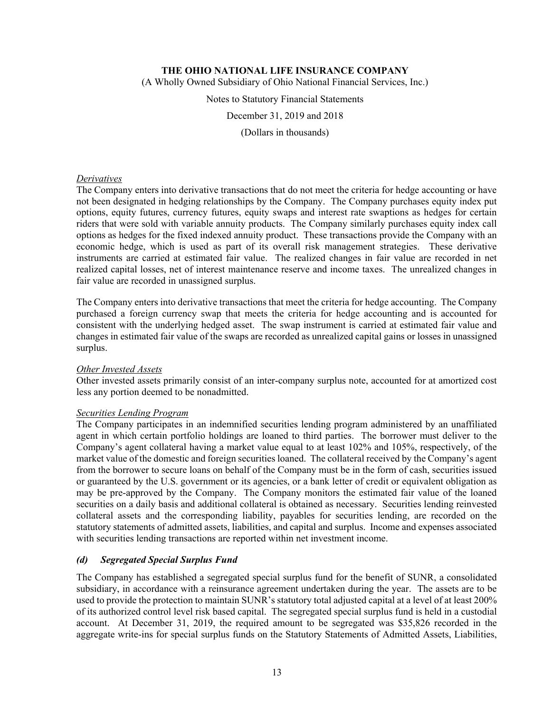(A Wholly Owned Subsidiary of Ohio National Financial Services, Inc.)

Notes to Statutory Financial Statements

December 31, 2019 and 2018

(Dollars in thousands)

#### *Derivatives*

The Company enters into derivative transactions that do not meet the criteria for hedge accounting or have not been designated in hedging relationships by the Company. The Company purchases equity index put options, equity futures, currency futures, equity swaps and interest rate swaptions as hedges for certain riders that were sold with variable annuity products. The Company similarly purchases equity index call options as hedges for the fixed indexed annuity product. These transactions provide the Company with an economic hedge, which is used as part of its overall risk management strategies. These derivative instruments are carried at estimated fair value. The realized changes in fair value are recorded in net realized capital losses, net of interest maintenance reserve and income taxes. The unrealized changes in fair value are recorded in unassigned surplus.

The Company enters into derivative transactions that meet the criteria for hedge accounting. The Company purchased a foreign currency swap that meets the criteria for hedge accounting and is accounted for consistent with the underlying hedged asset. The swap instrument is carried at estimated fair value and changes in estimated fair value of the swaps are recorded as unrealized capital gains or losses in unassigned surplus.

#### *Other Invested Assets*

Other invested assets primarily consist of an inter-company surplus note, accounted for at amortized cost less any portion deemed to be nonadmitted.

#### *Securities Lending Program*

The Company participates in an indemnified securities lending program administered by an unaffiliated agent in which certain portfolio holdings are loaned to third parties. The borrower must deliver to the Company's agent collateral having a market value equal to at least 102% and 105%, respectively, of the market value of the domestic and foreign securities loaned. The collateral received by the Company's agent from the borrower to secure loans on behalf of the Company must be in the form of cash, securities issued or guaranteed by the U.S. government or its agencies, or a bank letter of credit or equivalent obligation as may be pre-approved by the Company. The Company monitors the estimated fair value of the loaned securities on a daily basis and additional collateral is obtained as necessary. Securities lending reinvested collateral assets and the corresponding liability, payables for securities lending, are recorded on the statutory statements of admitted assets, liabilities, and capital and surplus. Income and expenses associated with securities lending transactions are reported within net investment income.

### *(d) Segregated Special Surplus Fund*

The Company has established a segregated special surplus fund for the benefit of SUNR, a consolidated subsidiary, in accordance with a reinsurance agreement undertaken during the year. The assets are to be used to provide the protection to maintain SUNR's statutory total adjusted capital at a level of at least 200% of its authorized control level risk based capital. The segregated special surplus fund is held in a custodial account. At December 31, 2019, the required amount to be segregated was \$35,826 recorded in the aggregate write-ins for special surplus funds on the Statutory Statements of Admitted Assets, Liabilities,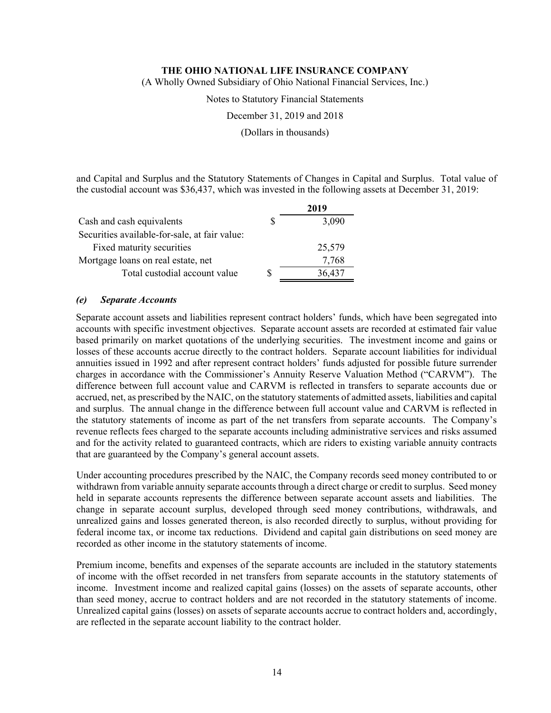(A Wholly Owned Subsidiary of Ohio National Financial Services, Inc.)

Notes to Statutory Financial Statements

December 31, 2019 and 2018

(Dollars in thousands)

and Capital and Surplus and the Statutory Statements of Changes in Capital and Surplus. Total value of the custodial account was \$36,437, which was invested in the following assets at December 31, 2019:

|                                               |   | 2019   |
|-----------------------------------------------|---|--------|
| Cash and cash equivalents                     |   | 3,090  |
| Securities available-for-sale, at fair value: |   |        |
| Fixed maturity securities                     |   | 25,579 |
| Mortgage loans on real estate, net            |   | 7,768  |
| Total custodial account value                 | S | 36,437 |

#### *(e) Separate Accounts*

Separate account assets and liabilities represent contract holders' funds, which have been segregated into accounts with specific investment objectives. Separate account assets are recorded at estimated fair value based primarily on market quotations of the underlying securities. The investment income and gains or losses of these accounts accrue directly to the contract holders. Separate account liabilities for individual annuities issued in 1992 and after represent contract holders' funds adjusted for possible future surrender charges in accordance with the Commissioner's Annuity Reserve Valuation Method ("CARVM"). The difference between full account value and CARVM is reflected in transfers to separate accounts due or accrued, net, as prescribed by the NAIC, on the statutory statements of admitted assets, liabilities and capital and surplus. The annual change in the difference between full account value and CARVM is reflected in the statutory statements of income as part of the net transfers from separate accounts. The Company's revenue reflects fees charged to the separate accounts including administrative services and risks assumed and for the activity related to guaranteed contracts, which are riders to existing variable annuity contracts that are guaranteed by the Company's general account assets.

Under accounting procedures prescribed by the NAIC, the Company records seed money contributed to or withdrawn from variable annuity separate accounts through a direct charge or credit to surplus. Seed money held in separate accounts represents the difference between separate account assets and liabilities. The change in separate account surplus, developed through seed money contributions, withdrawals, and unrealized gains and losses generated thereon, is also recorded directly to surplus, without providing for federal income tax, or income tax reductions. Dividend and capital gain distributions on seed money are recorded as other income in the statutory statements of income.

Premium income, benefits and expenses of the separate accounts are included in the statutory statements of income with the offset recorded in net transfers from separate accounts in the statutory statements of income. Investment income and realized capital gains (losses) on the assets of separate accounts, other than seed money, accrue to contract holders and are not recorded in the statutory statements of income. Unrealized capital gains (losses) on assets of separate accounts accrue to contract holders and, accordingly, are reflected in the separate account liability to the contract holder.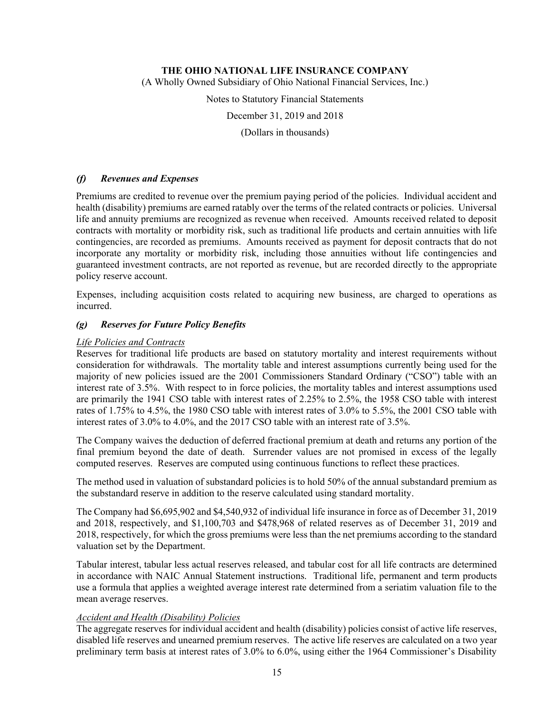(A Wholly Owned Subsidiary of Ohio National Financial Services, Inc.)

Notes to Statutory Financial Statements

December 31, 2019 and 2018

(Dollars in thousands)

### *(f) Revenues and Expenses*

Premiums are credited to revenue over the premium paying period of the policies. Individual accident and health (disability) premiums are earned ratably over the terms of the related contracts or policies. Universal life and annuity premiums are recognized as revenue when received. Amounts received related to deposit contracts with mortality or morbidity risk, such as traditional life products and certain annuities with life contingencies, are recorded as premiums. Amounts received as payment for deposit contracts that do not incorporate any mortality or morbidity risk, including those annuities without life contingencies and guaranteed investment contracts, are not reported as revenue, but are recorded directly to the appropriate policy reserve account.

Expenses, including acquisition costs related to acquiring new business, are charged to operations as incurred.

### *(g) Reserves for Future Policy Benefits*

### *Life Policies and Contracts*

Reserves for traditional life products are based on statutory mortality and interest requirements without consideration for withdrawals. The mortality table and interest assumptions currently being used for the majority of new policies issued are the 2001 Commissioners Standard Ordinary ("CSO") table with an interest rate of 3.5%. With respect to in force policies, the mortality tables and interest assumptions used are primarily the 1941 CSO table with interest rates of 2.25% to 2.5%, the 1958 CSO table with interest rates of 1.75% to 4.5%, the 1980 CSO table with interest rates of 3.0% to 5.5%, the 2001 CSO table with interest rates of 3.0% to 4.0%, and the 2017 CSO table with an interest rate of 3.5%.

The Company waives the deduction of deferred fractional premium at death and returns any portion of the final premium beyond the date of death. Surrender values are not promised in excess of the legally computed reserves. Reserves are computed using continuous functions to reflect these practices.

The method used in valuation of substandard policies is to hold 50% of the annual substandard premium as the substandard reserve in addition to the reserve calculated using standard mortality.

The Company had \$6,695,902 and \$4,540,932 of individual life insurance in force as of December 31, 2019 and 2018, respectively, and \$1,100,703 and \$478,968 of related reserves as of December 31, 2019 and 2018, respectively, for which the gross premiums were less than the net premiums according to the standard valuation set by the Department.

Tabular interest, tabular less actual reserves released, and tabular cost for all life contracts are determined in accordance with NAIC Annual Statement instructions. Traditional life, permanent and term products use a formula that applies a weighted average interest rate determined from a seriatim valuation file to the mean average reserves.

### *Accident and Health (Disability) Policies*

The aggregate reserves for individual accident and health (disability) policies consist of active life reserves, disabled life reserves and unearned premium reserves. The active life reserves are calculated on a two year preliminary term basis at interest rates of 3.0% to 6.0%, using either the 1964 Commissioner's Disability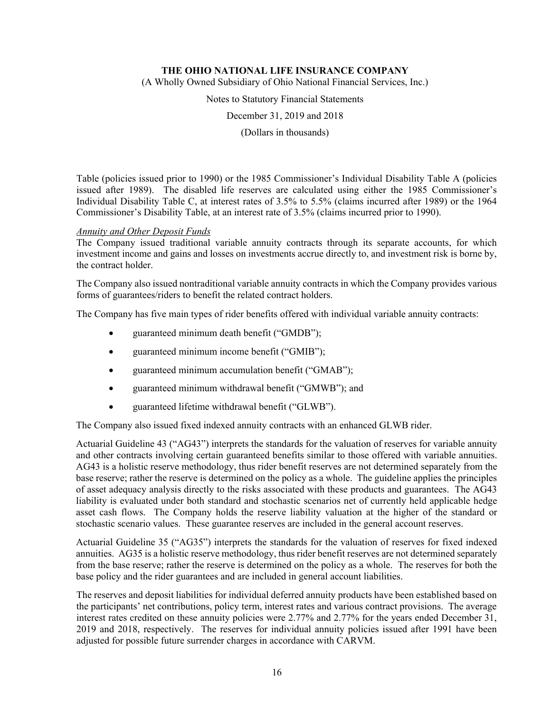(A Wholly Owned Subsidiary of Ohio National Financial Services, Inc.)

Notes to Statutory Financial Statements

December 31, 2019 and 2018

(Dollars in thousands)

Table (policies issued prior to 1990) or the 1985 Commissioner's Individual Disability Table A (policies issued after 1989). The disabled life reserves are calculated using either the 1985 Commissioner's Individual Disability Table C, at interest rates of 3.5% to 5.5% (claims incurred after 1989) or the 1964 Commissioner's Disability Table, at an interest rate of 3.5% (claims incurred prior to 1990).

### *Annuity and Other Deposit Funds*

The Company issued traditional variable annuity contracts through its separate accounts, for which investment income and gains and losses on investments accrue directly to, and investment risk is borne by, the contract holder.

The Company also issued nontraditional variable annuity contracts in which the Company provides various forms of guarantees/riders to benefit the related contract holders.

The Company has five main types of rider benefits offered with individual variable annuity contracts:

- guaranteed minimum death benefit ("GMDB");
- guaranteed minimum income benefit ("GMIB");
- guaranteed minimum accumulation benefit ("GMAB");
- guaranteed minimum withdrawal benefit ("GMWB"); and
- guaranteed lifetime withdrawal benefit ("GLWB").

The Company also issued fixed indexed annuity contracts with an enhanced GLWB rider.

Actuarial Guideline 43 ("AG43") interprets the standards for the valuation of reserves for variable annuity and other contracts involving certain guaranteed benefits similar to those offered with variable annuities. AG43 is a holistic reserve methodology, thus rider benefit reserves are not determined separately from the base reserve; rather the reserve is determined on the policy as a whole. The guideline applies the principles of asset adequacy analysis directly to the risks associated with these products and guarantees. The AG43 liability is evaluated under both standard and stochastic scenarios net of currently held applicable hedge asset cash flows. The Company holds the reserve liability valuation at the higher of the standard or stochastic scenario values. These guarantee reserves are included in the general account reserves.

Actuarial Guideline 35 ("AG35") interprets the standards for the valuation of reserves for fixed indexed annuities. AG35 is a holistic reserve methodology, thus rider benefit reserves are not determined separately from the base reserve; rather the reserve is determined on the policy as a whole. The reserves for both the base policy and the rider guarantees and are included in general account liabilities.

The reserves and deposit liabilities for individual deferred annuity products have been established based on the participants' net contributions, policy term, interest rates and various contract provisions. The average interest rates credited on these annuity policies were 2.77% and 2.77% for the years ended December 31, 2019 and 2018, respectively. The reserves for individual annuity policies issued after 1991 have been adjusted for possible future surrender charges in accordance with CARVM.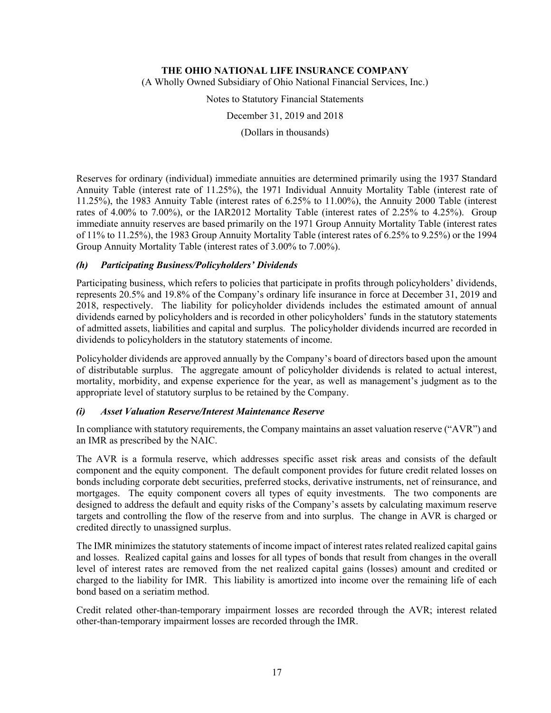(A Wholly Owned Subsidiary of Ohio National Financial Services, Inc.)

Notes to Statutory Financial Statements

December 31, 2019 and 2018

(Dollars in thousands)

Reserves for ordinary (individual) immediate annuities are determined primarily using the 1937 Standard Annuity Table (interest rate of 11.25%), the 1971 Individual Annuity Mortality Table (interest rate of 11.25%), the 1983 Annuity Table (interest rates of 6.25% to 11.00%), the Annuity 2000 Table (interest rates of 4.00% to 7.00%), or the IAR2012 Mortality Table (interest rates of 2.25% to 4.25%). Group immediate annuity reserves are based primarily on the 1971 Group Annuity Mortality Table (interest rates of 11% to 11.25%), the 1983 Group Annuity Mortality Table (interest rates of 6.25% to 9.25%) or the 1994 Group Annuity Mortality Table (interest rates of 3.00% to 7.00%).

## *(h) Participating Business/Policyholders' Dividends*

Participating business, which refers to policies that participate in profits through policyholders' dividends, represents 20.5% and 19.8% of the Company's ordinary life insurance in force at December 31, 2019 and 2018, respectively. The liability for policyholder dividends includes the estimated amount of annual dividends earned by policyholders and is recorded in other policyholders' funds in the statutory statements of admitted assets, liabilities and capital and surplus. The policyholder dividends incurred are recorded in dividends to policyholders in the statutory statements of income.

Policyholder dividends are approved annually by the Company's board of directors based upon the amount of distributable surplus. The aggregate amount of policyholder dividends is related to actual interest, mortality, morbidity, and expense experience for the year, as well as management's judgment as to the appropriate level of statutory surplus to be retained by the Company.

### *(i) Asset Valuation Reserve/Interest Maintenance Reserve*

In compliance with statutory requirements, the Company maintains an asset valuation reserve ("AVR") and an IMR as prescribed by the NAIC.

The AVR is a formula reserve, which addresses specific asset risk areas and consists of the default component and the equity component. The default component provides for future credit related losses on bonds including corporate debt securities, preferred stocks, derivative instruments, net of reinsurance, and mortgages. The equity component covers all types of equity investments. The two components are designed to address the default and equity risks of the Company's assets by calculating maximum reserve targets and controlling the flow of the reserve from and into surplus. The change in AVR is charged or credited directly to unassigned surplus.

The IMR minimizes the statutory statements of income impact of interest rates related realized capital gains and losses. Realized capital gains and losses for all types of bonds that result from changes in the overall level of interest rates are removed from the net realized capital gains (losses) amount and credited or charged to the liability for IMR. This liability is amortized into income over the remaining life of each bond based on a seriatim method.

Credit related other-than-temporary impairment losses are recorded through the AVR; interest related other-than-temporary impairment losses are recorded through the IMR.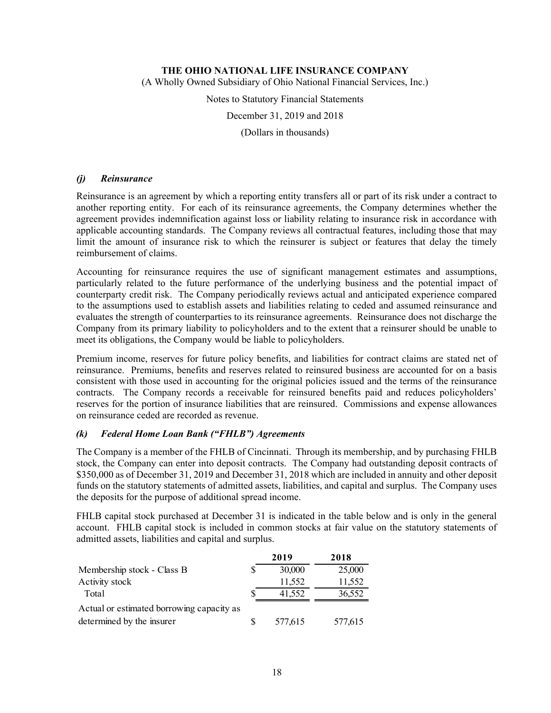(A Wholly Owned Subsidiary of Ohio National Financial Services, Inc.)

Notes to Statutory Financial Statements

December 31, 2019 and 2018

(Dollars in thousands)

### *(j) Reinsurance*

Reinsurance is an agreement by which a reporting entity transfers all or part of its risk under a contract to another reporting entity. For each of its reinsurance agreements, the Company determines whether the agreement provides indemnification against loss or liability relating to insurance risk in accordance with applicable accounting standards. The Company reviews all contractual features, including those that may limit the amount of insurance risk to which the reinsurer is subject or features that delay the timely reimbursement of claims.

Accounting for reinsurance requires the use of significant management estimates and assumptions, particularly related to the future performance of the underlying business and the potential impact of counterparty credit risk. The Company periodically reviews actual and anticipated experience compared to the assumptions used to establish assets and liabilities relating to ceded and assumed reinsurance and evaluates the strength of counterparties to its reinsurance agreements. Reinsurance does not discharge the Company from its primary liability to policyholders and to the extent that a reinsurer should be unable to meet its obligations, the Company would be liable to policyholders.

Premium income, reserves for future policy benefits, and liabilities for contract claims are stated net of reinsurance. Premiums, benefits and reserves related to reinsured business are accounted for on a basis consistent with those used in accounting for the original policies issued and the terms of the reinsurance contracts. The Company records a receivable for reinsured benefits paid and reduces policyholders' reserves for the portion of insurance liabilities that are reinsured. Commissions and expense allowances on reinsurance ceded are recorded as revenue.

### *(k) Federal Home Loan Bank ("FHLB") Agreements*

The Company is a member of the FHLB of Cincinnati. Through its membership, and by purchasing FHLB stock, the Company can enter into deposit contracts. The Company had outstanding deposit contracts of \$350,000 as of December 31, 2019 and December 31, 2018 which are included in annuity and other deposit funds on the statutory statements of admitted assets, liabilities, and capital and surplus. The Company uses the deposits for the purpose of additional spread income.

FHLB capital stock purchased at December 31 is indicated in the table below and is only in the general account. FHLB capital stock is included in common stocks at fair value on the statutory statements of admitted assets, liabilities and capital and surplus.

|                                           | 2019    | 2018    |
|-------------------------------------------|---------|---------|
| Membership stock - Class B                | 30,000  | 25,000  |
| Activity stock                            | 11,552  | 11,552  |
| Total                                     | 41,552  | 36,552  |
| Actual or estimated borrowing capacity as |         |         |
| determined by the insurer                 | 577,615 | 577,615 |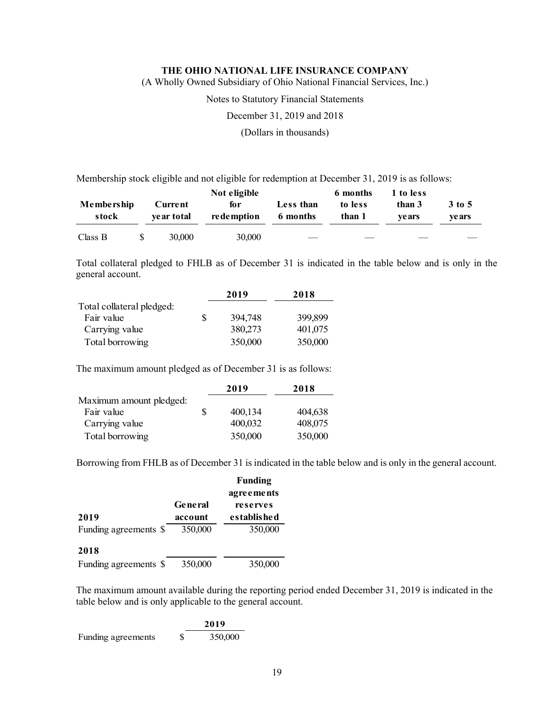(A Wholly Owned Subsidiary of Ohio National Financial Services, Inc.)

Notes to Statutory Financial Statements

December 31, 2019 and 2018

(Dollars in thousands)

Membership stock eligible and not eligible for redemption at December 31, 2019 is as follows:

|                     |                        | Not eligible        |                       | 6 months          | 1 to less        |                  |
|---------------------|------------------------|---------------------|-----------------------|-------------------|------------------|------------------|
| Membership<br>stock | Current<br>ve ar total | for<br>re de mption | Less than<br>6 months | to less<br>than 1 | than 3<br>ve ars | 3 to 5<br>ve ars |
| Class B             | 30,000                 | 30,000              |                       |                   |                  |                  |

Total collateral pledged to FHLB as of December 31 is indicated in the table below and is only in the general account.

|                           |   | 2019    | 2018    |
|---------------------------|---|---------|---------|
| Total collateral pledged: |   |         |         |
| Fair value                | S | 394,748 | 399,899 |
| Carrying value            |   | 380,273 | 401,075 |
| Total borrowing           |   | 350,000 | 350,000 |

The maximum amount pledged as of December 31 is as follows:

|                         |   | 2019    | 2018    |
|-------------------------|---|---------|---------|
| Maximum amount pledged: |   |         |         |
| Fair value              | S | 400,134 | 404,638 |
| Carrying value          |   | 400,032 | 408,075 |
| Total borrowing         |   | 350,000 | 350,000 |

Borrowing from FHLB as of December 31 is indicated in the table below and is only in the general account.

|                       |                | <b>Funding</b> |
|-----------------------|----------------|----------------|
|                       |                | agreements     |
|                       | <b>General</b> | reserves       |
| 2019                  | account        | es tablis he d |
| Funding agreements \$ | 350,000        | 350,000        |
| 2018                  |                |                |
| Funding agreements \$ | 350,000        | 350,000        |

The maximum amount available during the reporting period ended December 31, 2019 is indicated in the table below and is only applicable to the general account.

|                    | 2019    |
|--------------------|---------|
| Funding agreements | 350,000 |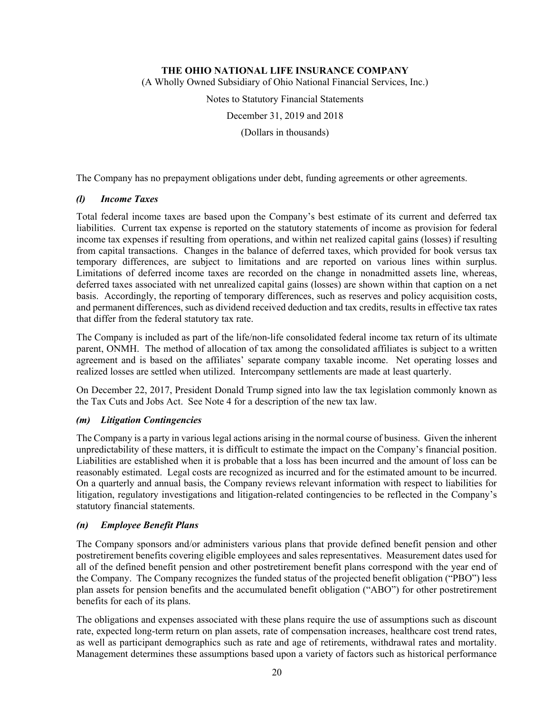(A Wholly Owned Subsidiary of Ohio National Financial Services, Inc.)

Notes to Statutory Financial Statements

December 31, 2019 and 2018

(Dollars in thousands)

The Company has no prepayment obligations under debt, funding agreements or other agreements.

### *(l) Income Taxes*

Total federal income taxes are based upon the Company's best estimate of its current and deferred tax liabilities. Current tax expense is reported on the statutory statements of income as provision for federal income tax expenses if resulting from operations, and within net realized capital gains (losses) if resulting from capital transactions. Changes in the balance of deferred taxes, which provided for book versus tax temporary differences, are subject to limitations and are reported on various lines within surplus. Limitations of deferred income taxes are recorded on the change in nonadmitted assets line, whereas, deferred taxes associated with net unrealized capital gains (losses) are shown within that caption on a net basis. Accordingly, the reporting of temporary differences, such as reserves and policy acquisition costs, and permanent differences, such as dividend received deduction and tax credits, results in effective tax rates that differ from the federal statutory tax rate.

The Company is included as part of the life/non-life consolidated federal income tax return of its ultimate parent, ONMH. The method of allocation of tax among the consolidated affiliates is subject to a written agreement and is based on the affiliates' separate company taxable income. Net operating losses and realized losses are settled when utilized. Intercompany settlements are made at least quarterly.

On December 22, 2017, President Donald Trump signed into law the tax legislation commonly known as the Tax Cuts and Jobs Act. See Note 4 for a description of the new tax law.

### *(m) Litigation Contingencies*

The Company is a party in various legal actions arising in the normal course of business. Given the inherent unpredictability of these matters, it is difficult to estimate the impact on the Company's financial position. Liabilities are established when it is probable that a loss has been incurred and the amount of loss can be reasonably estimated. Legal costs are recognized as incurred and for the estimated amount to be incurred. On a quarterly and annual basis, the Company reviews relevant information with respect to liabilities for litigation, regulatory investigations and litigation-related contingencies to be reflected in the Company's statutory financial statements.

### *(n) Employee Benefit Plans*

The Company sponsors and/or administers various plans that provide defined benefit pension and other postretirement benefits covering eligible employees and sales representatives. Measurement dates used for all of the defined benefit pension and other postretirement benefit plans correspond with the year end of the Company. The Company recognizes the funded status of the projected benefit obligation ("PBO") less plan assets for pension benefits and the accumulated benefit obligation ("ABO") for other postretirement benefits for each of its plans.

The obligations and expenses associated with these plans require the use of assumptions such as discount rate, expected long-term return on plan assets, rate of compensation increases, healthcare cost trend rates, as well as participant demographics such as rate and age of retirements, withdrawal rates and mortality. Management determines these assumptions based upon a variety of factors such as historical performance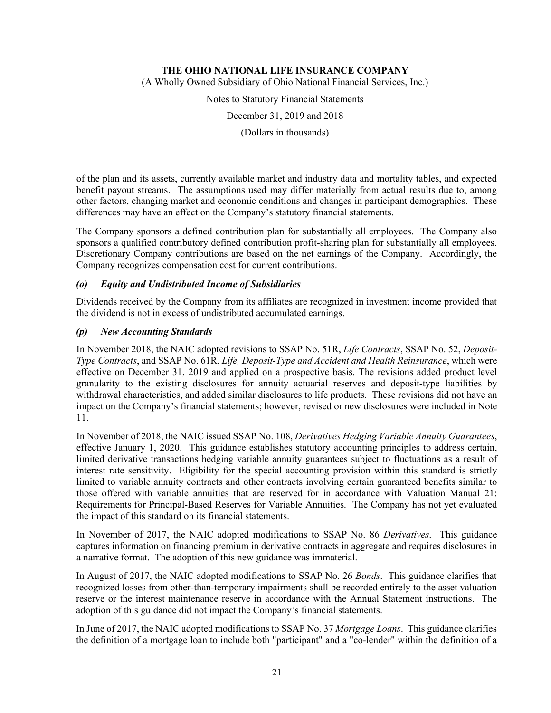(A Wholly Owned Subsidiary of Ohio National Financial Services, Inc.)

Notes to Statutory Financial Statements

December 31, 2019 and 2018

(Dollars in thousands)

of the plan and its assets, currently available market and industry data and mortality tables, and expected benefit payout streams. The assumptions used may differ materially from actual results due to, among other factors, changing market and economic conditions and changes in participant demographics. These differences may have an effect on the Company's statutory financial statements.

The Company sponsors a defined contribution plan for substantially all employees. The Company also sponsors a qualified contributory defined contribution profit-sharing plan for substantially all employees. Discretionary Company contributions are based on the net earnings of the Company. Accordingly, the Company recognizes compensation cost for current contributions.

### *(o) Equity and Undistributed Income of Subsidiaries*

Dividends received by the Company from its affiliates are recognized in investment income provided that the dividend is not in excess of undistributed accumulated earnings.

## *(p) New Accounting Standards*

In November 2018, the NAIC adopted revisions to SSAP No. 51R, *Life Contracts*, SSAP No. 52, *Deposit-Type Contracts*, and SSAP No. 61R, *Life, Deposit-Type and Accident and Health Reinsurance*, which were effective on December 31, 2019 and applied on a prospective basis. The revisions added product level granularity to the existing disclosures for annuity actuarial reserves and deposit-type liabilities by withdrawal characteristics, and added similar disclosures to life products. These revisions did not have an impact on the Company's financial statements; however, revised or new disclosures were included in Note 11.

In November of 2018, the NAIC issued SSAP No. 108, *Derivatives Hedging Variable Annuity Guarantees*, effective January 1, 2020. This guidance establishes statutory accounting principles to address certain, limited derivative transactions hedging variable annuity guarantees subject to fluctuations as a result of interest rate sensitivity. Eligibility for the special accounting provision within this standard is strictly limited to variable annuity contracts and other contracts involving certain guaranteed benefits similar to those offered with variable annuities that are reserved for in accordance with Valuation Manual 21: Requirements for Principal-Based Reserves for Variable Annuities. The Company has not yet evaluated the impact of this standard on its financial statements.

In November of 2017, the NAIC adopted modifications to SSAP No. 86 *Derivatives*. This guidance captures information on financing premium in derivative contracts in aggregate and requires disclosures in a narrative format. The adoption of this new guidance was immaterial.

In August of 2017, the NAIC adopted modifications to SSAP No. 26 *Bonds*. This guidance clarifies that recognized losses from other-than-temporary impairments shall be recorded entirely to the asset valuation reserve or the interest maintenance reserve in accordance with the Annual Statement instructions. The adoption of this guidance did not impact the Company's financial statements.

In June of 2017, the NAIC adopted modifications to SSAP No. 37 *Mortgage Loans*. This guidance clarifies the definition of a mortgage loan to include both "participant" and a "co-lender" within the definition of a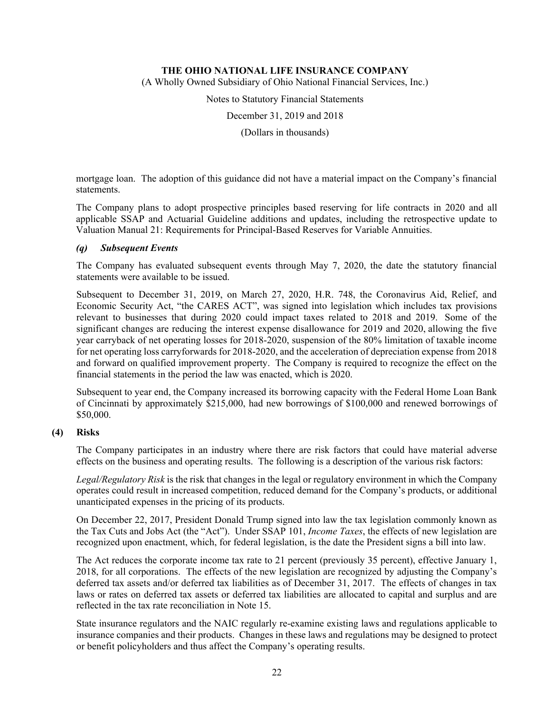(A Wholly Owned Subsidiary of Ohio National Financial Services, Inc.)

Notes to Statutory Financial Statements

December 31, 2019 and 2018

(Dollars in thousands)

mortgage loan. The adoption of this guidance did not have a material impact on the Company's financial statements.

The Company plans to adopt prospective principles based reserving for life contracts in 2020 and all applicable SSAP and Actuarial Guideline additions and updates, including the retrospective update to Valuation Manual 21: Requirements for Principal-Based Reserves for Variable Annuities.

### *(q) Subsequent Events*

The Company has evaluated subsequent events through May 7, 2020, the date the statutory financial statements were available to be issued.

Subsequent to December 31, 2019, on March 27, 2020, H.R. 748, the Coronavirus Aid, Relief, and Economic Security Act, "the CARES ACT", was signed into legislation which includes tax provisions relevant to businesses that during 2020 could impact taxes related to 2018 and 2019. Some of the significant changes are reducing the interest expense disallowance for 2019 and 2020, allowing the five year carryback of net operating losses for 2018-2020, suspension of the 80% limitation of taxable income for net operating loss carryforwards for 2018-2020, and the acceleration of depreciation expense from 2018 and forward on qualified improvement property. The Company is required to recognize the effect on the financial statements in the period the law was enacted, which is 2020.

Subsequent to year end, the Company increased its borrowing capacity with the Federal Home Loan Bank of Cincinnati by approximately \$215,000, had new borrowings of \$100,000 and renewed borrowings of \$50,000.

#### **(4) Risks**

The Company participates in an industry where there are risk factors that could have material adverse effects on the business and operating results. The following is a description of the various risk factors:

*Legal/Regulatory Risk* is the risk that changes in the legal or regulatory environment in which the Company operates could result in increased competition, reduced demand for the Company's products, or additional unanticipated expenses in the pricing of its products.

On December 22, 2017, President Donald Trump signed into law the tax legislation commonly known as the Tax Cuts and Jobs Act (the "Act"). Under SSAP 101, *Income Taxes*, the effects of new legislation are recognized upon enactment, which, for federal legislation, is the date the President signs a bill into law.

The Act reduces the corporate income tax rate to 21 percent (previously 35 percent), effective January 1, 2018, for all corporations. The effects of the new legislation are recognized by adjusting the Company's deferred tax assets and/or deferred tax liabilities as of December 31, 2017. The effects of changes in tax laws or rates on deferred tax assets or deferred tax liabilities are allocated to capital and surplus and are reflected in the tax rate reconciliation in Note 15.

State insurance regulators and the NAIC regularly re-examine existing laws and regulations applicable to insurance companies and their products. Changes in these laws and regulations may be designed to protect or benefit policyholders and thus affect the Company's operating results.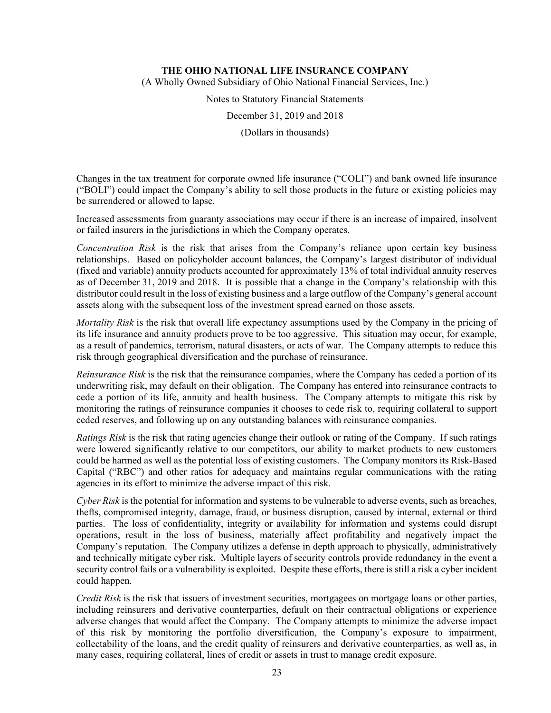(A Wholly Owned Subsidiary of Ohio National Financial Services, Inc.)

Notes to Statutory Financial Statements

December 31, 2019 and 2018

(Dollars in thousands)

Changes in the tax treatment for corporate owned life insurance ("COLI") and bank owned life insurance ("BOLI") could impact the Company's ability to sell those products in the future or existing policies may be surrendered or allowed to lapse.

Increased assessments from guaranty associations may occur if there is an increase of impaired, insolvent or failed insurers in the jurisdictions in which the Company operates.

*Concentration Risk* is the risk that arises from the Company's reliance upon certain key business relationships. Based on policyholder account balances, the Company's largest distributor of individual (fixed and variable) annuity products accounted for approximately 13% of total individual annuity reserves as of December 31, 2019 and 2018. It is possible that a change in the Company's relationship with this distributor could result in the loss of existing business and a large outflow of the Company's general account assets along with the subsequent loss of the investment spread earned on those assets.

*Mortality Risk* is the risk that overall life expectancy assumptions used by the Company in the pricing of its life insurance and annuity products prove to be too aggressive. This situation may occur, for example, as a result of pandemics, terrorism, natural disasters, or acts of war. The Company attempts to reduce this risk through geographical diversification and the purchase of reinsurance.

*Reinsurance Risk* is the risk that the reinsurance companies, where the Company has ceded a portion of its underwriting risk, may default on their obligation. The Company has entered into reinsurance contracts to cede a portion of its life, annuity and health business. The Company attempts to mitigate this risk by monitoring the ratings of reinsurance companies it chooses to cede risk to, requiring collateral to support ceded reserves, and following up on any outstanding balances with reinsurance companies.

*Ratings Risk* is the risk that rating agencies change their outlook or rating of the Company. If such ratings were lowered significantly relative to our competitors, our ability to market products to new customers could be harmed as well as the potential loss of existing customers. The Company monitors its Risk-Based Capital ("RBC") and other ratios for adequacy and maintains regular communications with the rating agencies in its effort to minimize the adverse impact of this risk.

*Cyber Risk* is the potential for information and systems to be vulnerable to adverse events, such as breaches, thefts, compromised integrity, damage, fraud, or business disruption, caused by internal, external or third parties. The loss of confidentiality, integrity or availability for information and systems could disrupt operations, result in the loss of business, materially affect profitability and negatively impact the Company's reputation. The Company utilizes a defense in depth approach to physically, administratively and technically mitigate cyber risk. Multiple layers of security controls provide redundancy in the event a security control fails or a vulnerability is exploited. Despite these efforts, there is still a risk a cyber incident could happen.

*Credit Risk* is the risk that issuers of investment securities, mortgagees on mortgage loans or other parties, including reinsurers and derivative counterparties, default on their contractual obligations or experience adverse changes that would affect the Company. The Company attempts to minimize the adverse impact of this risk by monitoring the portfolio diversification, the Company's exposure to impairment, collectability of the loans, and the credit quality of reinsurers and derivative counterparties, as well as, in many cases, requiring collateral, lines of credit or assets in trust to manage credit exposure.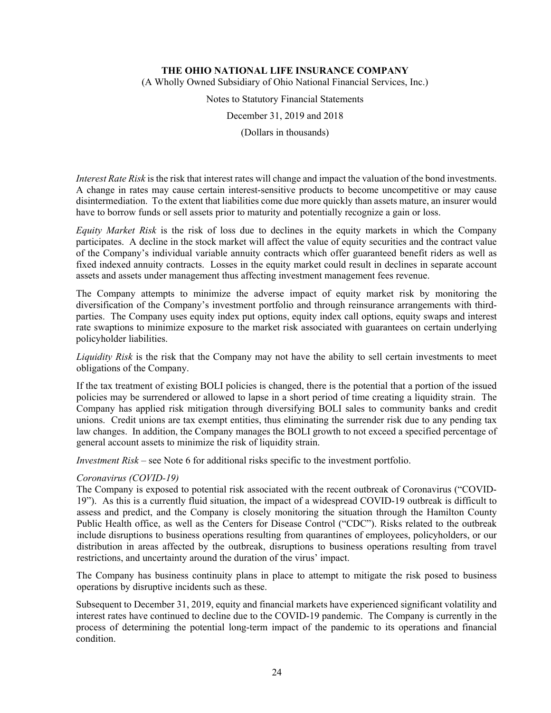(A Wholly Owned Subsidiary of Ohio National Financial Services, Inc.)

Notes to Statutory Financial Statements

December 31, 2019 and 2018

(Dollars in thousands)

*Interest Rate Risk* is the risk that interest rates will change and impact the valuation of the bond investments. A change in rates may cause certain interest-sensitive products to become uncompetitive or may cause disintermediation. To the extent that liabilities come due more quickly than assets mature, an insurer would have to borrow funds or sell assets prior to maturity and potentially recognize a gain or loss.

*Equity Market Risk* is the risk of loss due to declines in the equity markets in which the Company participates. A decline in the stock market will affect the value of equity securities and the contract value of the Company's individual variable annuity contracts which offer guaranteed benefit riders as well as fixed indexed annuity contracts. Losses in the equity market could result in declines in separate account assets and assets under management thus affecting investment management fees revenue.

The Company attempts to minimize the adverse impact of equity market risk by monitoring the diversification of the Company's investment portfolio and through reinsurance arrangements with thirdparties. The Company uses equity index put options, equity index call options, equity swaps and interest rate swaptions to minimize exposure to the market risk associated with guarantees on certain underlying policyholder liabilities.

*Liquidity Risk* is the risk that the Company may not have the ability to sell certain investments to meet obligations of the Company.

If the tax treatment of existing BOLI policies is changed, there is the potential that a portion of the issued policies may be surrendered or allowed to lapse in a short period of time creating a liquidity strain. The Company has applied risk mitigation through diversifying BOLI sales to community banks and credit unions. Credit unions are tax exempt entities, thus eliminating the surrender risk due to any pending tax law changes. In addition, the Company manages the BOLI growth to not exceed a specified percentage of general account assets to minimize the risk of liquidity strain.

*Investment Risk* – see Note 6 for additional risks specific to the investment portfolio.

#### *Coronavirus (COVID-19)*

The Company is exposed to potential risk associated with the recent outbreak of Coronavirus ("COVID-19"). As this is a currently fluid situation, the impact of a widespread COVID-19 outbreak is difficult to assess and predict, and the Company is closely monitoring the situation through the Hamilton County Public Health office, as well as the Centers for Disease Control ("CDC"). Risks related to the outbreak include disruptions to business operations resulting from quarantines of employees, policyholders, or our distribution in areas affected by the outbreak, disruptions to business operations resulting from travel restrictions, and uncertainty around the duration of the virus' impact.

The Company has business continuity plans in place to attempt to mitigate the risk posed to business operations by disruptive incidents such as these.

Subsequent to December 31, 2019, equity and financial markets have experienced significant volatility and interest rates have continued to decline due to the COVID-19 pandemic. The Company is currently in the process of determining the potential long-term impact of the pandemic to its operations and financial condition.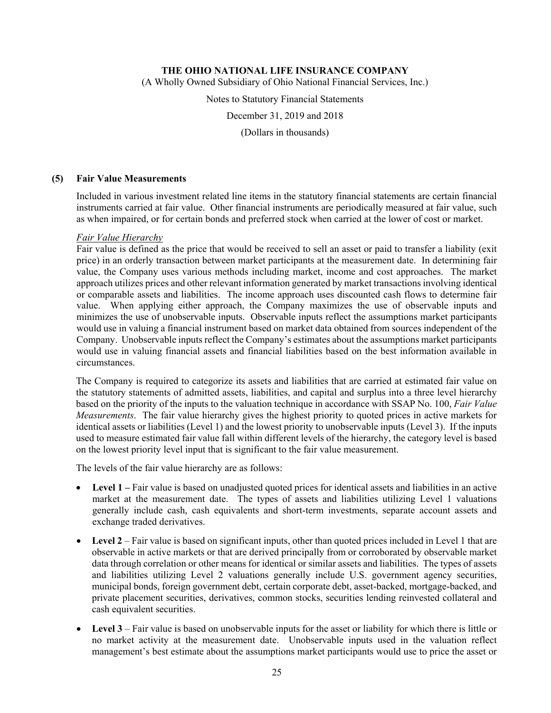(A Wholly Owned Subsidiary of Ohio National Financial Services, Inc.)

Notes to Statutory Financial Statements

December 31, 2019 and 2018

(Dollars in thousands)

#### **(5) Fair Value Measurements**

Included in various investment related line items in the statutory financial statements are certain financial instruments carried at fair value. Other financial instruments are periodically measured at fair value, such as when impaired, or for certain bonds and preferred stock when carried at the lower of cost or market.

### *Fair Value Hierarchy*

Fair value is defined as the price that would be received to sell an asset or paid to transfer a liability (exit price) in an orderly transaction between market participants at the measurement date. In determining fair value, the Company uses various methods including market, income and cost approaches. The market approach utilizes prices and other relevant information generated by market transactions involving identical or comparable assets and liabilities. The income approach uses discounted cash flows to determine fair value. When applying either approach, the Company maximizes the use of observable inputs and minimizes the use of unobservable inputs. Observable inputs reflect the assumptions market participants would use in valuing a financial instrument based on market data obtained from sources independent of the Company. Unobservable inputs reflect the Company's estimates about the assumptions market participants would use in valuing financial assets and financial liabilities based on the best information available in circumstances.

The Company is required to categorize its assets and liabilities that are carried at estimated fair value on the statutory statements of admitted assets, liabilities, and capital and surplus into a three level hierarchy based on the priority of the inputs to the valuation technique in accordance with SSAP No. 100, *Fair Value Measurements*. The fair value hierarchy gives the highest priority to quoted prices in active markets for identical assets or liabilities (Level 1) and the lowest priority to unobservable inputs (Level 3). If the inputs used to measure estimated fair value fall within different levels of the hierarchy, the category level is based on the lowest priority level input that is significant to the fair value measurement.

The levels of the fair value hierarchy are as follows:

- Level 1 Fair value is based on unadjusted quoted prices for identical assets and liabilities in an active market at the measurement date. The types of assets and liabilities utilizing Level 1 valuations generally include cash, cash equivalents and short-term investments, separate account assets and exchange traded derivatives.
- Level 2 Fair value is based on significant inputs, other than quoted prices included in Level 1 that are observable in active markets or that are derived principally from or corroborated by observable market data through correlation or other means for identical or similar assets and liabilities. The types of assets and liabilities utilizing Level 2 valuations generally include U.S. government agency securities, municipal bonds, foreign government debt, certain corporate debt, asset-backed, mortgage-backed, and private placement securities, derivatives, common stocks, securities lending reinvested collateral and cash equivalent securities.
- **Level 3** Fair value is based on unobservable inputs for the asset or liability for which there is little or no market activity at the measurement date. Unobservable inputs used in the valuation reflect management's best estimate about the assumptions market participants would use to price the asset or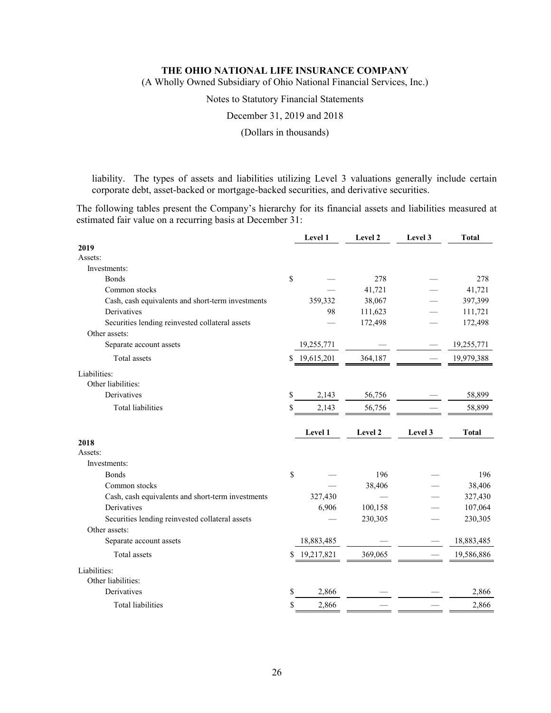(A Wholly Owned Subsidiary of Ohio National Financial Services, Inc.)

Notes to Statutory Financial Statements

December 31, 2019 and 2018

(Dollars in thousands)

liability. The types of assets and liabilities utilizing Level 3 valuations generally include certain corporate debt, asset-backed or mortgage-backed securities, and derivative securities.

The following tables present the Company's hierarchy for its financial assets and liabilities measured at estimated fair value on a recurring basis at December 31:

|                                                   | Level 1          | Level 2 | Level 3 | <b>Total</b> |
|---------------------------------------------------|------------------|---------|---------|--------------|
| 2019                                              |                  |         |         |              |
| Assets:                                           |                  |         |         |              |
| Investments:                                      |                  |         |         |              |
| <b>Bonds</b>                                      | \$               | 278     |         | 278          |
| Common stocks                                     |                  | 41,721  |         | 41,721       |
| Cash, cash equivalents and short-term investments | 359,332          | 38,067  |         | 397,399      |
| Derivatives                                       | 98               | 111,623 |         | 111,721      |
| Securities lending reinvested collateral assets   |                  | 172,498 |         | 172,498      |
| Other assets:                                     |                  |         |         |              |
| Separate account assets                           | 19,255,771       |         |         | 19,255,771   |
| Total assets                                      | 19,615,201<br>\$ | 364,187 |         | 19,979,388   |
| Liabilities:<br>Other liabilities:                |                  |         |         |              |
| Derivatives                                       | \$<br>2,143      | 56,756  |         | 58,899       |
| <b>Total liabilities</b>                          | \$<br>2,143      | 56,756  |         | 58,899       |
|                                                   |                  |         |         |              |
|                                                   |                  |         |         |              |
|                                                   | Level 1          | Level 2 | Level 3 | <b>Total</b> |
| 2018                                              |                  |         |         |              |
| Assets:                                           |                  |         |         |              |
| Investments:                                      |                  |         |         |              |
| <b>Bonds</b>                                      | $\mathbb S$      | 196     |         | 196          |
| Common stocks                                     |                  | 38,406  |         | 38,406       |
| Cash, cash equivalents and short-term investments | 327,430          |         |         | 327,430      |
| Derivatives                                       | 6,906            | 100,158 |         | 107,064      |
| Securities lending reinvested collateral assets   |                  | 230,305 |         | 230,305      |
| Other assets:                                     |                  |         |         |              |
| Separate account assets                           | 18,883,485       |         |         | 18,883,485   |
| Total assets                                      | 19,217,821<br>S  | 369,065 |         | 19,586,886   |
| Liabilities:                                      |                  |         |         |              |
| Other liabilities:                                |                  |         |         |              |
| Derivatives                                       | \$<br>2,866      |         |         | 2,866        |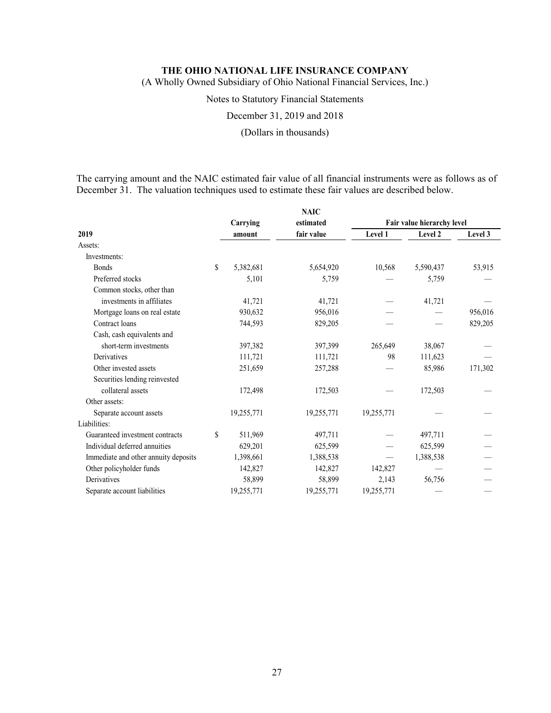(A Wholly Owned Subsidiary of Ohio National Financial Services, Inc.)

### Notes to Statutory Financial Statements

December 31, 2019 and 2018

### (Dollars in thousands)

The carrying amount and the NAIC estimated fair value of all financial instruments were as follows as of December 31. The valuation techniques used to estimate these fair values are described below.

|                                      |    |            | <b>NAIC</b> |                            |           |         |  |  |
|--------------------------------------|----|------------|-------------|----------------------------|-----------|---------|--|--|
|                                      |    | Carrying   | estimated   | Fair value hierarchy level |           |         |  |  |
| 2019                                 |    | amount     | fair value  | Level 1                    | Level 2   | Level 3 |  |  |
| Assets:                              |    |            |             |                            |           |         |  |  |
| Investments:                         |    |            |             |                            |           |         |  |  |
| <b>Bonds</b>                         | \$ | 5,382,681  | 5,654,920   | 10,568                     | 5,590,437 | 53,915  |  |  |
| Preferred stocks                     |    | 5,101      | 5,759       |                            | 5,759     |         |  |  |
| Common stocks, other than            |    |            |             |                            |           |         |  |  |
| investments in affiliates            |    | 41,721     | 41,721      |                            | 41,721    |         |  |  |
| Mortgage loans on real estate        |    | 930,632    | 956,016     |                            |           | 956,016 |  |  |
| Contract loans                       |    | 744,593    | 829,205     |                            |           | 829,205 |  |  |
| Cash, cash equivalents and           |    |            |             |                            |           |         |  |  |
| short-term investments               |    | 397,382    | 397,399     | 265,649                    | 38,067    |         |  |  |
| Derivatives                          |    | 111,721    | 111,721     | 98                         | 111,623   |         |  |  |
| Other invested assets                |    | 251,659    | 257,288     |                            | 85,986    | 171,302 |  |  |
| Securities lending reinvested        |    |            |             |                            |           |         |  |  |
| collateral assets                    |    | 172,498    | 172,503     |                            | 172,503   |         |  |  |
| Other assets:                        |    |            |             |                            |           |         |  |  |
| Separate account assets              |    | 19,255,771 | 19,255,771  | 19,255,771                 |           |         |  |  |
| Liabilities:                         |    |            |             |                            |           |         |  |  |
| Guaranteed investment contracts      | S  | 511,969    | 497,711     |                            | 497,711   |         |  |  |
| Individual deferred annuities        |    | 629,201    | 625,599     |                            | 625,599   |         |  |  |
| Immediate and other annuity deposits |    | 1,398,661  | 1,388,538   | $\qquad \qquad$            | 1,388,538 |         |  |  |
| Other policyholder funds             |    | 142,827    | 142,827     | 142,827                    |           |         |  |  |
| Derivatives                          |    | 58,899     | 58,899      | 2,143                      | 56,756    |         |  |  |
| Separate account liabilities         |    | 19,255,771 | 19,255,771  | 19,255,771                 |           |         |  |  |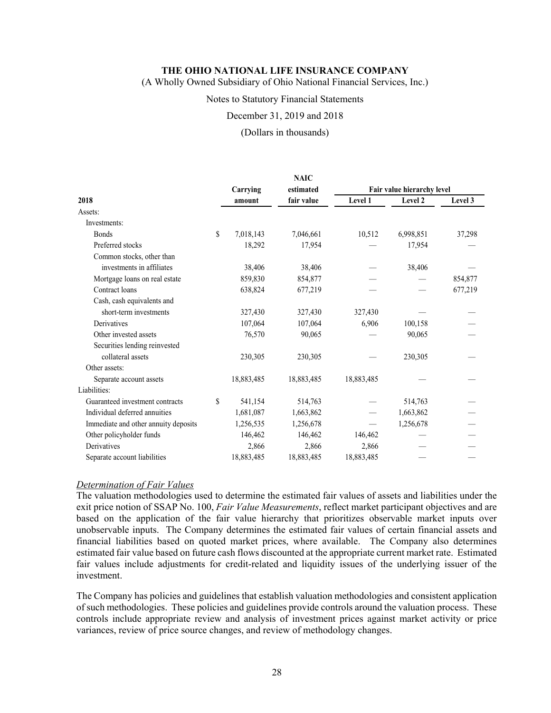(A Wholly Owned Subsidiary of Ohio National Financial Services, Inc.)

#### Notes to Statutory Financial Statements

#### December 31, 2019 and 2018

#### (Dollars in thousands)

|                                      |    |            | <b>NAIC</b> |                            |           |         |  |
|--------------------------------------|----|------------|-------------|----------------------------|-----------|---------|--|
|                                      |    | Carrying   | estimated   | Fair value hierarchy level |           |         |  |
| 2018                                 |    | amount     | fair value  | Level 1                    | Level 2   | Level 3 |  |
| Assets:                              |    |            |             |                            |           |         |  |
| Investments:                         |    |            |             |                            |           |         |  |
| <b>Bonds</b>                         | \$ | 7,018,143  | 7,046,661   | 10,512                     | 6,998,851 | 37,298  |  |
| Preferred stocks                     |    | 18,292     | 17,954      |                            | 17,954    |         |  |
| Common stocks, other than            |    |            |             |                            |           |         |  |
| investments in affiliates            |    | 38,406     | 38,406      |                            | 38,406    |         |  |
| Mortgage loans on real estate        |    | 859,830    | 854,877     |                            |           | 854,877 |  |
| Contract loans                       |    | 638,824    | 677,219     |                            |           | 677,219 |  |
| Cash, cash equivalents and           |    |            |             |                            |           |         |  |
| short-term investments               |    | 327,430    | 327,430     | 327,430                    |           |         |  |
| Derivatives                          |    | 107,064    | 107,064     | 6,906                      | 100,158   |         |  |
| Other invested assets                |    | 76,570     | 90,065      |                            | 90,065    |         |  |
| Securities lending reinvested        |    |            |             |                            |           |         |  |
| collateral assets                    |    | 230,305    | 230,305     |                            | 230,305   |         |  |
| Other assets:                        |    |            |             |                            |           |         |  |
| Separate account assets              |    | 18,883,485 | 18,883,485  | 18,883,485                 |           |         |  |
| Liabilities:                         |    |            |             |                            |           |         |  |
| Guaranteed investment contracts      | \$ | 541,154    | 514,763     |                            | 514,763   |         |  |
| Individual deferred annuities        |    | 1,681,087  | 1,663,862   |                            | 1,663,862 |         |  |
| Immediate and other annuity deposits |    | 1,256,535  | 1,256,678   |                            | 1,256,678 |         |  |
| Other policyholder funds             |    | 146,462    | 146,462     | 146,462                    |           |         |  |
| Derivatives                          |    | 2,866      | 2,866       | 2,866                      |           |         |  |
| Separate account liabilities         |    | 18,883,485 | 18,883,485  | 18,883,485                 |           |         |  |

#### *Determination of Fair Values*

The valuation methodologies used to determine the estimated fair values of assets and liabilities under the exit price notion of SSAP No. 100, *Fair Value Measurements*, reflect market participant objectives and are based on the application of the fair value hierarchy that prioritizes observable market inputs over unobservable inputs. The Company determines the estimated fair values of certain financial assets and financial liabilities based on quoted market prices, where available. The Company also determines estimated fair value based on future cash flows discounted at the appropriate current market rate. Estimated fair values include adjustments for credit-related and liquidity issues of the underlying issuer of the investment.

The Company has policies and guidelines that establish valuation methodologies and consistent application of such methodologies. These policies and guidelines provide controls around the valuation process. These controls include appropriate review and analysis of investment prices against market activity or price variances, review of price source changes, and review of methodology changes.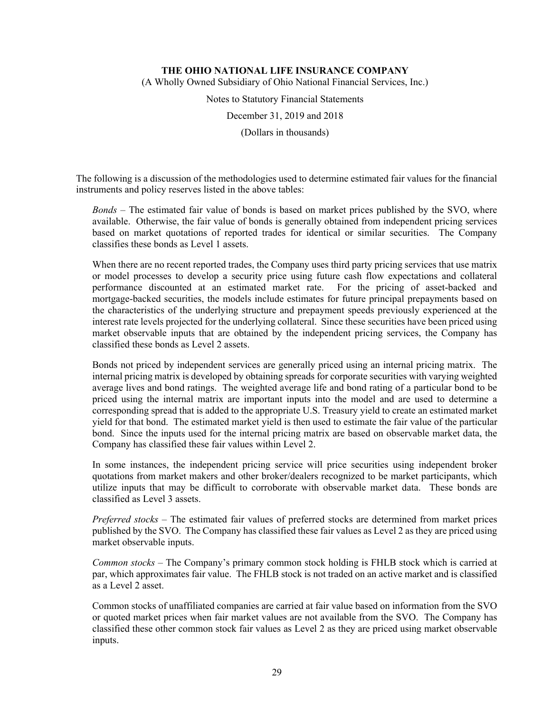(A Wholly Owned Subsidiary of Ohio National Financial Services, Inc.)

Notes to Statutory Financial Statements

December 31, 2019 and 2018

(Dollars in thousands)

The following is a discussion of the methodologies used to determine estimated fair values for the financial instruments and policy reserves listed in the above tables:

*Bonds –* The estimated fair value of bonds is based on market prices published by the SVO, where available. Otherwise, the fair value of bonds is generally obtained from independent pricing services based on market quotations of reported trades for identical or similar securities. The Company classifies these bonds as Level 1 assets.

When there are no recent reported trades, the Company uses third party pricing services that use matrix or model processes to develop a security price using future cash flow expectations and collateral performance discounted at an estimated market rate. For the pricing of asset-backed and mortgage-backed securities, the models include estimates for future principal prepayments based on the characteristics of the underlying structure and prepayment speeds previously experienced at the interest rate levels projected for the underlying collateral. Since these securities have been priced using market observable inputs that are obtained by the independent pricing services, the Company has classified these bonds as Level 2 assets.

Bonds not priced by independent services are generally priced using an internal pricing matrix. The internal pricing matrix is developed by obtaining spreads for corporate securities with varying weighted average lives and bond ratings. The weighted average life and bond rating of a particular bond to be priced using the internal matrix are important inputs into the model and are used to determine a corresponding spread that is added to the appropriate U.S. Treasury yield to create an estimated market yield for that bond. The estimated market yield is then used to estimate the fair value of the particular bond. Since the inputs used for the internal pricing matrix are based on observable market data, the Company has classified these fair values within Level 2.

In some instances, the independent pricing service will price securities using independent broker quotations from market makers and other broker/dealers recognized to be market participants, which utilize inputs that may be difficult to corroborate with observable market data. These bonds are classified as Level 3 assets.

*Preferred stocks* – The estimated fair values of preferred stocks are determined from market prices published by the SVO. The Company has classified these fair values as Level 2 as they are priced using market observable inputs.

*Common stocks –* The Company's primary common stock holding is FHLB stock which is carried at par, which approximates fair value. The FHLB stock is not traded on an active market and is classified as a Level 2 asset.

Common stocks of unaffiliated companies are carried at fair value based on information from the SVO or quoted market prices when fair market values are not available from the SVO. The Company has classified these other common stock fair values as Level 2 as they are priced using market observable inputs.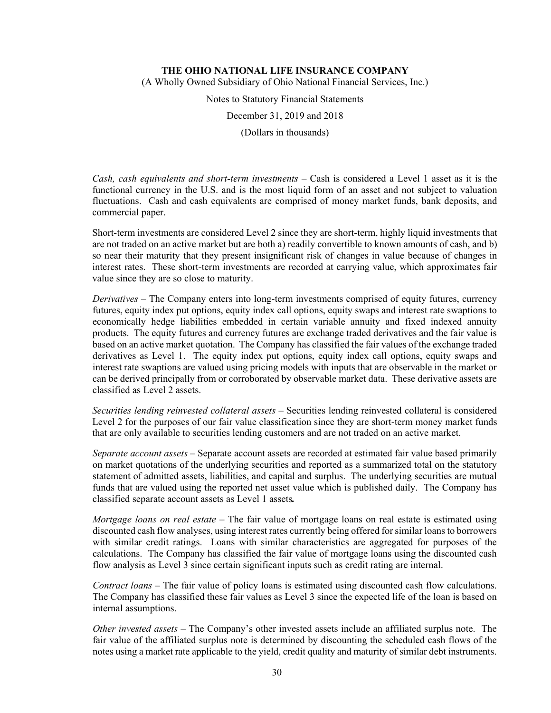(A Wholly Owned Subsidiary of Ohio National Financial Services, Inc.)

Notes to Statutory Financial Statements

December 31, 2019 and 2018

(Dollars in thousands)

*Cash, cash equivalents and short-term investments –* Cash is considered a Level 1 asset as it is the functional currency in the U.S. and is the most liquid form of an asset and not subject to valuation fluctuations. Cash and cash equivalents are comprised of money market funds, bank deposits, and commercial paper.

Short-term investments are considered Level 2 since they are short-term, highly liquid investments that are not traded on an active market but are both a) readily convertible to known amounts of cash, and b) so near their maturity that they present insignificant risk of changes in value because of changes in interest rates. These short-term investments are recorded at carrying value, which approximates fair value since they are so close to maturity.

*Derivatives –* The Company enters into long-term investments comprised of equity futures, currency futures, equity index put options, equity index call options, equity swaps and interest rate swaptions to economically hedge liabilities embedded in certain variable annuity and fixed indexed annuity products. The equity futures and currency futures are exchange traded derivatives and the fair value is based on an active market quotation. The Company has classified the fair values of the exchange traded derivatives as Level 1. The equity index put options, equity index call options, equity swaps and interest rate swaptions are valued using pricing models with inputs that are observable in the market or can be derived principally from or corroborated by observable market data. These derivative assets are classified as Level 2 assets.

*Securities lending reinvested collateral assets –* Securities lending reinvested collateral is considered Level 2 for the purposes of our fair value classification since they are short-term money market funds that are only available to securities lending customers and are not traded on an active market.

*Separate account assets* – Separate account assets are recorded at estimated fair value based primarily on market quotations of the underlying securities and reported as a summarized total on the statutory statement of admitted assets, liabilities, and capital and surplus. The underlying securities are mutual funds that are valued using the reported net asset value which is published daily. The Company has classified separate account assets as Level 1 assets*.*

*Mortgage loans on real estate* – The fair value of mortgage loans on real estate is estimated using discounted cash flow analyses, using interest rates currently being offered for similar loans to borrowers with similar credit ratings. Loans with similar characteristics are aggregated for purposes of the calculations. The Company has classified the fair value of mortgage loans using the discounted cash flow analysis as Level 3 since certain significant inputs such as credit rating are internal.

*Contract loans* – The fair value of policy loans is estimated using discounted cash flow calculations. The Company has classified these fair values as Level 3 since the expected life of the loan is based on internal assumptions.

*Other invested assets* – The Company's other invested assets include an affiliated surplus note. The fair value of the affiliated surplus note is determined by discounting the scheduled cash flows of the notes using a market rate applicable to the yield, credit quality and maturity of similar debt instruments.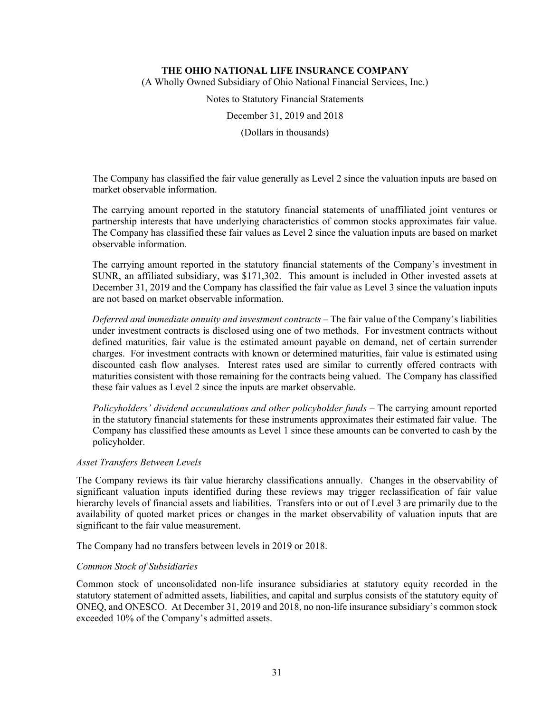(A Wholly Owned Subsidiary of Ohio National Financial Services, Inc.)

Notes to Statutory Financial Statements

December 31, 2019 and 2018

(Dollars in thousands)

The Company has classified the fair value generally as Level 2 since the valuation inputs are based on market observable information.

The carrying amount reported in the statutory financial statements of unaffiliated joint ventures or partnership interests that have underlying characteristics of common stocks approximates fair value. The Company has classified these fair values as Level 2 since the valuation inputs are based on market observable information.

The carrying amount reported in the statutory financial statements of the Company's investment in SUNR, an affiliated subsidiary, was \$171,302. This amount is included in Other invested assets at December 31, 2019 and the Company has classified the fair value as Level 3 since the valuation inputs are not based on market observable information.

*Deferred and immediate annuity and investment contracts –* The fair value of the Company's liabilities under investment contracts is disclosed using one of two methods. For investment contracts without defined maturities, fair value is the estimated amount payable on demand, net of certain surrender charges. For investment contracts with known or determined maturities, fair value is estimated using discounted cash flow analyses. Interest rates used are similar to currently offered contracts with maturities consistent with those remaining for the contracts being valued. The Company has classified these fair values as Level 2 since the inputs are market observable.

*Policyholders' dividend accumulations and other policyholder funds* – The carrying amount reported in the statutory financial statements for these instruments approximates their estimated fair value. The Company has classified these amounts as Level 1 since these amounts can be converted to cash by the policyholder.

### *Asset Transfers Between Levels*

The Company reviews its fair value hierarchy classifications annually. Changes in the observability of significant valuation inputs identified during these reviews may trigger reclassification of fair value hierarchy levels of financial assets and liabilities. Transfers into or out of Level 3 are primarily due to the availability of quoted market prices or changes in the market observability of valuation inputs that are significant to the fair value measurement.

The Company had no transfers between levels in 2019 or 2018.

#### *Common Stock of Subsidiaries*

Common stock of unconsolidated non-life insurance subsidiaries at statutory equity recorded in the statutory statement of admitted assets, liabilities, and capital and surplus consists of the statutory equity of ONEQ, and ONESCO. At December 31, 2019 and 2018, no non-life insurance subsidiary's common stock exceeded 10% of the Company's admitted assets.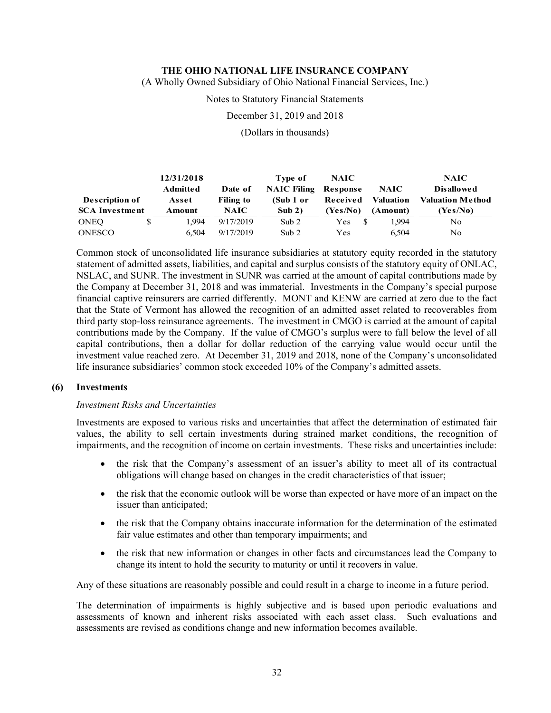(A Wholly Owned Subsidiary of Ohio National Financial Services, Inc.)

#### Notes to Statutory Financial Statements

December 31, 2019 and 2018

(Dollars in thousands)

|                       | 12/31/2018      |                  | Type of            | <b>NAIC</b> |             | <b>NAIC</b>             |
|-----------------------|-----------------|------------------|--------------------|-------------|-------------|-------------------------|
|                       | <b>Admitted</b> | Date of          | <b>NAIC Filing</b> | Response    | <b>NAIC</b> | <b>Disallowed</b>       |
| Description of        | Asset           | <b>Filing to</b> | (Sub 1 or          | Received    | Valuation   | <b>Valuation Method</b> |
| <b>SCA Investment</b> | Amount          | <b>NAIC</b>      | Sub 2)             | (Yes/No)    | (Amount)    | (Yes/No)                |
| <b>ONEO</b>           | 1.994           | 9/17/2019        | Sub 2              | Yes<br>S    | 1.994       | No.                     |
| <b>ONESCO</b>         | 6.504           | 9/17/2019        | Sub 2              | Yes         | 6.504       | No                      |

Common stock of unconsolidated life insurance subsidiaries at statutory equity recorded in the statutory statement of admitted assets, liabilities, and capital and surplus consists of the statutory equity of ONLAC, NSLAC, and SUNR. The investment in SUNR was carried at the amount of capital contributions made by the Company at December 31, 2018 and was immaterial. Investments in the Company's special purpose financial captive reinsurers are carried differently. MONT and KENW are carried at zero due to the fact that the State of Vermont has allowed the recognition of an admitted asset related to recoverables from third party stop-loss reinsurance agreements. The investment in CMGO is carried at the amount of capital contributions made by the Company. If the value of CMGO's surplus were to fall below the level of all capital contributions, then a dollar for dollar reduction of the carrying value would occur until the investment value reached zero. At December 31, 2019 and 2018, none of the Company's unconsolidated life insurance subsidiaries' common stock exceeded 10% of the Company's admitted assets.

#### **(6) Investments**

#### *Investment Risks and Uncertainties*

Investments are exposed to various risks and uncertainties that affect the determination of estimated fair values, the ability to sell certain investments during strained market conditions, the recognition of impairments, and the recognition of income on certain investments. These risks and uncertainties include:

- the risk that the Company's assessment of an issuer's ability to meet all of its contractual obligations will change based on changes in the credit characteristics of that issuer;
- the risk that the economic outlook will be worse than expected or have more of an impact on the issuer than anticipated;
- the risk that the Company obtains inaccurate information for the determination of the estimated fair value estimates and other than temporary impairments; and
- the risk that new information or changes in other facts and circumstances lead the Company to change its intent to hold the security to maturity or until it recovers in value.

Any of these situations are reasonably possible and could result in a charge to income in a future period.

The determination of impairments is highly subjective and is based upon periodic evaluations and assessments of known and inherent risks associated with each asset class. Such evaluations and assessments are revised as conditions change and new information becomes available.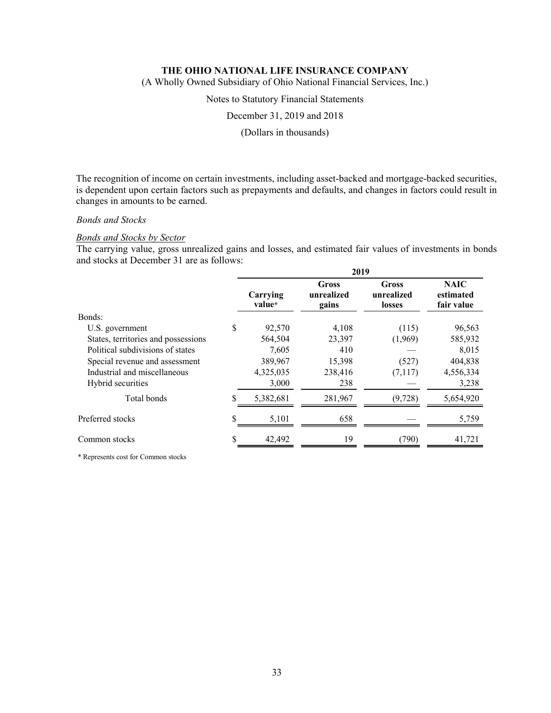(A Wholly Owned Subsidiary of Ohio National Financial Services, Inc.)

Notes to Statutory Financial Statements

December 31, 2019 and 2018

(Dollars in thousands)

The recognition of income on certain investments, including asset-backed and mortgage-backed securities, is dependent upon certain factors such as prepayments and defaults, and changes in factors could result in changes in amounts to be earned.

## *Bonds and Stocks*

#### *Bonds and Stocks by Sector*

The carrying value, gross unrealized gains and losses, and estimated fair values of investments in bonds and stocks at December 31 are as follows:

|                                     | 2019               |                              |                               |                                        |  |  |
|-------------------------------------|--------------------|------------------------------|-------------------------------|----------------------------------------|--|--|
|                                     | Carrying<br>value* | Gross<br>unrealized<br>gains | Gross<br>unrealized<br>losses | <b>NAIC</b><br>estimated<br>fair value |  |  |
| Bonds:                              |                    |                              |                               |                                        |  |  |
| U.S. government                     | \$<br>92,570       | 4,108                        | (115)                         | 96,563                                 |  |  |
| States, territories and possessions | 564,504            | 23,397                       | (1,969)                       | 585,932                                |  |  |
| Political subdivisions of states    | 7,605              | 410                          |                               | 8,015                                  |  |  |
| Special revenue and assessment      | 389,967            | 15,398                       | (527)                         | 404,838                                |  |  |
| Industrial and miscellaneous        | 4,325,035          | 238,416                      | (7,117)                       | 4,556,334                              |  |  |
| Hybrid securities                   | 3,000              | 238                          |                               | 3,238                                  |  |  |
| Total bonds                         | 5,382,681          | 281,967                      | (9, 728)                      | 5,654,920                              |  |  |
| Preferred stocks                    | 5,101              | 658                          |                               | 5,759                                  |  |  |
| Common stocks                       | \$<br>42,492       | 19                           | (790)                         | 41,721                                 |  |  |

\* Represents cost for Common stocks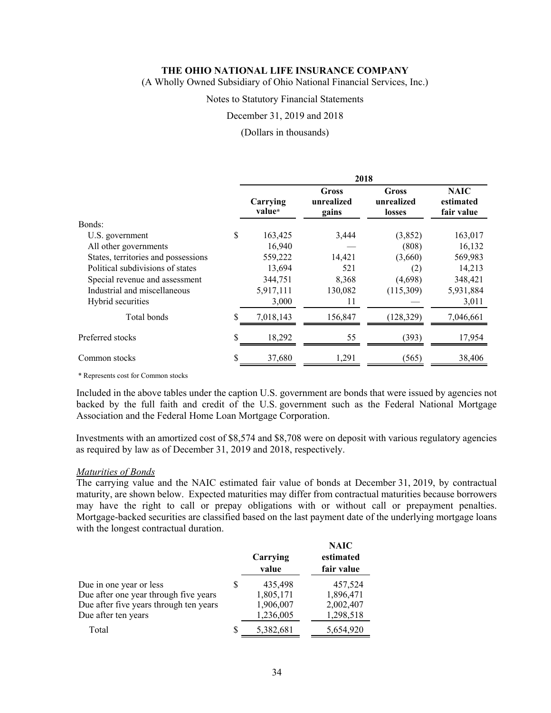(A Wholly Owned Subsidiary of Ohio National Financial Services, Inc.)

#### Notes to Statutory Financial Statements

#### December 31, 2019 and 2018

#### (Dollars in thousands)

|                                     | 2018               |                              |                                      |                                        |  |  |
|-------------------------------------|--------------------|------------------------------|--------------------------------------|----------------------------------------|--|--|
|                                     | Carrying<br>value* | Gross<br>unrealized<br>gains | <b>Gross</b><br>unrealized<br>losses | <b>NAIC</b><br>estimated<br>fair value |  |  |
| Bonds:                              |                    |                              |                                      |                                        |  |  |
| U.S. government                     | \$<br>163,425      | 3,444                        | (3,852)                              | 163,017                                |  |  |
| All other governments               | 16,940             |                              | (808)                                | 16,132                                 |  |  |
| States, territories and possessions | 559,222            | 14,421                       | (3,660)                              | 569,983                                |  |  |
| Political subdivisions of states    | 13,694             | 521                          | (2)                                  | 14,213                                 |  |  |
| Special revenue and assessment      | 344,751            | 8,368                        | (4,698)                              | 348,421                                |  |  |
| Industrial and miscellaneous        | 5,917,111          | 130,082                      | (115,309)                            | 5,931,884                              |  |  |
| Hybrid securities                   | 3,000              | 11                           |                                      | 3,011                                  |  |  |
| Total bonds                         | \$<br>7,018,143    | 156,847                      | (128, 329)                           | 7,046,661                              |  |  |
| Preferred stocks                    | \$<br>18,292       | 55                           | (393)                                | 17,954                                 |  |  |
| Common stocks                       | \$<br>37,680       | 1,291                        | (565)                                | 38,406                                 |  |  |

\* Represents cost for Common stocks

Included in the above tables under the caption U.S. government are bonds that were issued by agencies not backed by the full faith and credit of the U.S. government such as the Federal National Mortgage Association and the Federal Home Loan Mortgage Corporation.

Investments with an amortized cost of \$8,574 and \$8,708 were on deposit with various regulatory agencies as required by law as of December 31, 2019 and 2018, respectively.

#### *Maturities of Bonds*

The carrying value and the NAIC estimated fair value of bonds at December 31, 2019, by contractual maturity, are shown below. Expected maturities may differ from contractual maturities because borrowers may have the right to call or prepay obligations with or without call or prepayment penalties. Mortgage-backed securities are classified based on the last payment date of the underlying mortgage loans with the longest contractual duration.

|                                        |   | Carrying<br>value | <b>NAIC</b><br>estimated<br>fair value |
|----------------------------------------|---|-------------------|----------------------------------------|
| Due in one year or less                | S | 435,498           | 457,524                                |
| Due after one year through five years  |   | 1,805,171         | 1,896,471                              |
| Due after five years through ten years |   | 1,906,007         | 2,002,407                              |
| Due after ten years                    |   | 1,236,005         | 1,298,518                              |
| Total                                  | S | 5,382,681         | 5,654,920                              |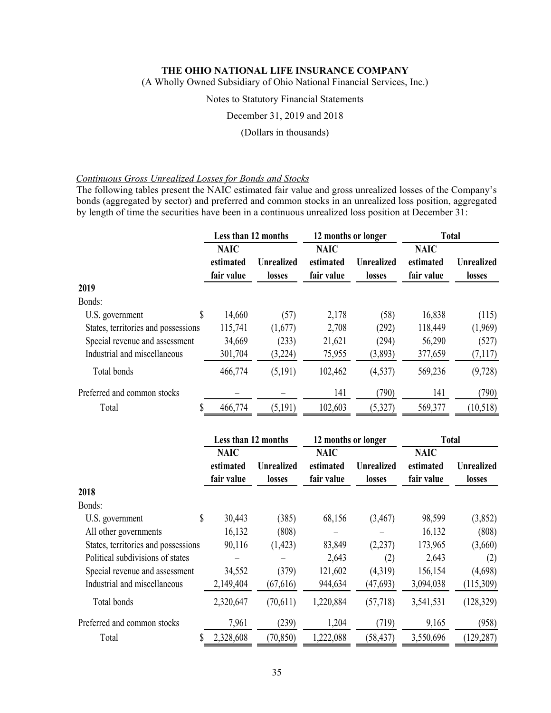(A Wholly Owned Subsidiary of Ohio National Financial Services, Inc.)

### Notes to Statutory Financial Statements

December 31, 2019 and 2018

#### (Dollars in thousands)

### *Continuous Gross Unrealized Losses for Bonds and Stocks*

The following tables present the NAIC estimated fair value and gross unrealized losses of the Company's bonds (aggregated by sector) and preferred and common stocks in an unrealized loss position, aggregated by length of time the securities have been in a continuous unrealized loss position at December 31:

|                                     | Less than 12 months                    |                                    | 12 months or longer                    |                             | <b>Total</b>                           |                             |
|-------------------------------------|----------------------------------------|------------------------------------|----------------------------------------|-----------------------------|----------------------------------------|-----------------------------|
|                                     | <b>NAIC</b><br>estimated<br>fair value | <b>Unrealized</b><br><b>losses</b> | <b>NAIC</b><br>estimated<br>fair value | <b>Unrealized</b><br>losses | <b>NAIC</b><br>estimated<br>fair value | <b>Unrealized</b><br>losses |
| 2019                                |                                        |                                    |                                        |                             |                                        |                             |
| Bonds:                              |                                        |                                    |                                        |                             |                                        |                             |
| \$<br>U.S. government               | 14,660                                 | (57)                               | 2,178                                  | (58)                        | 16,838                                 | (115)                       |
| States, territories and possessions | 115,741                                | (1,677)                            | 2,708                                  | (292)                       | 118,449                                | (1,969)                     |
| Special revenue and assessment      | 34,669                                 | (233)                              | 21,621                                 | (294)                       | 56,290                                 | (527)                       |
| Industrial and miscellaneous        | 301,704                                | (3,224)                            | 75,955                                 | (3,893)                     | 377,659                                | (7,117)                     |
| Total bonds                         | 466,774                                | (5,191)                            | 102,462                                | (4,537)                     | 569,236                                | (9,728)                     |
| Preferred and common stocks         |                                        |                                    | 141                                    | (790)                       | 141                                    | (790)                       |
| S<br>Total                          | 466,774                                | (5,191)                            | 102,603                                | (5,327)                     | 569,377                                | (10,518)                    |
|                                     | Less than 12 months                    |                                    | 12 months or longer                    |                             |                                        | <b>Total</b>                |

|                                     | <b>NAIC</b><br>estimated<br>fair value | <b>Unrealized</b><br><b>losses</b> | <b>NAIC</b><br>estimated<br>fair value | <b>Unrealized</b><br><b>losses</b> | <b>NAIC</b><br>estimated<br>fair value | <b>Unrealized</b><br>losses |
|-------------------------------------|----------------------------------------|------------------------------------|----------------------------------------|------------------------------------|----------------------------------------|-----------------------------|
| 2018                                |                                        |                                    |                                        |                                    |                                        |                             |
| Bonds:                              |                                        |                                    |                                        |                                    |                                        |                             |
| \$<br>U.S. government               | 30,443                                 | (385)                              | 68,156                                 | (3,467)                            | 98,599                                 | (3,852)                     |
| All other governments               | 16,132                                 | (808)                              | —                                      |                                    | 16,132                                 | (808)                       |
| States, territories and possessions | 90,116                                 | (1, 423)                           | 83,849                                 | (2,237)                            | 173,965                                | (3,660)                     |
| Political subdivisions of states    |                                        |                                    | 2,643                                  | (2)                                | 2,643                                  | (2)                         |
| Special revenue and assessment      | 34,552                                 | (379)                              | 121,602                                | (4,319)                            | 156,154                                | (4,698)                     |
| Industrial and miscellaneous        | 2,149,404                              | (67,616)                           | 944,634                                | (47, 693)                          | 3,094,038                              | (115,309)                   |
| Total bonds                         | 2,320,647                              | (70,611)                           | 1,220,884                              | (57,718)                           | 3,541,531                              | (128, 329)                  |
| Preferred and common stocks         | 7,961                                  | (239)                              | 1,204                                  | (719)                              | 9,165                                  | (958)                       |
| \$<br>Total                         | 2,328,608                              | (70, 850)                          | 1,222,088                              | (58, 437)                          | 3,550,696                              | (129, 287)                  |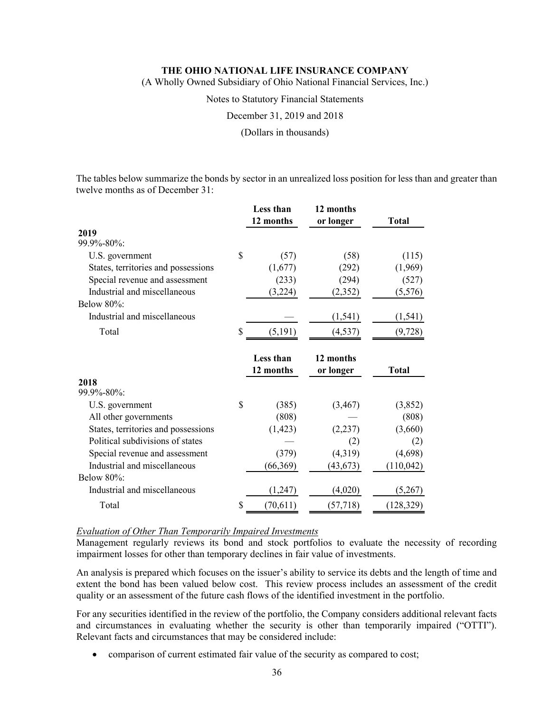(A Wholly Owned Subsidiary of Ohio National Financial Services, Inc.)

Notes to Statutory Financial Statements

December 31, 2019 and 2018

(Dollars in thousands)

The tables below summarize the bonds by sector in an unrealized loss position for less than and greater than twelve months as of December 31:

|                                     |    | Less than | 12 months |              |
|-------------------------------------|----|-----------|-----------|--------------|
|                                     |    | 12 months | or longer | <b>Total</b> |
| 2019<br>99.9%-80%:                  |    |           |           |              |
|                                     | \$ |           |           |              |
| U.S. government                     |    | (57)      | (58)      | (115)        |
| States, territories and possessions |    | (1,677)   | (292)     | (1,969)      |
| Special revenue and assessment      |    | (233)     | (294)     | (527)        |
| Industrial and miscellaneous        |    | (3,224)   | (2,352)   | (5,576)      |
| <b>Below 80%:</b>                   |    |           |           |              |
| Industrial and miscellaneous        |    |           | (1, 541)  | (1, 541)     |
| Total                               | \$ | (5, 191)  | (4, 537)  | (9, 728)     |
|                                     |    |           |           |              |
|                                     |    | Less than | 12 months |              |
|                                     |    | 12 months | or longer | <b>Total</b> |
| 2018                                |    |           |           |              |
| 99.9%-80%:                          |    |           |           |              |
| U.S. government                     | S  | (385)     | (3, 467)  | (3,852)      |
| All other governments               |    | (808)     |           | (808)        |
| States, territories and possessions |    | (1, 423)  | (2, 237)  | (3,660)      |
| Political subdivisions of states    |    |           | (2)       | (2)          |
| Special revenue and assessment      |    | (379)     | (4,319)   | (4,698)      |
| Industrial and miscellaneous        |    | (66, 369) | (43, 673) | (110, 042)   |
| Below 80%:                          |    |           |           |              |
|                                     |    |           |           |              |
| Industrial and miscellaneous        |    | (1,247)   | (4,020)   | (5,267)      |
| Total                               | \$ | (70,611)  | (57, 718) | (128, 329)   |

### *Evaluation of Other Than Temporarily Impaired Investments*

Management regularly reviews its bond and stock portfolios to evaluate the necessity of recording impairment losses for other than temporary declines in fair value of investments.

An analysis is prepared which focuses on the issuer's ability to service its debts and the length of time and extent the bond has been valued below cost. This review process includes an assessment of the credit quality or an assessment of the future cash flows of the identified investment in the portfolio.

For any securities identified in the review of the portfolio, the Company considers additional relevant facts and circumstances in evaluating whether the security is other than temporarily impaired ("OTTI"). Relevant facts and circumstances that may be considered include:

comparison of current estimated fair value of the security as compared to cost;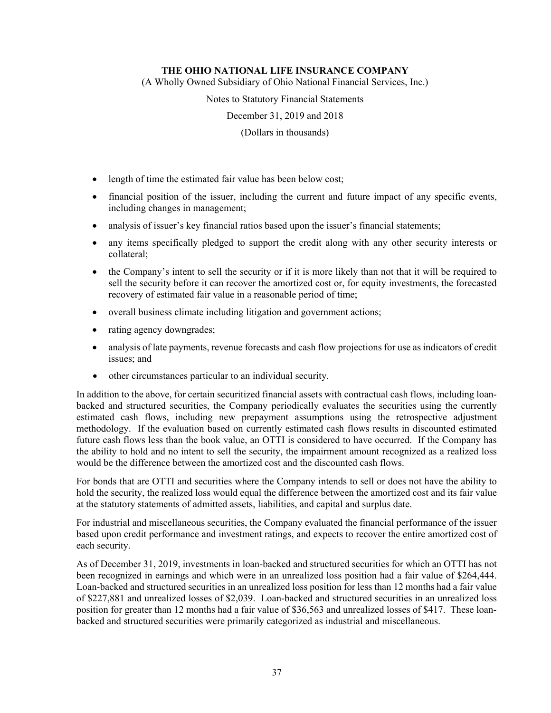(A Wholly Owned Subsidiary of Ohio National Financial Services, Inc.)

Notes to Statutory Financial Statements

December 31, 2019 and 2018

(Dollars in thousands)

- length of time the estimated fair value has been below cost;
- financial position of the issuer, including the current and future impact of any specific events, including changes in management;
- analysis of issuer's key financial ratios based upon the issuer's financial statements;
- any items specifically pledged to support the credit along with any other security interests or collateral;
- the Company's intent to sell the security or if it is more likely than not that it will be required to sell the security before it can recover the amortized cost or, for equity investments, the forecasted recovery of estimated fair value in a reasonable period of time;
- overall business climate including litigation and government actions;
- rating agency downgrades;
- analysis of late payments, revenue forecasts and cash flow projections for use as indicators of credit issues; and
- other circumstances particular to an individual security.

In addition to the above, for certain securitized financial assets with contractual cash flows, including loanbacked and structured securities, the Company periodically evaluates the securities using the currently estimated cash flows, including new prepayment assumptions using the retrospective adjustment methodology. If the evaluation based on currently estimated cash flows results in discounted estimated future cash flows less than the book value, an OTTI is considered to have occurred. If the Company has the ability to hold and no intent to sell the security, the impairment amount recognized as a realized loss would be the difference between the amortized cost and the discounted cash flows.

For bonds that are OTTI and securities where the Company intends to sell or does not have the ability to hold the security, the realized loss would equal the difference between the amortized cost and its fair value at the statutory statements of admitted assets, liabilities, and capital and surplus date.

For industrial and miscellaneous securities, the Company evaluated the financial performance of the issuer based upon credit performance and investment ratings, and expects to recover the entire amortized cost of each security.

As of December 31, 2019, investments in loan-backed and structured securities for which an OTTI has not been recognized in earnings and which were in an unrealized loss position had a fair value of \$264,444. Loan-backed and structured securities in an unrealized loss position for less than 12 months had a fair value of \$227,881 and unrealized losses of \$2,039. Loan-backed and structured securities in an unrealized loss position for greater than 12 months had a fair value of \$36,563 and unrealized losses of \$417. These loanbacked and structured securities were primarily categorized as industrial and miscellaneous.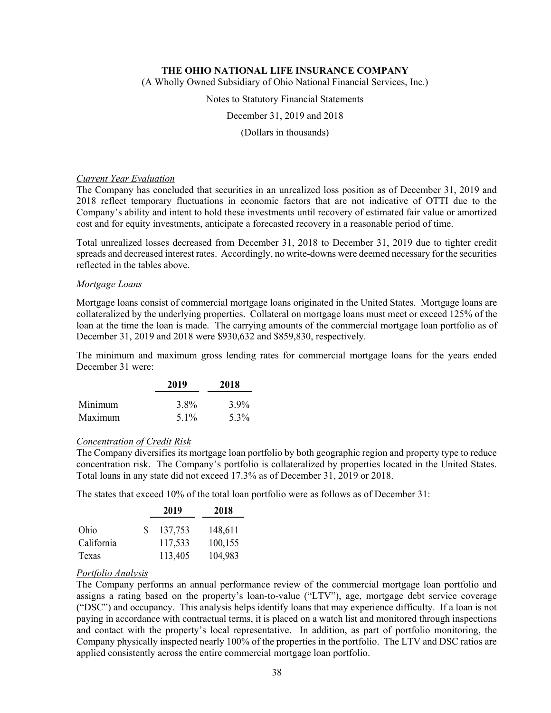(A Wholly Owned Subsidiary of Ohio National Financial Services, Inc.)

#### Notes to Statutory Financial Statements

December 31, 2019 and 2018

#### (Dollars in thousands)

### *Current Year Evaluation*

The Company has concluded that securities in an unrealized loss position as of December 31, 2019 and 2018 reflect temporary fluctuations in economic factors that are not indicative of OTTI due to the Company's ability and intent to hold these investments until recovery of estimated fair value or amortized cost and for equity investments, anticipate a forecasted recovery in a reasonable period of time.

Total unrealized losses decreased from December 31, 2018 to December 31, 2019 due to tighter credit spreads and decreased interest rates. Accordingly, no write-downs were deemed necessary for the securities reflected in the tables above.

### *Mortgage Loans*

Mortgage loans consist of commercial mortgage loans originated in the United States. Mortgage loans are collateralized by the underlying properties. Collateral on mortgage loans must meet or exceed 125% of the loan at the time the loan is made. The carrying amounts of the commercial mortgage loan portfolio as of December 31, 2019 and 2018 were \$930,632 and \$859,830, respectively.

The minimum and maximum gross lending rates for commercial mortgage loans for the years ended December 31 were:

|         | 2019 | 2018 |
|---------|------|------|
| Minimum | 3.8% | 3.9% |
| Maximum | 5.1% | 5.3% |

# *Concentration of Credit Risk*

The Company diversifies its mortgage loan portfolio by both geographic region and property type to reduce concentration risk. The Company's portfolio is collateralized by properties located in the United States. Total loans in any state did not exceed 17.3% as of December 31, 2019 or 2018.

The states that exceed 10% of the total loan portfolio were as follows as of December 31:

|            |    | 2019    | 2018    |
|------------|----|---------|---------|
| Ohio       | S. | 137,753 | 148,611 |
| California |    | 117,533 | 100,155 |
| Texas      |    | 113,405 | 104,983 |

# *Portfolio Analysis*

The Company performs an annual performance review of the commercial mortgage loan portfolio and assigns a rating based on the property's loan-to-value ("LTV"), age, mortgage debt service coverage ("DSC") and occupancy. This analysis helps identify loans that may experience difficulty. If a loan is not paying in accordance with contractual terms, it is placed on a watch list and monitored through inspections and contact with the property's local representative. In addition, as part of portfolio monitoring, the Company physically inspected nearly 100% of the properties in the portfolio. The LTV and DSC ratios are applied consistently across the entire commercial mortgage loan portfolio.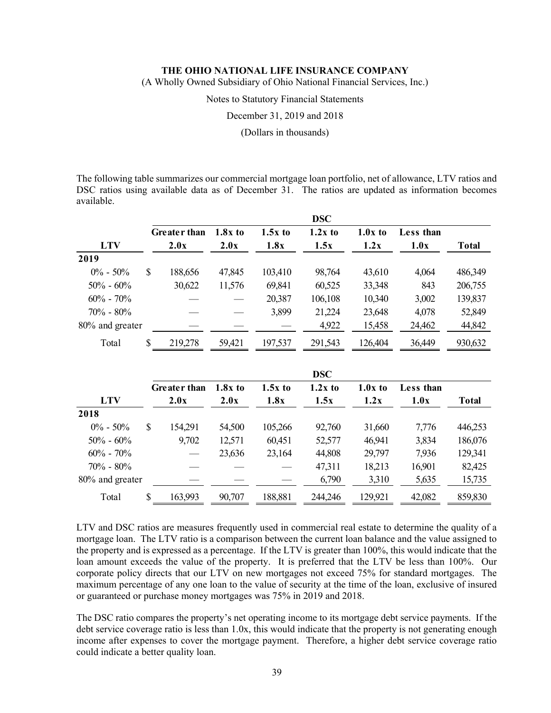(A Wholly Owned Subsidiary of Ohio National Financial Services, Inc.)

Notes to Statutory Financial Statements

December 31, 2019 and 2018

(Dollars in thousands)

The following table summarizes our commercial mortgage loan portfolio, net of allowance, LTV ratios and DSC ratios using available data as of December 31. The ratios are updated as information becomes available.

|                 |     |                     |           |           | <b>DSC</b> |           |           |              |
|-----------------|-----|---------------------|-----------|-----------|------------|-----------|-----------|--------------|
|                 |     | <b>Greater than</b> | $1.8x$ to | $1.5x$ to | $1.2x$ to  | $1.0x$ to | Less than |              |
| <b>LTV</b>      |     | 2.0x                | 2.0x      | 1.8x      | 1.5x       | 1.2x      | 1.0x      | <b>Total</b> |
| 2019            |     |                     |           |           |            |           |           |              |
| $0\% - 50\%$    | \$. | 188,656             | 47,845    | 103,410   | 98,764     | 43,610    | 4,064     | 486,349      |
| $50\% - 60\%$   |     | 30,622              | 11,576    | 69,841    | 60,525     | 33,348    | 843       | 206,755      |
| $60\% - 70\%$   |     |                     |           | 20,387    | 106,108    | 10,340    | 3,002     | 139,837      |
| $70\% - 80\%$   |     |                     |           | 3,899     | 21,224     | 23,648    | 4,078     | 52,849       |
| 80% and greater |     |                     |           |           | 4,922      | 15,458    | 24,462    | 44,842       |
| Total           | S   | 219,278             | 59,421    | 197,537   | 291,543    | 126,404   | 36,449    | 930,632      |

|                 |   |                     |           |           | <b>DSC</b> |           |           |              |
|-----------------|---|---------------------|-----------|-----------|------------|-----------|-----------|--------------|
|                 |   | <b>Greater than</b> | $1.8x$ to | $1.5x$ to | $1.2x$ to  | $1.0x$ to | Less than |              |
| <b>LTV</b>      |   | 2.0x                | 2.0x      | 1.8x      | 1.5x       | 1.2x      | 1.0x      | <b>Total</b> |
| 2018            |   |                     |           |           |            |           |           |              |
| $0\% - 50\%$    | S | 154,291             | 54,500    | 105,266   | 92,760     | 31,660    | 7,776     | 446,253      |
| $50\% - 60\%$   |   | 9,702               | 12,571    | 60,451    | 52,577     | 46,941    | 3,834     | 186,076      |
| $60\% - 70\%$   |   |                     | 23,636    | 23,164    | 44,808     | 29,797    | 7,936     | 129,341      |
| $70\% - 80\%$   |   |                     |           |           | 47,311     | 18,213    | 16,901    | 82,425       |
| 80% and greater |   |                     |           |           | 6,790      | 3,310     | 5,635     | 15,735       |
| Total           | S | 163,993             | 90,707    | 188,881   | 244,246    | 129,921   | 42,082    | 859,830      |

LTV and DSC ratios are measures frequently used in commercial real estate to determine the quality of a mortgage loan. The LTV ratio is a comparison between the current loan balance and the value assigned to the property and is expressed as a percentage. If the LTV is greater than 100%, this would indicate that the loan amount exceeds the value of the property. It is preferred that the LTV be less than 100%. Our corporate policy directs that our LTV on new mortgages not exceed 75% for standard mortgages. The maximum percentage of any one loan to the value of security at the time of the loan, exclusive of insured or guaranteed or purchase money mortgages was 75% in 2019 and 2018.

The DSC ratio compares the property's net operating income to its mortgage debt service payments. If the debt service coverage ratio is less than 1.0x, this would indicate that the property is not generating enough income after expenses to cover the mortgage payment. Therefore, a higher debt service coverage ratio could indicate a better quality loan.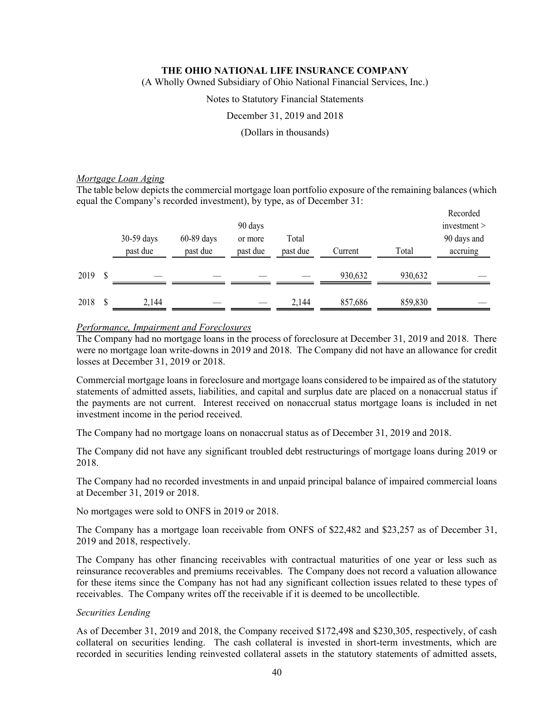(A Wholly Owned Subsidiary of Ohio National Financial Services, Inc.)

#### Notes to Statutory Financial Statements

December 31, 2019 and 2018

(Dollars in thousands)

### *Mortgage Loan Aging*

The table below depicts the commercial mortgage loan portfolio exposure of the remaining balances (which equal the Company's recorded investment), by type, as of December 31:

|      | 30-59 days<br>past due | $60-89$ days<br>past due | 90 days<br>or more<br>past due | Total<br>past due | Current | Total   | Recorded<br>investment<br>90 days and<br>accruing |
|------|------------------------|--------------------------|--------------------------------|-------------------|---------|---------|---------------------------------------------------|
| 2019 | \$                     |                          |                                |                   | 930,632 | 930,632 |                                                   |
| 2018 | 2,144                  |                          |                                | 2,144             | 857,686 | 859,830 |                                                   |

### *Performance, Impairment and Foreclosures*

The Company had no mortgage loans in the process of foreclosure at December 31, 2019 and 2018. There were no mortgage loan write-downs in 2019 and 2018. The Company did not have an allowance for credit losses at December 31, 2019 or 2018.

Commercial mortgage loans in foreclosure and mortgage loans considered to be impaired as of the statutory statements of admitted assets, liabilities, and capital and surplus date are placed on a nonaccrual status if the payments are not current. Interest received on nonaccrual status mortgage loans is included in net investment income in the period received.

The Company had no mortgage loans on nonaccrual status as of December 31, 2019 and 2018.

The Company did not have any significant troubled debt restructurings of mortgage loans during 2019 or 2018.

The Company had no recorded investments in and unpaid principal balance of impaired commercial loans at December 31, 2019 or 2018.

No mortgages were sold to ONFS in 2019 or 2018.

The Company has a mortgage loan receivable from ONFS of \$22,482 and \$23,257 as of December 31, 2019 and 2018, respectively.

The Company has other financing receivables with contractual maturities of one year or less such as reinsurance recoverables and premiums receivables. The Company does not record a valuation allowance for these items since the Company has not had any significant collection issues related to these types of receivables. The Company writes off the receivable if it is deemed to be uncollectible.

### *Securities Lending*

As of December 31, 2019 and 2018, the Company received \$172,498 and \$230,305, respectively, of cash collateral on securities lending. The cash collateral is invested in short-term investments, which are recorded in securities lending reinvested collateral assets in the statutory statements of admitted assets,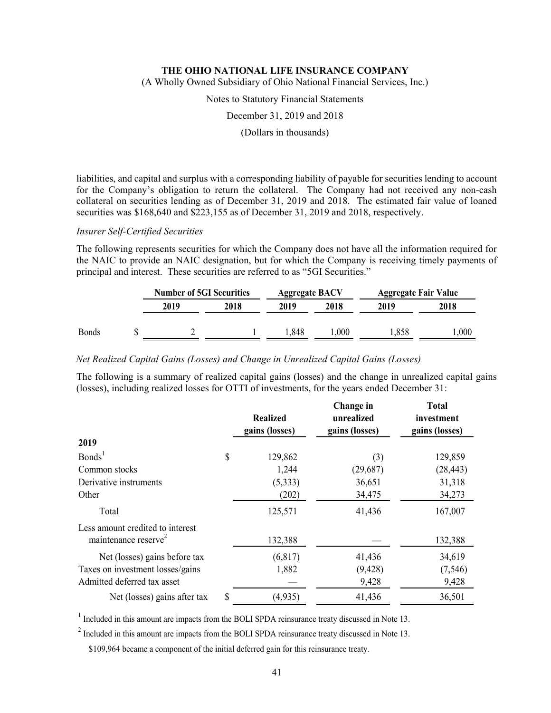(A Wholly Owned Subsidiary of Ohio National Financial Services, Inc.)

Notes to Statutory Financial Statements

December 31, 2019 and 2018

(Dollars in thousands)

liabilities, and capital and surplus with a corresponding liability of payable for securities lending to account for the Company's obligation to return the collateral. The Company had not received any non-cash collateral on securities lending as of December 31, 2019 and 2018. The estimated fair value of loaned securities was \$168,640 and \$223,155 as of December 31, 2019 and 2018, respectively.

#### *Insurer Self-Certified Securities*

The following represents securities for which the Company does not have all the information required for the NAIC to provide an NAIC designation, but for which the Company is receiving timely payments of principal and interest. These securities are referred to as "5GI Securities."

|              | <b>Number of 5GI Securities</b> |      | <b>Aggregate BACV</b> |      | <b>Aggregate Fair Value</b> |      |
|--------------|---------------------------------|------|-----------------------|------|-----------------------------|------|
|              | 2019                            | 2018 | 2019                  | 2018 | 2019                        | 2018 |
| <b>Bonds</b> |                                 |      | .848                  | ,000 | .,858                       | ,000 |

#### *Net Realized Capital Gains (Losses) and Change in Unrealized Capital Gains (Losses)*

The following is a summary of realized capital gains (losses) and the change in unrealized capital gains (losses), including realized losses for OTTI of investments, for the years ended December 31:

|                                                                      | <b>Realized</b><br>gains (losses) | Change in<br>unrealized<br>gains (losses) | <b>Total</b><br>investment<br>gains (losses) |
|----------------------------------------------------------------------|-----------------------------------|-------------------------------------------|----------------------------------------------|
| 2019                                                                 |                                   |                                           |                                              |
| Bonds <sup>1</sup>                                                   | \$<br>129,862                     | (3)                                       | 129,859                                      |
| Common stocks                                                        | 1,244                             | (29,687)                                  | (28, 443)                                    |
| Derivative instruments                                               | (5,333)                           | 36,651                                    | 31,318                                       |
| Other                                                                | (202)                             | 34,475                                    | 34,273                                       |
| Total                                                                | 125,571                           | 41,436                                    | 167,007                                      |
| Less amount credited to interest<br>maintenance reserve <sup>2</sup> | 132,388                           |                                           | 132,388                                      |
| Net (losses) gains before tax                                        | (6,817)                           | 41,436                                    | 34,619                                       |
| Taxes on investment losses/gains                                     | 1,882                             | (9, 428)                                  | (7, 546)                                     |
| Admitted deferred tax asset                                          |                                   | 9,428                                     | 9,428                                        |
| Net (losses) gains after tax                                         | \$<br>(4, 935)                    | 41,436                                    | 36,501                                       |

 $1$  Included in this amount are impacts from the BOLI SPDA reinsurance treaty discussed in Note 13.

 $2^{2}$  Included in this amount are impacts from the BOLI SPDA reinsurance treaty discussed in Note 13.

\$109,964 became a component of the initial deferred gain for this reinsurance treaty.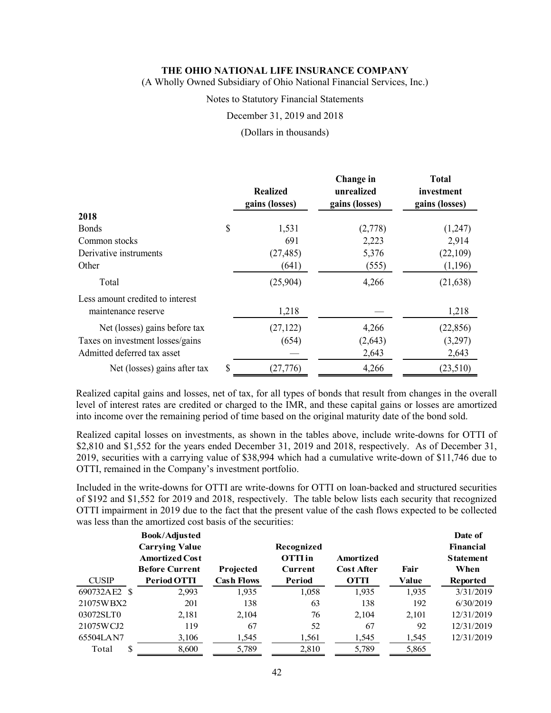(A Wholly Owned Subsidiary of Ohio National Financial Services, Inc.)

### Notes to Statutory Financial Statements

December 31, 2019 and 2018

(Dollars in thousands)

|                                  | <b>Realized</b><br>gains (losses) | Change in<br>unrealized<br>gains (losses) | <b>Total</b><br>investment<br>gains (losses) |
|----------------------------------|-----------------------------------|-------------------------------------------|----------------------------------------------|
| 2018                             |                                   |                                           |                                              |
| <b>Bonds</b>                     | \$<br>1,531                       | (2,778)                                   | (1,247)                                      |
| Common stocks                    | 691                               | 2,223                                     | 2,914                                        |
| Derivative instruments           | (27, 485)                         | 5,376                                     | (22,109)                                     |
| Other                            | (641)                             | (555)                                     | (1,196)                                      |
| Total                            | (25,904)                          | 4,266                                     | (21, 638)                                    |
| Less amount credited to interest |                                   |                                           |                                              |
| maintenance reserve              | 1,218                             |                                           | 1,218                                        |
| Net (losses) gains before tax    | (27, 122)                         | 4,266                                     | (22, 856)                                    |
| Taxes on investment losses/gains | (654)                             | (2,643)                                   | (3,297)                                      |
| Admitted deferred tax asset      |                                   | 2,643                                     | 2,643                                        |
| Net (losses) gains after tax     | \$<br>(27, 776)                   | 4,266                                     | (23,510)                                     |

Realized capital gains and losses, net of tax, for all types of bonds that result from changes in the overall level of interest rates are credited or charged to the IMR, and these capital gains or losses are amortized into income over the remaining period of time based on the original maturity date of the bond sold.

Realized capital losses on investments, as shown in the tables above, include write-downs for OTTI of \$2,810 and \$1,552 for the years ended December 31, 2019 and 2018, respectively. As of December 31, 2019, securities with a carrying value of \$38,994 which had a cumulative write-down of \$11,746 due to OTTI, remained in the Company's investment portfolio.

Included in the write-downs for OTTI are write-downs for OTTI on loan-backed and structured securities of \$192 and \$1,552 for 2019 and 2018, respectively. The table below lists each security that recognized OTTI impairment in 2019 due to the fact that the present value of the cash flows expected to be collected was less than the amortized cost basis of the securities:

|              | <b>Book/Adjusted</b><br><b>Carrying Value</b><br><b>Amortized Cost</b><br><b>Before Current</b> |                                | Recognized<br><b>OTTI</b> in<br><b>Current</b> | Amortized<br><b>Cost After</b> | Fair  | Date of<br><b>Financial</b><br><b>Statement</b><br>When |
|--------------|-------------------------------------------------------------------------------------------------|--------------------------------|------------------------------------------------|--------------------------------|-------|---------------------------------------------------------|
| <b>CUSIP</b> | Period OTTI                                                                                     | Projected<br><b>Cash Flows</b> | Period                                         | <b>OTTI</b>                    | Value | <b>Reported</b>                                         |
| 690732AE2 \$ | 2,993                                                                                           | 1,935                          | 1,058                                          | 1,935                          | 1.935 | 3/31/2019                                               |
| 21075WBX2    | 201                                                                                             | 138                            | 63                                             | 138                            | 192   | 6/30/2019                                               |
| 03072SLT0    | 2,181                                                                                           | 2,104                          | 76                                             | 2,104                          | 2.101 | 12/31/2019                                              |
| 21075WCJ2    | 119                                                                                             | 67                             | 52                                             | 67                             | 92    | 12/31/2019                                              |
| 65504LAN7    | 3,106                                                                                           | 1,545                          | 1,561                                          | 1,545                          | 1,545 | 12/31/2019                                              |
| S<br>Total   | 8,600                                                                                           | 5,789                          | 2,810                                          | 5,789                          | 5,865 |                                                         |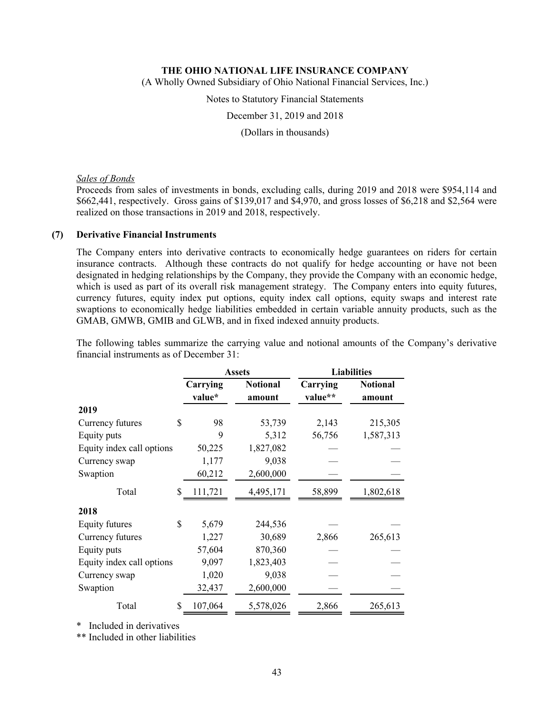(A Wholly Owned Subsidiary of Ohio National Financial Services, Inc.)

Notes to Statutory Financial Statements

December 31, 2019 and 2018

(Dollars in thousands)

### *Sales of Bonds*

Proceeds from sales of investments in bonds, excluding calls, during 2019 and 2018 were \$954,114 and \$662,441, respectively. Gross gains of \$139,017 and \$4,970, and gross losses of \$6,218 and \$2,564 were realized on those transactions in 2019 and 2018, respectively.

### **(7) Derivative Financial Instruments**

The Company enters into derivative contracts to economically hedge guarantees on riders for certain insurance contracts. Although these contracts do not qualify for hedge accounting or have not been designated in hedging relationships by the Company, they provide the Company with an economic hedge, which is used as part of its overall risk management strategy. The Company enters into equity futures, currency futures, equity index put options, equity index call options, equity swaps and interest rate swaptions to economically hedge liabilities embedded in certain variable annuity products, such as the GMAB, GMWB, GMIB and GLWB, and in fixed indexed annuity products.

The following tables summarize the carrying value and notional amounts of the Company's derivative financial instruments as of December 31:

|                           |                    | <b>Assets</b>             | <b>Liabilities</b>  |                           |  |
|---------------------------|--------------------|---------------------------|---------------------|---------------------------|--|
|                           | Carrying<br>value* | <b>Notional</b><br>amount | Carrying<br>value** | <b>Notional</b><br>amount |  |
| 2019                      |                    |                           |                     |                           |  |
| Currency futures          | \$<br>98           | 53,739                    | 2,143               | 215,305                   |  |
| Equity puts               | 9                  | 5,312                     | 56,756              | 1,587,313                 |  |
| Equity index call options | 50,225             | 1,827,082                 |                     |                           |  |
| Currency swap             | 1,177              | 9,038                     |                     |                           |  |
| Swaption                  | 60,212             | 2,600,000                 |                     |                           |  |
| Total                     | \$<br>111,721      | 4,495,171                 | 58,899              | 1,802,618                 |  |
| 2018                      |                    |                           |                     |                           |  |
| Equity futures            | \$<br>5,679        | 244,536                   |                     |                           |  |
| Currency futures          | 1,227              | 30,689                    | 2,866               | 265,613                   |  |
| Equity puts               | 57,604             | 870,360                   |                     |                           |  |
| Equity index call options | 9,097              | 1,823,403                 |                     |                           |  |
| Currency swap             | 1,020              | 9,038                     |                     |                           |  |
| Swaption                  | 32,437             | 2,600,000                 |                     |                           |  |
| Total                     | \$<br>107,064      | 5,578,026                 | 2,866               | 265,613                   |  |

\* Included in derivatives

\*\* Included in other liabilities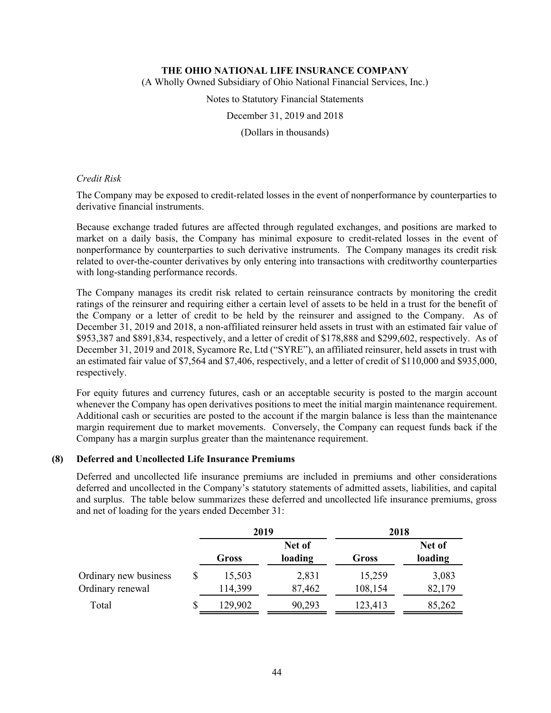(A Wholly Owned Subsidiary of Ohio National Financial Services, Inc.)

Notes to Statutory Financial Statements

December 31, 2019 and 2018

(Dollars in thousands)

### *Credit Risk*

The Company may be exposed to credit-related losses in the event of nonperformance by counterparties to derivative financial instruments.

Because exchange traded futures are affected through regulated exchanges, and positions are marked to market on a daily basis, the Company has minimal exposure to credit-related losses in the event of nonperformance by counterparties to such derivative instruments. The Company manages its credit risk related to over-the-counter derivatives by only entering into transactions with creditworthy counterparties with long-standing performance records.

The Company manages its credit risk related to certain reinsurance contracts by monitoring the credit ratings of the reinsurer and requiring either a certain level of assets to be held in a trust for the benefit of the Company or a letter of credit to be held by the reinsurer and assigned to the Company. As of December 31, 2019 and 2018, a non-affiliated reinsurer held assets in trust with an estimated fair value of \$953,387 and \$891,834, respectively, and a letter of credit of \$178,888 and \$299,602, respectively. As of December 31, 2019 and 2018, Sycamore Re, Ltd ("SYRE"), an affiliated reinsurer, held assets in trust with an estimated fair value of \$7,564 and \$7,406, respectively, and a letter of credit of \$110,000 and \$935,000, respectively.

For equity futures and currency futures, cash or an acceptable security is posted to the margin account whenever the Company has open derivatives positions to meet the initial margin maintenance requirement. Additional cash or securities are posted to the account if the margin balance is less than the maintenance margin requirement due to market movements. Conversely, the Company can request funds back if the Company has a margin surplus greater than the maintenance requirement.

# **(8) Deferred and Uncollected Life Insurance Premiums**

Deferred and uncollected life insurance premiums are included in premiums and other considerations deferred and uncollected in the Company's statutory statements of admitted assets, liabilities, and capital and surplus. The table below summarizes these deferred and uncollected life insurance premiums, gross and net of loading for the years ended December 31:

|                                           |   | 2019              |                   | 2018              |                   |  |
|-------------------------------------------|---|-------------------|-------------------|-------------------|-------------------|--|
|                                           |   | Gross             | Net of<br>loading | Gross             | Net of<br>loading |  |
| Ordinary new business<br>Ordinary renewal |   | 15,503<br>114,399 | 2,831<br>87,462   | 15,259<br>108,154 | 3,083<br>82,179   |  |
| Total                                     | S | 129,902           | 90,293            | 123,413           | 85,262            |  |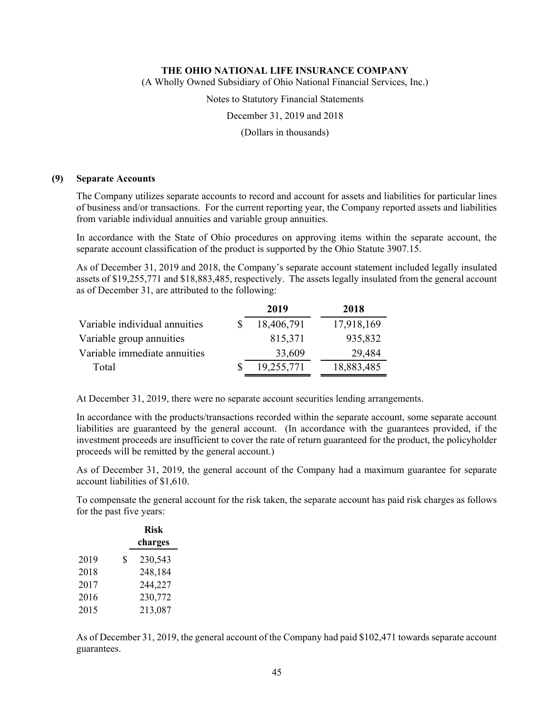(A Wholly Owned Subsidiary of Ohio National Financial Services, Inc.)

Notes to Statutory Financial Statements

December 31, 2019 and 2018

(Dollars in thousands)

#### **(9) Separate Accounts**

The Company utilizes separate accounts to record and account for assets and liabilities for particular lines of business and/or transactions. For the current reporting year, the Company reported assets and liabilities from variable individual annuities and variable group annuities.

In accordance with the State of Ohio procedures on approving items within the separate account, the separate account classification of the product is supported by the Ohio Statute 3907.15.

As of December 31, 2019 and 2018, the Company's separate account statement included legally insulated assets of \$19,255,771 and \$18,883,485, respectively. The assets legally insulated from the general account as of December 31, are attributed to the following:

| 2019       | 2018       |
|------------|------------|
| 18,406,791 | 17,918,169 |
| 815,371    | 935,832    |
| 33,609     | 29,484     |
| 19,255,771 | 18,883,485 |
|            |            |

At December 31, 2019, there were no separate account securities lending arrangements.

In accordance with the products/transactions recorded within the separate account, some separate account liabilities are guaranteed by the general account. (In accordance with the guarantees provided, if the investment proceeds are insufficient to cover the rate of return guaranteed for the product, the policyholder proceeds will be remitted by the general account.)

As of December 31, 2019, the general account of the Company had a maximum guarantee for separate account liabilities of \$1,610.

To compensate the general account for the risk taken, the separate account has paid risk charges as follows for the past five years:

|      | <b>Risk</b>   |
|------|---------------|
|      | charges       |
| 2019 | \$<br>230,543 |
| 2018 | 248,184       |
| 2017 | 244,227       |
| 2016 | 230,772       |
| 2015 | 213,087       |

As of December 31, 2019, the general account of the Company had paid \$102,471 towards separate account guarantees.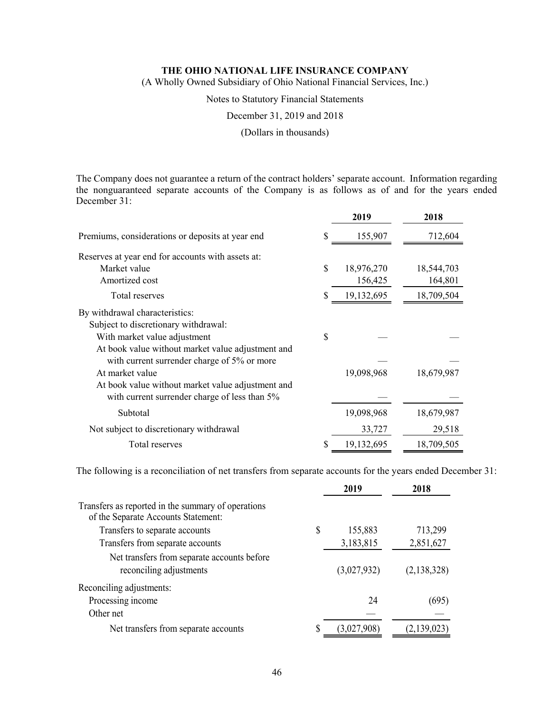(A Wholly Owned Subsidiary of Ohio National Financial Services, Inc.)

Notes to Statutory Financial Statements

December 31, 2019 and 2018

(Dollars in thousands)

The Company does not guarantee a return of the contract holders' separate account. Information regarding the nonguaranteed separate accounts of the Company is as follows as of and for the years ended December 31:

|                                                   |    | 2019       | 2018       |
|---------------------------------------------------|----|------------|------------|
| Premiums, considerations or deposits at year end  | S  | 155,907    | 712,604    |
| Reserves at year end for accounts with assets at: |    |            |            |
| Market value                                      | \$ | 18,976,270 | 18,544,703 |
| Amortized cost                                    |    | 156,425    | 164,801    |
| Total reserves                                    | S  | 19,132,695 | 18,709,504 |
| By withdrawal characteristics:                    |    |            |            |
| Subject to discretionary withdrawal:              |    |            |            |
| With market value adjustment                      | S  |            |            |
| At book value without market value adjustment and |    |            |            |
| with current surrender charge of 5% or more       |    |            |            |
| At market value                                   |    | 19,098,968 | 18,679,987 |
| At book value without market value adjustment and |    |            |            |
| with current surrender charge of less than 5%     |    |            |            |
| Subtotal                                          |    | 19,098,968 | 18,679,987 |
| Not subject to discretionary withdrawal           |    | 33,727     | 29,518     |
| Total reserves                                    |    | 19,132,695 | 18,709,505 |

The following is a reconciliation of net transfers from separate accounts for the years ended December 31:

|                                                                                           | 2019          | 2018        |
|-------------------------------------------------------------------------------------------|---------------|-------------|
| Transfers as reported in the summary of operations<br>of the Separate Accounts Statement: |               |             |
| Transfers to separate accounts                                                            | \$<br>155,883 | 713,299     |
| Transfers from separate accounts                                                          | 3,183,815     | 2,851,627   |
| Net transfers from separate accounts before<br>reconciling adjustments                    | (3,027,932)   | (2,138,328) |
| Reconciling adjustments:                                                                  |               |             |
| Processing income                                                                         | 24            | (695)       |
| Other net                                                                                 |               |             |
| Net transfers from separate accounts                                                      | (3,027,908)   | (2,139,023) |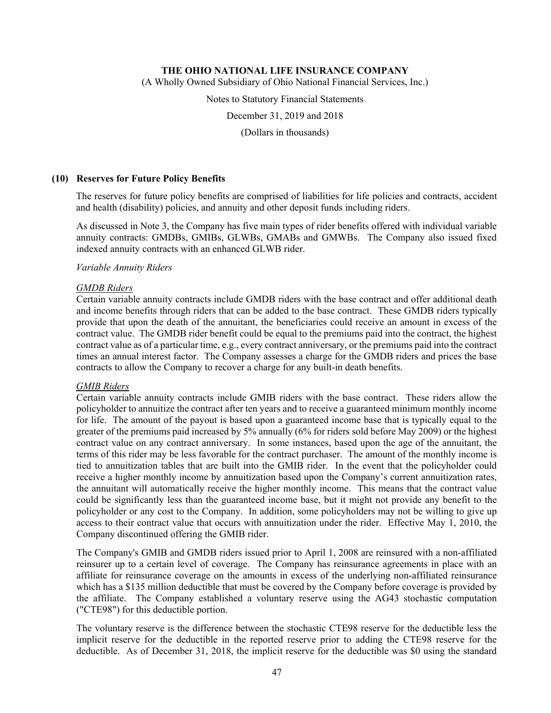(A Wholly Owned Subsidiary of Ohio National Financial Services, Inc.)

Notes to Statutory Financial Statements

December 31, 2019 and 2018

(Dollars in thousands)

### **(10) Reserves for Future Policy Benefits**

The reserves for future policy benefits are comprised of liabilities for life policies and contracts, accident and health (disability) policies, and annuity and other deposit funds including riders.

As discussed in Note 3, the Company has five main types of rider benefits offered with individual variable annuity contracts: GMDBs, GMIBs, GLWBs, GMABs and GMWBs. The Company also issued fixed indexed annuity contracts with an enhanced GLWB rider.

### *Variable Annuity Riders*

### *GMDB Riders*

Certain variable annuity contracts include GMDB riders with the base contract and offer additional death and income benefits through riders that can be added to the base contract. These GMDB riders typically provide that upon the death of the annuitant, the beneficiaries could receive an amount in excess of the contract value. The GMDB rider benefit could be equal to the premiums paid into the contract, the highest contract value as of a particular time, e.g., every contract anniversary, or the premiums paid into the contract times an annual interest factor. The Company assesses a charge for the GMDB riders and prices the base contracts to allow the Company to recover a charge for any built-in death benefits.

### *GMIB Riders*

Certain variable annuity contracts include GMIB riders with the base contract. These riders allow the policyholder to annuitize the contract after ten years and to receive a guaranteed minimum monthly income for life. The amount of the payout is based upon a guaranteed income base that is typically equal to the greater of the premiums paid increased by 5% annually (6% for riders sold before May 2009) or the highest contract value on any contract anniversary. In some instances, based upon the age of the annuitant, the terms of this rider may be less favorable for the contract purchaser. The amount of the monthly income is tied to annuitization tables that are built into the GMIB rider. In the event that the policyholder could receive a higher monthly income by annuitization based upon the Company's current annuitization rates, the annuitant will automatically receive the higher monthly income. This means that the contract value could be significantly less than the guaranteed income base, but it might not provide any benefit to the policyholder or any cost to the Company. In addition, some policyholders may not be willing to give up access to their contract value that occurs with annuitization under the rider. Effective May 1, 2010, the Company discontinued offering the GMIB rider.

The Company's GMIB and GMDB riders issued prior to April 1, 2008 are reinsured with a non-affiliated reinsurer up to a certain level of coverage. The Company has reinsurance agreements in place with an affiliate for reinsurance coverage on the amounts in excess of the underlying non-affiliated reinsurance which has a \$135 million deductible that must be covered by the Company before coverage is provided by the affiliate. The Company established a voluntary reserve using the AG43 stochastic computation ("CTE98") for this deductible portion.

The voluntary reserve is the difference between the stochastic CTE98 reserve for the deductible less the implicit reserve for the deductible in the reported reserve prior to adding the CTE98 reserve for the deductible. As of December 31, 2018, the implicit reserve for the deductible was \$0 using the standard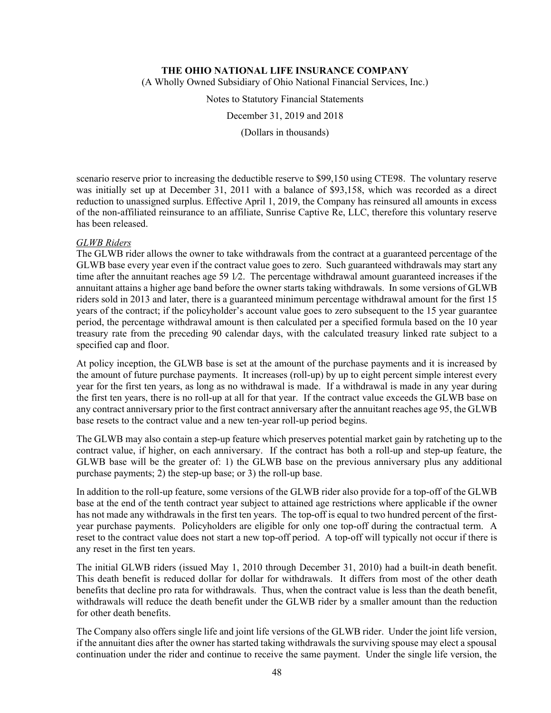(A Wholly Owned Subsidiary of Ohio National Financial Services, Inc.)

Notes to Statutory Financial Statements

December 31, 2019 and 2018

(Dollars in thousands)

scenario reserve prior to increasing the deductible reserve to \$99,150 using CTE98. The voluntary reserve was initially set up at December 31, 2011 with a balance of \$93,158, which was recorded as a direct reduction to unassigned surplus. Effective April 1, 2019, the Company has reinsured all amounts in excess of the non-affiliated reinsurance to an affiliate, Sunrise Captive Re, LLC, therefore this voluntary reserve has been released.

### *GLWB Riders*

The GLWB rider allows the owner to take withdrawals from the contract at a guaranteed percentage of the GLWB base every year even if the contract value goes to zero. Such guaranteed withdrawals may start any time after the annuitant reaches age 59 1∕2. The percentage withdrawal amount guaranteed increases if the annuitant attains a higher age band before the owner starts taking withdrawals. In some versions of GLWB riders sold in 2013 and later, there is a guaranteed minimum percentage withdrawal amount for the first 15 years of the contract; if the policyholder's account value goes to zero subsequent to the 15 year guarantee period, the percentage withdrawal amount is then calculated per a specified formula based on the 10 year treasury rate from the preceding 90 calendar days, with the calculated treasury linked rate subject to a specified cap and floor.

At policy inception, the GLWB base is set at the amount of the purchase payments and it is increased by the amount of future purchase payments. It increases (roll-up) by up to eight percent simple interest every year for the first ten years, as long as no withdrawal is made. If a withdrawal is made in any year during the first ten years, there is no roll-up at all for that year. If the contract value exceeds the GLWB base on any contract anniversary prior to the first contract anniversary after the annuitant reaches age 95, the GLWB base resets to the contract value and a new ten-year roll-up period begins.

The GLWB may also contain a step-up feature which preserves potential market gain by ratcheting up to the contract value, if higher, on each anniversary. If the contract has both a roll-up and step-up feature, the GLWB base will be the greater of: 1) the GLWB base on the previous anniversary plus any additional purchase payments; 2) the step-up base; or 3) the roll-up base.

In addition to the roll-up feature, some versions of the GLWB rider also provide for a top-off of the GLWB base at the end of the tenth contract year subject to attained age restrictions where applicable if the owner has not made any withdrawals in the first ten years. The top-off is equal to two hundred percent of the firstyear purchase payments. Policyholders are eligible for only one top-off during the contractual term. A reset to the contract value does not start a new top-off period. A top-off will typically not occur if there is any reset in the first ten years.

The initial GLWB riders (issued May 1, 2010 through December 31, 2010) had a built-in death benefit. This death benefit is reduced dollar for dollar for withdrawals. It differs from most of the other death benefits that decline pro rata for withdrawals. Thus, when the contract value is less than the death benefit, withdrawals will reduce the death benefit under the GLWB rider by a smaller amount than the reduction for other death benefits.

The Company also offers single life and joint life versions of the GLWB rider. Under the joint life version, if the annuitant dies after the owner has started taking withdrawals the surviving spouse may elect a spousal continuation under the rider and continue to receive the same payment. Under the single life version, the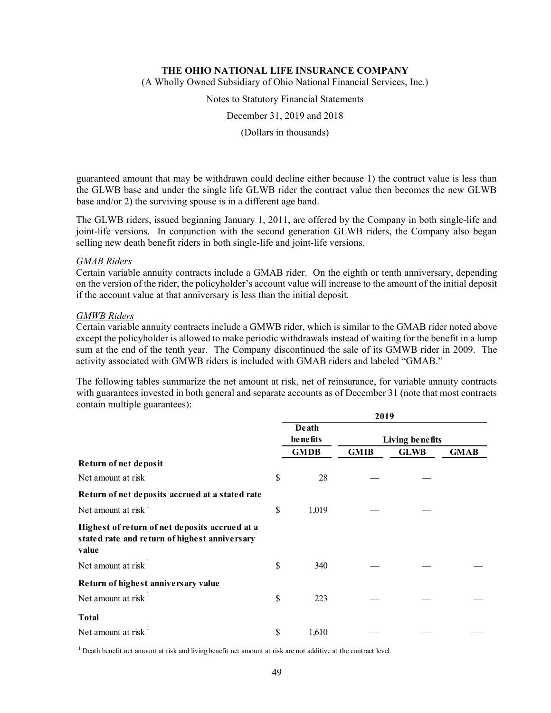(A Wholly Owned Subsidiary of Ohio National Financial Services, Inc.)

Notes to Statutory Financial Statements

December 31, 2019 and 2018

(Dollars in thousands)

guaranteed amount that may be withdrawn could decline either because 1) the contract value is less than the GLWB base and under the single life GLWB rider the contract value then becomes the new GLWB base and/or 2) the surviving spouse is in a different age band.

The GLWB riders, issued beginning January 1, 2011, are offered by the Company in both single-life and joint-life versions. In conjunction with the second generation GLWB riders, the Company also began selling new death benefit riders in both single-life and joint-life versions.

#### *GMAB Riders*

Certain variable annuity contracts include a GMAB rider. On the eighth or tenth anniversary, depending on the version of the rider, the policyholder's account value will increase to the amount of the initial deposit if the account value at that anniversary is less than the initial deposit.

#### *GMWB Riders*

Certain variable annuity contracts include a GMWB rider, which is similar to the GMAB rider noted above except the policyholder is allowed to make periodic withdrawals instead of waiting for the benefit in a lump sum at the end of the tenth year. The Company discontinued the sale of its GMWB rider in 2009. The activity associated with GMWB riders is included with GMAB riders and labeled "GMAB."

The following tables summarize the net amount at risk, net of reinsurance, for variable annuity contracts with guarantees invested in both general and separate accounts as of December 31 (note that most contracts contain multiple guarantees):

|                                                                                                          | 2019 |                   |             |                 |             |  |
|----------------------------------------------------------------------------------------------------------|------|-------------------|-------------|-----------------|-------------|--|
|                                                                                                          |      | Death<br>benefits |             | Living benefits |             |  |
|                                                                                                          |      | <b>GMDB</b>       | <b>GMIB</b> | <b>GLWB</b>     | <b>GMAB</b> |  |
| Return of net deposit                                                                                    |      |                   |             |                 |             |  |
| Net amount at risk $1$                                                                                   | \$   | 28                |             |                 |             |  |
| Return of net deposits accrued at a stated rate                                                          |      |                   |             |                 |             |  |
| Net amount at risk $\frac{1}{x}$                                                                         | \$   | 1,019             |             |                 |             |  |
| Highest of return of net deposits accrued at a<br>stated rate and return of highest anniversary<br>value |      |                   |             |                 |             |  |
| Net amount at risk                                                                                       | \$   | 340               |             |                 |             |  |
| Return of highest anniversary value                                                                      |      |                   |             |                 |             |  |
| Net amount at risk $1$                                                                                   | \$   | 223               |             |                 |             |  |
| <b>Total</b>                                                                                             |      |                   |             |                 |             |  |
| Net amount at risk                                                                                       | \$   | 1,610             |             |                 |             |  |

<sup>1</sup> Death benefit net amount at risk and living benefit net amount at risk are not additive at the contract level.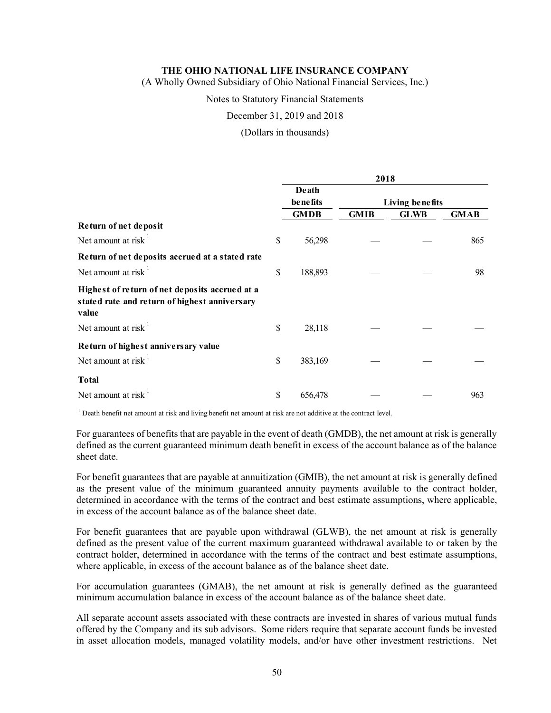(A Wholly Owned Subsidiary of Ohio National Financial Services, Inc.)

Notes to Statutory Financial Statements

December 31, 2019 and 2018

(Dollars in thousands)

|                                                                                                          | 2018              |             |                 |             |             |  |
|----------------------------------------------------------------------------------------------------------|-------------------|-------------|-----------------|-------------|-------------|--|
|                                                                                                          | Death<br>benefits |             | Living benefits |             |             |  |
|                                                                                                          |                   | <b>GMDB</b> | <b>GMIB</b>     | <b>GLWB</b> | <b>GMAB</b> |  |
| Return of net deposit                                                                                    |                   |             |                 |             |             |  |
| Net amount at risk $1$                                                                                   | \$                | 56,298      |                 |             | 865         |  |
| Return of net deposits accrued at a stated rate                                                          |                   |             |                 |             |             |  |
| Net amount at risk $1$                                                                                   | \$                | 188,893     |                 |             | 98          |  |
| Highest of return of net deposits accrued at a<br>stated rate and return of highest anniversary<br>value |                   |             |                 |             |             |  |
| Net amount at risk $1$                                                                                   | \$                | 28,118      |                 |             |             |  |
| Return of highest anniversary value<br>Net amount at risk $1$                                            | \$                | 383,169     |                 |             |             |  |
| <b>Total</b><br>Net amount at risk                                                                       | \$                | 656,478     |                 |             | 963         |  |

 $1$  Death benefit net amount at risk and living benefit net amount at risk are not additive at the contract level.

For guarantees of benefits that are payable in the event of death (GMDB), the net amount at risk is generally defined as the current guaranteed minimum death benefit in excess of the account balance as of the balance sheet date.

For benefit guarantees that are payable at annuitization (GMIB), the net amount at risk is generally defined as the present value of the minimum guaranteed annuity payments available to the contract holder, determined in accordance with the terms of the contract and best estimate assumptions, where applicable, in excess of the account balance as of the balance sheet date.

For benefit guarantees that are payable upon withdrawal (GLWB), the net amount at risk is generally defined as the present value of the current maximum guaranteed withdrawal available to or taken by the contract holder, determined in accordance with the terms of the contract and best estimate assumptions, where applicable, in excess of the account balance as of the balance sheet date.

For accumulation guarantees (GMAB), the net amount at risk is generally defined as the guaranteed minimum accumulation balance in excess of the account balance as of the balance sheet date.

All separate account assets associated with these contracts are invested in shares of various mutual funds offered by the Company and its sub advisors. Some riders require that separate account funds be invested in asset allocation models, managed volatility models, and/or have other investment restrictions. Net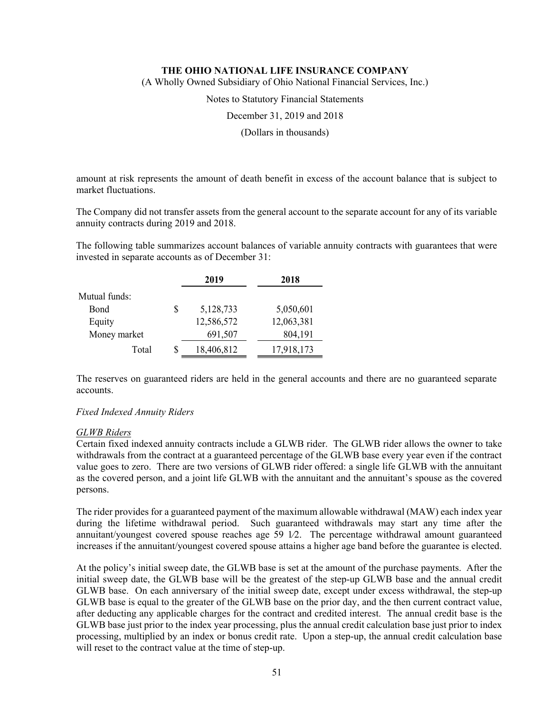(A Wholly Owned Subsidiary of Ohio National Financial Services, Inc.)

Notes to Statutory Financial Statements

December 31, 2019 and 2018

(Dollars in thousands)

amount at risk represents the amount of death benefit in excess of the account balance that is subject to market fluctuations.

The Company did not transfer assets from the general account to the separate account for any of its variable annuity contracts during 2019 and 2018.

The following table summarizes account balances of variable annuity contracts with guarantees that were invested in separate accounts as of December 31:

|               |    | 2019       | 2018       |
|---------------|----|------------|------------|
| Mutual funds: |    |            |            |
| Bond          | \$ | 5,128,733  | 5,050,601  |
| Equity        |    | 12,586,572 | 12,063,381 |
| Money market  |    | 691,507    | 804,191    |
| Total         | S  | 18,406,812 | 17,918,173 |

The reserves on guaranteed riders are held in the general accounts and there are no guaranteed separate accounts.

### *Fixed Indexed Annuity Riders*

### *GLWB Riders*

Certain fixed indexed annuity contracts include a GLWB rider. The GLWB rider allows the owner to take withdrawals from the contract at a guaranteed percentage of the GLWB base every year even if the contract value goes to zero. There are two versions of GLWB rider offered: a single life GLWB with the annuitant as the covered person, and a joint life GLWB with the annuitant and the annuitant's spouse as the covered persons.

The rider provides for a guaranteed payment of the maximum allowable withdrawal (MAW) each index year during the lifetime withdrawal period. Such guaranteed withdrawals may start any time after the annuitant/youngest covered spouse reaches age 59 1∕2. The percentage withdrawal amount guaranteed increases if the annuitant/youngest covered spouse attains a higher age band before the guarantee is elected.

At the policy's initial sweep date, the GLWB base is set at the amount of the purchase payments. After the initial sweep date, the GLWB base will be the greatest of the step-up GLWB base and the annual credit GLWB base. On each anniversary of the initial sweep date, except under excess withdrawal, the step-up GLWB base is equal to the greater of the GLWB base on the prior day, and the then current contract value, after deducting any applicable charges for the contract and credited interest. The annual credit base is the GLWB base just prior to the index year processing, plus the annual credit calculation base just prior to index processing, multiplied by an index or bonus credit rate. Upon a step-up, the annual credit calculation base will reset to the contract value at the time of step-up.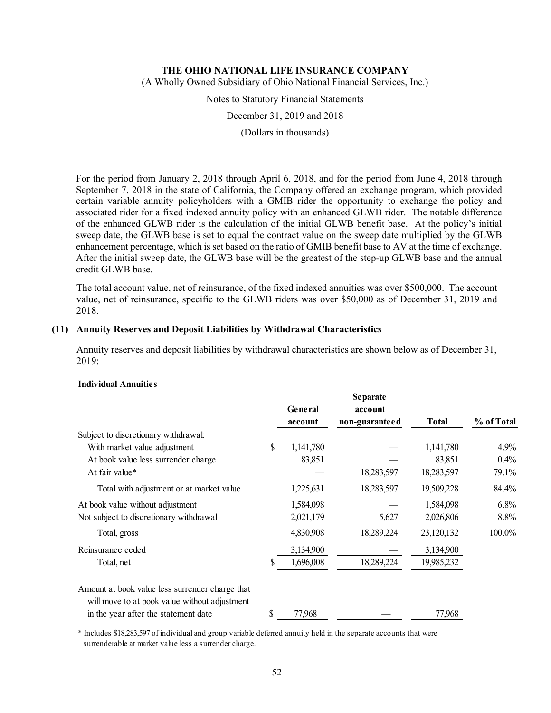(A Wholly Owned Subsidiary of Ohio National Financial Services, Inc.)

Notes to Statutory Financial Statements

December 31, 2019 and 2018

(Dollars in thousands)

For the period from January 2, 2018 through April 6, 2018, and for the period from June 4, 2018 through September 7, 2018 in the state of California, the Company offered an exchange program, which provided certain variable annuity policyholders with a GMIB rider the opportunity to exchange the policy and associated rider for a fixed indexed annuity policy with an enhanced GLWB rider. The notable difference of the enhanced GLWB rider is the calculation of the initial GLWB benefit base. At the policy's initial sweep date, the GLWB base is set to equal the contract value on the sweep date multiplied by the GLWB enhancement percentage, which is set based on the ratio of GMIB benefit base to AV at the time of exchange. After the initial sweep date, the GLWB base will be the greatest of the step-up GLWB base and the annual credit GLWB base.

The total account value, net of reinsurance, of the fixed indexed annuities was over \$500,000. The account value, net of reinsurance, specific to the GLWB riders was over \$50,000 as of December 31, 2019 and 2018.

#### **(11) Annuity Reserves and Deposit Liabilities by Withdrawal Characteristics**

Annuity reserves and deposit liabilities by withdrawal characteristics are shown below as of December 31, 2019:

#### **Individual Annuities**

|                                                                                                  |                 | <b>Separate</b> |              |            |
|--------------------------------------------------------------------------------------------------|-----------------|-----------------|--------------|------------|
|                                                                                                  | General         | account         |              |            |
|                                                                                                  | account         | non-guaranteed  | <b>Total</b> | % of Total |
| Subject to discretionary withdrawal:                                                             |                 |                 |              |            |
| With market value adjustment                                                                     | \$<br>1,141,780 |                 | 1,141,780    | $4.9\%$    |
| At book value less surrender charge                                                              | 83,851          |                 | 83,851       | $0.4\%$    |
| At fair value*                                                                                   |                 | 18,283,597      | 18,283,597   | 79.1%      |
| Total with adjustment or at market value                                                         | 1,225,631       | 18,283,597      | 19,509,228   | 84.4%      |
| At book value without adjustment                                                                 | 1,584,098       |                 | 1,584,098    | $6.8\%$    |
| Not subject to discretionary withdrawal                                                          | 2,021,179       | 5,627           | 2,026,806    | 8.8%       |
| Total, gross                                                                                     | 4,830,908       | 18,289,224      | 23,120,132   | 100.0%     |
| Reinsurance ceded                                                                                | 3,134,900       |                 | 3,134,900    |            |
| Total, net                                                                                       | 1,696,008       | 18,289,224      | 19,985,232   |            |
| Amount at book value less surrender charge that<br>will move to at book value without adjustment |                 |                 |              |            |
| in the year after the statement date                                                             | 77,968          |                 | 77,968       |            |

\* Includes \$18,283,597 of individual and group variable deferred annuity held in the separate accounts that were surrenderable at market value less a surrender charge.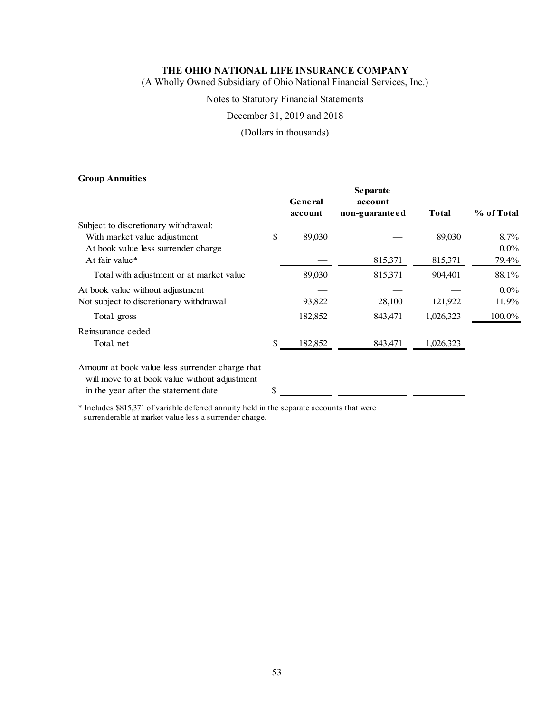(A Wholly Owned Subsidiary of Ohio National Financial Services, Inc.)

### Notes to Statutory Financial Statements

### December 31, 2019 and 2018

### (Dollars in thousands)

### **Group Annuities**

|                                                                                                  |     |                | <b>Separate</b> |              |            |
|--------------------------------------------------------------------------------------------------|-----|----------------|-----------------|--------------|------------|
|                                                                                                  |     | <b>General</b> | account         |              |            |
|                                                                                                  |     | account        | non-guaranteed  | <b>Total</b> | % of Total |
| Subject to discretionary withdrawal:                                                             |     |                |                 |              |            |
| With market value adjustment                                                                     | \$  | 89,030         |                 | 89,030       | 8.7%       |
| At book value less surrender charge                                                              |     |                |                 |              | $0.0\%$    |
| At fair value*                                                                                   |     |                | 815,371         | 815,371      | 79.4%      |
| Total with adjustment or at market value                                                         |     | 89,030         | 815,371         | 904,401      | 88.1%      |
| At book value without adjustment                                                                 |     |                |                 |              | $0.0\%$    |
| Not subject to discretionary withdrawal                                                          |     | 93,822         | 28,100          | 121,922      | 11.9%      |
| Total, gross                                                                                     |     | 182,852        | 843,471         | 1,026,323    | 100.0%     |
| Reinsurance ceded                                                                                |     |                |                 |              |            |
| Total, net                                                                                       | \$. | 182,852        | 843,471         | 1,026,323    |            |
| Amount at book value less surrender charge that<br>will move to at book value without adjustment |     |                |                 |              |            |
| in the year after the statement date                                                             | \$  |                |                 |              |            |

\* Includes \$815,371 of variable deferred annuity held in the separate accounts that were surrenderable at market value less a surrender charge.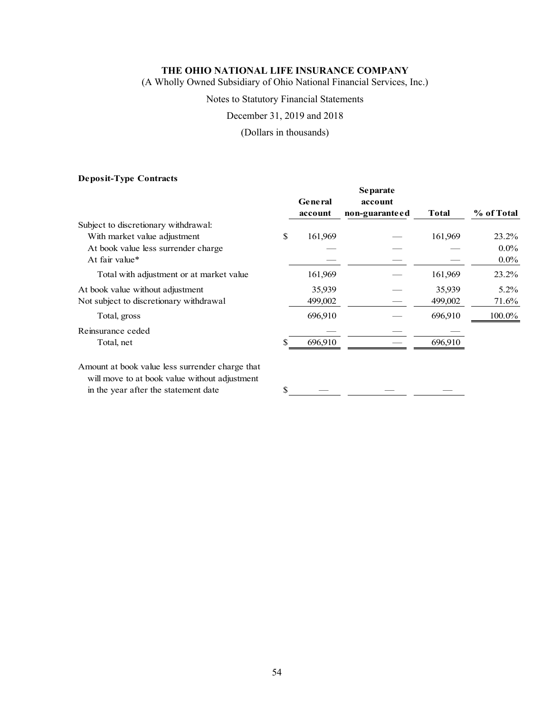(A Wholly Owned Subsidiary of Ohio National Financial Services, Inc.)

### Notes to Statutory Financial Statements

December 31, 2019 and 2018

(Dollars in thousands)

### **Deposit-Type Contracts**

|                                          | <b>General</b><br>account | account<br>non-guaranteed | <b>Total</b> | % of Total |
|------------------------------------------|---------------------------|---------------------------|--------------|------------|
| Subject to discretionary withdrawal:     |                           |                           |              |            |
| With market value adjustment             | \$<br>161,969             |                           | 161,969      | 23.2%      |
| At book value less surrender charge      |                           |                           |              | $0.0\%$    |
| At fair value*                           |                           |                           |              | $0.0\%$    |
| Total with adjustment or at market value | 161,969                   |                           | 161,969      | 23.2%      |
| At book value without adjustment         | 35,939                    |                           | 35,939       | $5.2\%$    |
| Not subject to discretionary withdrawal  | 499,002                   |                           | 499,002      | 71.6%      |
| Total, gross                             | 696,910                   |                           | 696,910      | 100.0%     |
| Reinsurance ceded                        |                           |                           |              |            |
| Total, net                               | 696,910                   |                           | 696.910      |            |
|                                          |                           |                           |              |            |

Amount at book value less surrender charge that will move to at book value without adjustment in the year after the statement date  $\frac{\sqrt{3}}{2}$ 

**Separate**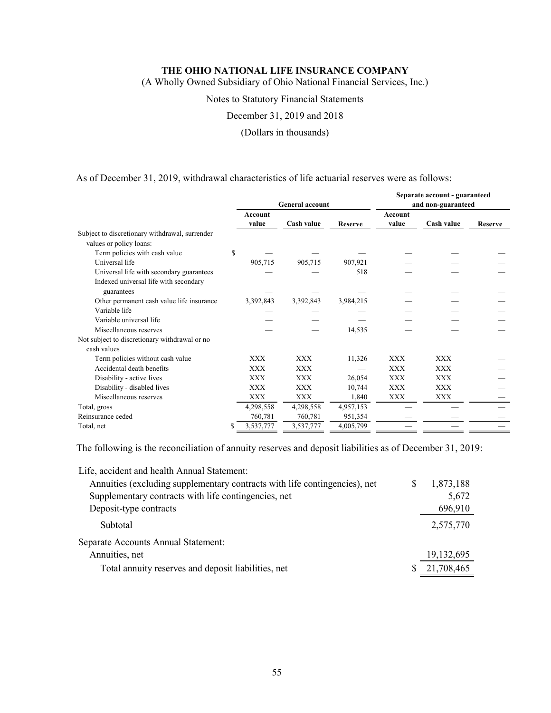(A Wholly Owned Subsidiary of Ohio National Financial Services, Inc.)

#### Notes to Statutory Financial Statements

December 31, 2019 and 2018

(Dollars in thousands)

As of December 31, 2019, withdrawal characteristics of life actuarial reserves were as follows:

|                                                |                |                        |                |                | Separate account - guaranteed |                |
|------------------------------------------------|----------------|------------------------|----------------|----------------|-------------------------------|----------------|
|                                                |                | <b>General account</b> |                |                | and non-guaranteed            |                |
|                                                | <b>Account</b> |                        |                | <b>Account</b> |                               |                |
|                                                | value          | Cash value             | <b>Reserve</b> | value          | Cash value                    | <b>Reserve</b> |
| Subject to discretionary withdrawal, surrender |                |                        |                |                |                               |                |
| values or policy loans:                        |                |                        |                |                |                               |                |
| Term policies with cash value                  | \$             |                        |                |                |                               |                |
| Universal life                                 | 905,715        | 905,715                | 907,921        |                |                               |                |
| Universal life with secondary guarantees       |                |                        | 518            |                |                               |                |
| Indexed universal life with secondary          |                |                        |                |                |                               |                |
| guarantees                                     |                |                        |                |                |                               |                |
| Other permanent cash value life insurance      | 3,392,843      | 3,392,843              | 3,984,215      |                |                               |                |
| Variable life                                  |                |                        |                |                |                               |                |
| Variable universal life                        |                |                        |                |                |                               |                |
| Miscellaneous reserves                         |                |                        | 14,535         |                |                               |                |
| Not subject to discretionary withdrawal or no  |                |                        |                |                |                               |                |
| cash values                                    |                |                        |                |                |                               |                |
| Term policies without cash value               | XXX            | XXX                    | 11,326         | <b>XXX</b>     | XXX                           |                |
| Accidental death benefits                      | <b>XXX</b>     | <b>XXX</b>             |                | <b>XXX</b>     | <b>XXX</b>                    |                |
| Disability - active lives                      | XXX            | <b>XXX</b>             | 26,054         | <b>XXX</b>     | XXX                           |                |
| Disability - disabled lives                    | <b>XXX</b>     | <b>XXX</b>             | 10,744         | <b>XXX</b>     | <b>XXX</b>                    |                |
| Miscellaneous reserves                         | <b>XXX</b>     | <b>XXX</b>             | 1,840          | XXX            | XXX                           |                |
| Total, gross                                   | 4,298,558      | 4,298,558              | 4,957,153      |                |                               |                |
| Reinsurance ceded                              | 760,781        | 760,781                | 951,354        |                |                               |                |
| Total, net                                     | 3,537,777      | 3,537,777              | 4,005,799      |                |                               |                |

The following is the reconciliation of annuity reserves and deposit liabilities as of December 31, 2019:

| Life, accident and health Annual Statement:                                |   |            |
|----------------------------------------------------------------------------|---|------------|
| Annuities (excluding supplementary contracts with life contingencies), net | S | 1,873,188  |
| Supplementary contracts with life contingencies, net                       |   | 5,672      |
| Deposit-type contracts                                                     |   | 696,910    |
| Subtotal                                                                   |   | 2,575,770  |
| Separate Accounts Annual Statement:                                        |   |            |
| Annuities, net                                                             |   | 19,132,695 |
| Total annuity reserves and deposit liabilities, net                        | S | 21,708,465 |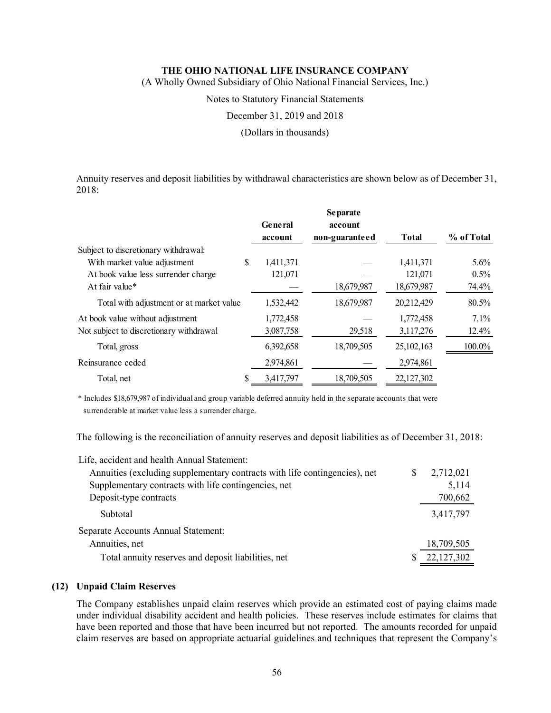(A Wholly Owned Subsidiary of Ohio National Financial Services, Inc.)

Notes to Statutory Financial Statements

December 31, 2019 and 2018

(Dollars in thousands)

Annuity reserves and deposit liabilities by withdrawal characteristics are shown below as of December 31, 2018:

|                                          |    |           | <b>Separate</b> |              |            |
|------------------------------------------|----|-----------|-----------------|--------------|------------|
|                                          |    | General   | account         |              |            |
|                                          |    | account   | non-guaranteed  | <b>Total</b> | % of Total |
| Subject to discretionary withdrawal:     |    |           |                 |              |            |
| With market value adjustment             | \$ | 1,411,371 |                 | 1,411,371    | $5.6\%$    |
| At book value less surrender charge      |    | 121,071   |                 | 121,071      | 0.5%       |
| At fair value*                           |    |           | 18,679,987      | 18,679,987   | 74.4%      |
| Total with adjustment or at market value |    | 1,532,442 | 18,679,987      | 20,212,429   | 80.5%      |
| At book value without adjustment         |    | 1,772,458 |                 | 1,772,458    | $7.1\%$    |
| Not subject to discretionary withdrawal  |    | 3,087,758 | 29,518          | 3,117,276    | 12.4%      |
| Total, gross                             |    | 6,392,658 | 18,709,505      | 25,102,163   | 100.0%     |
| Reinsurance ceded                        |    | 2,974,861 |                 | 2,974,861    |            |
| Total, net                               | S  | 3.417.797 | 18,709,505      | 22,127,302   |            |

\* Includes \$18,679,987 of individual and group variable deferred annuity held in the separate accounts that were surrenderable at market value less a surrender charge.

The following is the reconciliation of annuity reserves and deposit liabilities as of December 31, 2018:

| Life, accident and health Annual Statement:                                |   |            |
|----------------------------------------------------------------------------|---|------------|
| Annuities (excluding supplementary contracts with life contingencies), net | S | 2,712,021  |
| Supplementary contracts with life contingencies, net                       |   | 5,114      |
| Deposit-type contracts                                                     |   | 700,662    |
| Subtotal                                                                   |   | 3,417,797  |
| Separate Accounts Annual Statement:                                        |   |            |
| Annuities, net                                                             |   | 18,709,505 |
| Total annuity reserves and deposit liabilities, net                        |   | 22,127,302 |

### **(12) Unpaid Claim Reserves**

The Company establishes unpaid claim reserves which provide an estimated cost of paying claims made under individual disability accident and health policies. These reserves include estimates for claims that have been reported and those that have been incurred but not reported. The amounts recorded for unpaid claim reserves are based on appropriate actuarial guidelines and techniques that represent the Company's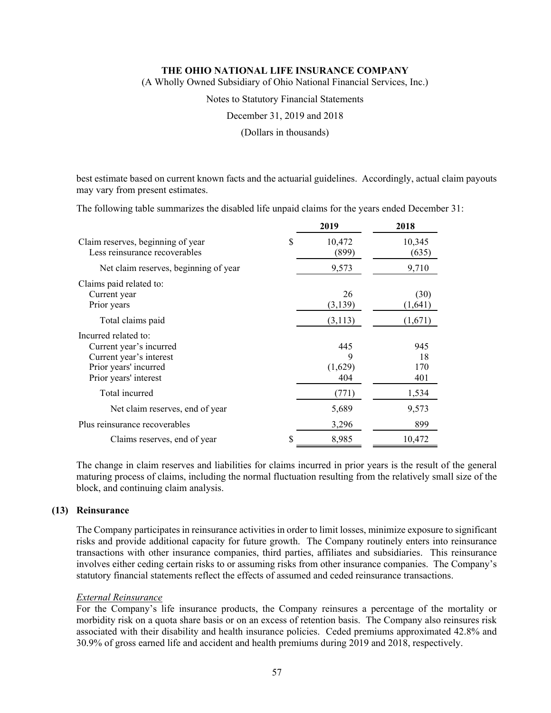(A Wholly Owned Subsidiary of Ohio National Financial Services, Inc.)

Notes to Statutory Financial Statements

December 31, 2019 and 2018

(Dollars in thousands)

best estimate based on current known facts and the actuarial guidelines. Accordingly, actual claim payouts may vary from present estimates.

The following table summarizes the disabled life unpaid claims for the years ended December 31:

|                                                                                                                              |     | 2019                       | 2018                    |
|------------------------------------------------------------------------------------------------------------------------------|-----|----------------------------|-------------------------|
| Claim reserves, beginning of year<br>Less reinsurance recoverables                                                           | \$. | 10,472<br>(899)            | 10,345<br>(635)         |
| Net claim reserves, beginning of year                                                                                        |     | 9,573                      | 9,710                   |
| Claims paid related to:<br>Current year<br>Prior years                                                                       |     | 26<br>(3,139)              | (30)<br>(1,641)         |
| Total claims paid                                                                                                            |     | (3, 113)                   | (1,671)                 |
| Incurred related to:<br>Current year's incurred<br>Current year's interest<br>Prior years' incurred<br>Prior years' interest |     | 445<br>9<br>(1,629)<br>404 | 945<br>18<br>170<br>401 |
| Total incurred                                                                                                               |     | (771)                      | 1,534                   |
| Net claim reserves, end of year                                                                                              |     | 5,689                      | 9,573                   |
| Plus reinsurance recoverables                                                                                                |     | 3,296                      | 899                     |
| Claims reserves, end of year                                                                                                 |     | 8,985                      | 10,472                  |

The change in claim reserves and liabilities for claims incurred in prior years is the result of the general maturing process of claims, including the normal fluctuation resulting from the relatively small size of the block, and continuing claim analysis.

### **(13) Reinsurance**

The Company participates in reinsurance activities in order to limit losses, minimize exposure to significant risks and provide additional capacity for future growth. The Company routinely enters into reinsurance transactions with other insurance companies, third parties, affiliates and subsidiaries. This reinsurance involves either ceding certain risks to or assuming risks from other insurance companies. The Company's statutory financial statements reflect the effects of assumed and ceded reinsurance transactions.

### *External Reinsurance*

For the Company's life insurance products, the Company reinsures a percentage of the mortality or morbidity risk on a quota share basis or on an excess of retention basis. The Company also reinsures risk associated with their disability and health insurance policies. Ceded premiums approximated 42.8% and 30.9% of gross earned life and accident and health premiums during 2019 and 2018, respectively.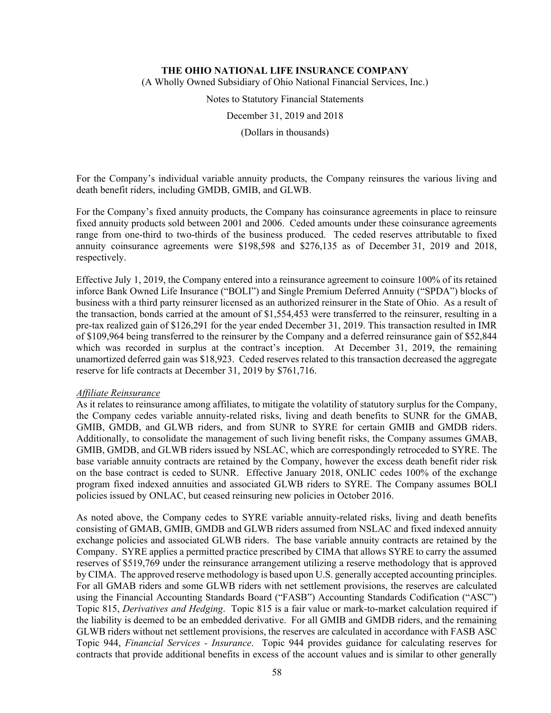(A Wholly Owned Subsidiary of Ohio National Financial Services, Inc.)

Notes to Statutory Financial Statements

December 31, 2019 and 2018

(Dollars in thousands)

For the Company's individual variable annuity products, the Company reinsures the various living and death benefit riders, including GMDB, GMIB, and GLWB.

For the Company's fixed annuity products, the Company has coinsurance agreements in place to reinsure fixed annuity products sold between 2001 and 2006. Ceded amounts under these coinsurance agreements range from one-third to two-thirds of the business produced. The ceded reserves attributable to fixed annuity coinsurance agreements were \$198,598 and \$276,135 as of December 31, 2019 and 2018, respectively.

Effective July 1, 2019, the Company entered into a reinsurance agreement to coinsure 100% of its retained inforce Bank Owned Life Insurance ("BOLI") and Single Premium Deferred Annuity ("SPDA") blocks of business with a third party reinsurer licensed as an authorized reinsurer in the State of Ohio. As a result of the transaction, bonds carried at the amount of \$1,554,453 were transferred to the reinsurer, resulting in a pre-tax realized gain of \$126,291 for the year ended December 31, 2019. This transaction resulted in IMR of \$109,964 being transferred to the reinsurer by the Company and a deferred reinsurance gain of \$52,844 which was recorded in surplus at the contract's inception. At December 31, 2019, the remaining unamortized deferred gain was \$18,923. Ceded reserves related to this transaction decreased the aggregate reserve for life contracts at December 31, 2019 by \$761,716.

#### *Affiliate Reinsurance*

As it relates to reinsurance among affiliates, to mitigate the volatility of statutory surplus for the Company, the Company cedes variable annuity-related risks, living and death benefits to SUNR for the GMAB, GMIB, GMDB, and GLWB riders, and from SUNR to SYRE for certain GMIB and GMDB riders. Additionally, to consolidate the management of such living benefit risks, the Company assumes GMAB, GMIB, GMDB, and GLWB riders issued by NSLAC, which are correspondingly retroceded to SYRE. The base variable annuity contracts are retained by the Company, however the excess death benefit rider risk on the base contract is ceded to SUNR. Effective January 2018, ONLIC cedes 100% of the exchange program fixed indexed annuities and associated GLWB riders to SYRE. The Company assumes BOLI policies issued by ONLAC, but ceased reinsuring new policies in October 2016.

As noted above, the Company cedes to SYRE variable annuity-related risks, living and death benefits consisting of GMAB, GMIB, GMDB and GLWB riders assumed from NSLAC and fixed indexed annuity exchange policies and associated GLWB riders. The base variable annuity contracts are retained by the Company. SYRE applies a permitted practice prescribed by CIMA that allows SYRE to carry the assumed reserves of \$519,769 under the reinsurance arrangement utilizing a reserve methodology that is approved by CIMA. The approved reserve methodology is based upon U.S. generally accepted accounting principles. For all GMAB riders and some GLWB riders with net settlement provisions, the reserves are calculated using the Financial Accounting Standards Board ("FASB") Accounting Standards Codification ("ASC") Topic 815, *Derivatives and Hedging*. Topic 815 is a fair value or mark-to-market calculation required if the liability is deemed to be an embedded derivative. For all GMIB and GMDB riders, and the remaining GLWB riders without net settlement provisions, the reserves are calculated in accordance with FASB ASC Topic 944, *Financial Services - Insurance*. Topic 944 provides guidance for calculating reserves for contracts that provide additional benefits in excess of the account values and is similar to other generally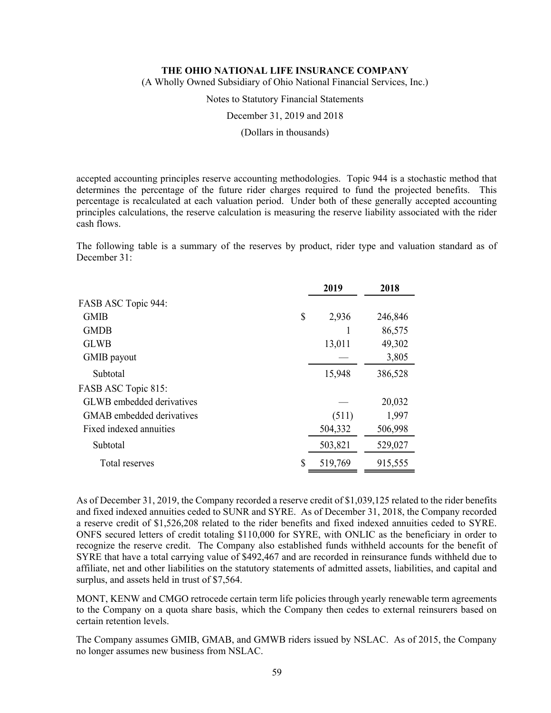(A Wholly Owned Subsidiary of Ohio National Financial Services, Inc.)

Notes to Statutory Financial Statements

December 31, 2019 and 2018

(Dollars in thousands)

accepted accounting principles reserve accounting methodologies. Topic 944 is a stochastic method that determines the percentage of the future rider charges required to fund the projected benefits. This percentage is recalculated at each valuation period. Under both of these generally accepted accounting principles calculations, the reserve calculation is measuring the reserve liability associated with the rider cash flows.

The following table is a summary of the reserves by product, rider type and valuation standard as of December 31:

|                           |    | 2019    | 2018    |
|---------------------------|----|---------|---------|
| FASB ASC Topic 944:       |    |         |         |
| <b>GMIB</b>               | \$ | 2,936   | 246,846 |
| <b>GMDB</b>               |    |         | 86,575  |
| <b>GLWB</b>               |    | 13,011  | 49,302  |
| GMIB payout               |    |         | 3,805   |
| Subtotal                  |    | 15,948  | 386,528 |
| FASB ASC Topic 815:       |    |         |         |
| GLWB embedded derivatives |    |         | 20,032  |
| GMAB embedded derivatives |    | (511)   | 1,997   |
| Fixed indexed annuities   |    | 504,332 | 506,998 |
| Subtotal                  |    | 503,821 | 529,027 |
| Total reserves            | S  | 519,769 | 915,555 |
|                           |    |         |         |

As of December 31, 2019, the Company recorded a reserve credit of \$1,039,125 related to the rider benefits and fixed indexed annuities ceded to SUNR and SYRE. As of December 31, 2018, the Company recorded a reserve credit of \$1,526,208 related to the rider benefits and fixed indexed annuities ceded to SYRE. ONFS secured letters of credit totaling \$110,000 for SYRE, with ONLIC as the beneficiary in order to recognize the reserve credit. The Company also established funds withheld accounts for the benefit of SYRE that have a total carrying value of \$492,467 and are recorded in reinsurance funds withheld due to affiliate, net and other liabilities on the statutory statements of admitted assets, liabilities, and capital and surplus, and assets held in trust of \$7,564.

MONT, KENW and CMGO retrocede certain term life policies through yearly renewable term agreements to the Company on a quota share basis, which the Company then cedes to external reinsurers based on certain retention levels.

The Company assumes GMIB, GMAB, and GMWB riders issued by NSLAC. As of 2015, the Company no longer assumes new business from NSLAC.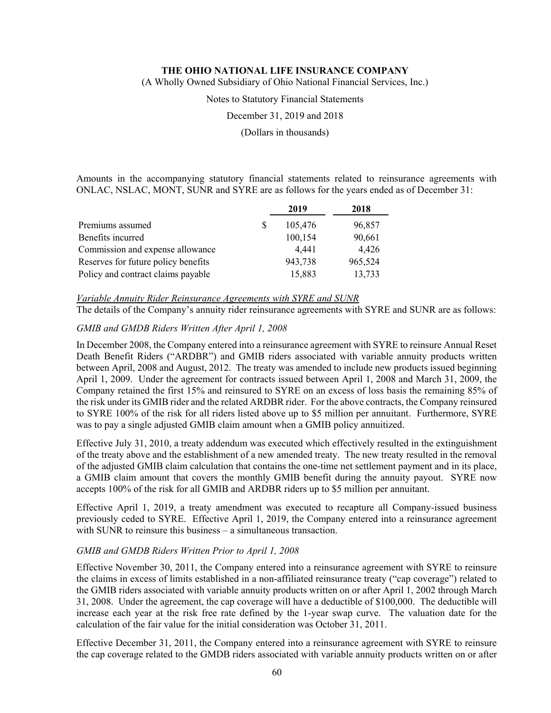(A Wholly Owned Subsidiary of Ohio National Financial Services, Inc.)

Notes to Statutory Financial Statements

December 31, 2019 and 2018

(Dollars in thousands)

Amounts in the accompanying statutory financial statements related to reinsurance agreements with ONLAC, NSLAC, MONT, SUNR and SYRE are as follows for the years ended as of December 31:

|                                     |   | 2019    | 2018    |
|-------------------------------------|---|---------|---------|
| Premiums assumed                    | S | 105,476 | 96,857  |
| Benefits incurred                   |   | 100,154 | 90,661  |
| Commission and expense allowance    |   | 4,441   | 4,426   |
| Reserves for future policy benefits |   | 943,738 | 965,524 |
| Policy and contract claims payable  |   | 15,883  | 13,733  |

*Variable Annuity Rider Reinsurance Agreements with SYRE and SUNR*  The details of the Company's annuity rider reinsurance agreements with SYRE and SUNR are as follows:

### *GMIB and GMDB Riders Written After April 1, 2008*

In December 2008, the Company entered into a reinsurance agreement with SYRE to reinsure Annual Reset Death Benefit Riders ("ARDBR") and GMIB riders associated with variable annuity products written between April, 2008 and August, 2012. The treaty was amended to include new products issued beginning April 1, 2009. Under the agreement for contracts issued between April 1, 2008 and March 31, 2009, the Company retained the first 15% and reinsured to SYRE on an excess of loss basis the remaining 85% of the risk under its GMIB rider and the related ARDBR rider. For the above contracts, the Company reinsured to SYRE 100% of the risk for all riders listed above up to \$5 million per annuitant. Furthermore, SYRE was to pay a single adjusted GMIB claim amount when a GMIB policy annuitized.

Effective July 31, 2010, a treaty addendum was executed which effectively resulted in the extinguishment of the treaty above and the establishment of a new amended treaty. The new treaty resulted in the removal of the adjusted GMIB claim calculation that contains the one-time net settlement payment and in its place, a GMIB claim amount that covers the monthly GMIB benefit during the annuity payout. SYRE now accepts 100% of the risk for all GMIB and ARDBR riders up to \$5 million per annuitant.

Effective April 1, 2019, a treaty amendment was executed to recapture all Company-issued business previously ceded to SYRE. Effective April 1, 2019, the Company entered into a reinsurance agreement with SUNR to reinsure this business – a simultaneous transaction.

### *GMIB and GMDB Riders Written Prior to April 1, 2008*

Effective November 30, 2011, the Company entered into a reinsurance agreement with SYRE to reinsure the claims in excess of limits established in a non-affiliated reinsurance treaty ("cap coverage") related to the GMIB riders associated with variable annuity products written on or after April 1, 2002 through March 31, 2008. Under the agreement, the cap coverage will have a deductible of \$100,000. The deductible will increase each year at the risk free rate defined by the 1-year swap curve. The valuation date for the calculation of the fair value for the initial consideration was October 31, 2011.

Effective December 31, 2011, the Company entered into a reinsurance agreement with SYRE to reinsure the cap coverage related to the GMDB riders associated with variable annuity products written on or after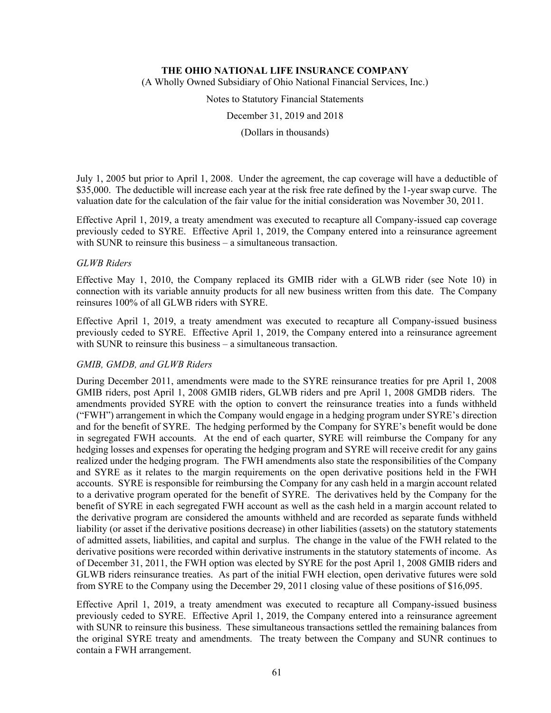(A Wholly Owned Subsidiary of Ohio National Financial Services, Inc.)

Notes to Statutory Financial Statements

December 31, 2019 and 2018

(Dollars in thousands)

July 1, 2005 but prior to April 1, 2008. Under the agreement, the cap coverage will have a deductible of \$35,000. The deductible will increase each year at the risk free rate defined by the 1-year swap curve. The valuation date for the calculation of the fair value for the initial consideration was November 30, 2011.

Effective April 1, 2019, a treaty amendment was executed to recapture all Company-issued cap coverage previously ceded to SYRE. Effective April 1, 2019, the Company entered into a reinsurance agreement with SUNR to reinsure this business – a simultaneous transaction.

### *GLWB Riders*

Effective May 1, 2010, the Company replaced its GMIB rider with a GLWB rider (see Note 10) in connection with its variable annuity products for all new business written from this date. The Company reinsures 100% of all GLWB riders with SYRE.

Effective April 1, 2019, a treaty amendment was executed to recapture all Company-issued business previously ceded to SYRE. Effective April 1, 2019, the Company entered into a reinsurance agreement with SUNR to reinsure this business – a simultaneous transaction.

# *GMIB, GMDB, and GLWB Riders*

During December 2011, amendments were made to the SYRE reinsurance treaties for pre April 1, 2008 GMIB riders, post April 1, 2008 GMIB riders, GLWB riders and pre April 1, 2008 GMDB riders. The amendments provided SYRE with the option to convert the reinsurance treaties into a funds withheld ("FWH") arrangement in which the Company would engage in a hedging program under SYRE's direction and for the benefit of SYRE. The hedging performed by the Company for SYRE's benefit would be done in segregated FWH accounts. At the end of each quarter, SYRE will reimburse the Company for any hedging losses and expenses for operating the hedging program and SYRE will receive credit for any gains realized under the hedging program. The FWH amendments also state the responsibilities of the Company and SYRE as it relates to the margin requirements on the open derivative positions held in the FWH accounts. SYRE is responsible for reimbursing the Company for any cash held in a margin account related to a derivative program operated for the benefit of SYRE. The derivatives held by the Company for the benefit of SYRE in each segregated FWH account as well as the cash held in a margin account related to the derivative program are considered the amounts withheld and are recorded as separate funds withheld liability (or asset if the derivative positions decrease) in other liabilities (assets) on the statutory statements of admitted assets, liabilities, and capital and surplus. The change in the value of the FWH related to the derivative positions were recorded within derivative instruments in the statutory statements of income. As of December 31, 2011, the FWH option was elected by SYRE for the post April 1, 2008 GMIB riders and GLWB riders reinsurance treaties. As part of the initial FWH election, open derivative futures were sold from SYRE to the Company using the December 29, 2011 closing value of these positions of \$16,095.

Effective April 1, 2019, a treaty amendment was executed to recapture all Company-issued business previously ceded to SYRE. Effective April 1, 2019, the Company entered into a reinsurance agreement with SUNR to reinsure this business. These simultaneous transactions settled the remaining balances from the original SYRE treaty and amendments. The treaty between the Company and SUNR continues to contain a FWH arrangement.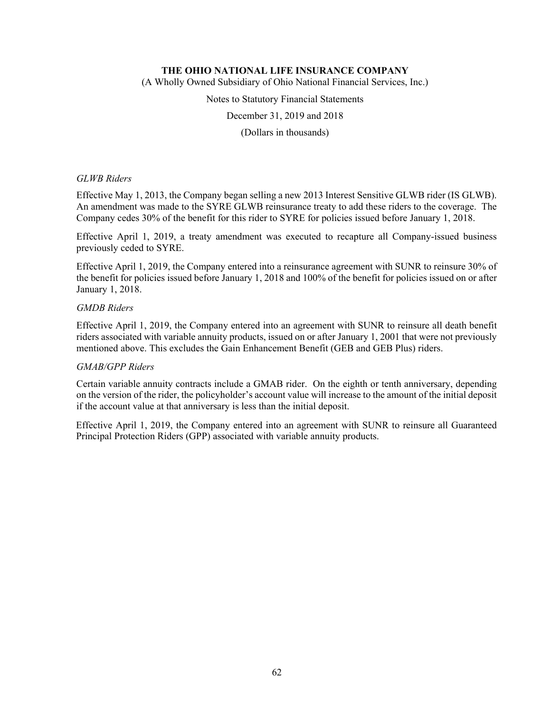(A Wholly Owned Subsidiary of Ohio National Financial Services, Inc.)

Notes to Statutory Financial Statements

December 31, 2019 and 2018

(Dollars in thousands)

### *GLWB Riders*

Effective May 1, 2013, the Company began selling a new 2013 Interest Sensitive GLWB rider (IS GLWB). An amendment was made to the SYRE GLWB reinsurance treaty to add these riders to the coverage. The Company cedes 30% of the benefit for this rider to SYRE for policies issued before January 1, 2018.

Effective April 1, 2019, a treaty amendment was executed to recapture all Company-issued business previously ceded to SYRE.

Effective April 1, 2019, the Company entered into a reinsurance agreement with SUNR to reinsure 30% of the benefit for policies issued before January 1, 2018 and 100% of the benefit for policies issued on or after January 1, 2018.

## *GMDB Riders*

Effective April 1, 2019, the Company entered into an agreement with SUNR to reinsure all death benefit riders associated with variable annuity products, issued on or after January 1, 2001 that were not previously mentioned above. This excludes the Gain Enhancement Benefit (GEB and GEB Plus) riders.

# *GMAB/GPP Riders*

Certain variable annuity contracts include a GMAB rider. On the eighth or tenth anniversary, depending on the version of the rider, the policyholder's account value will increase to the amount of the initial deposit if the account value at that anniversary is less than the initial deposit.

Effective April 1, 2019, the Company entered into an agreement with SUNR to reinsure all Guaranteed Principal Protection Riders (GPP) associated with variable annuity products.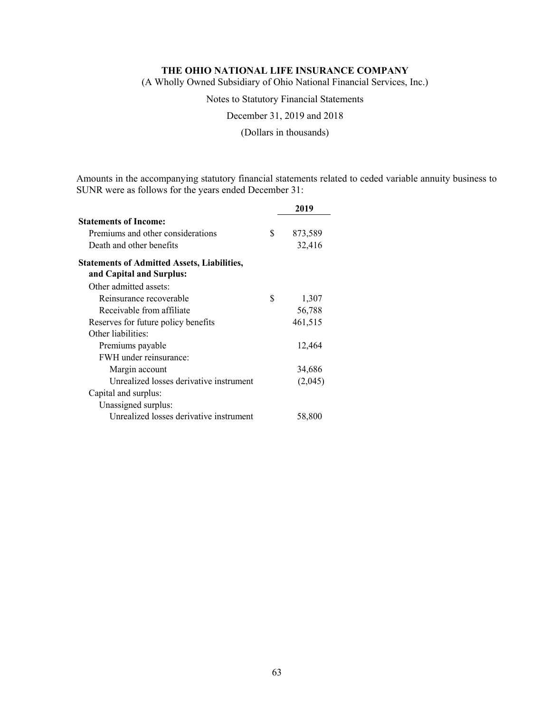(A Wholly Owned Subsidiary of Ohio National Financial Services, Inc.)

Notes to Statutory Financial Statements

December 31, 2019 and 2018

(Dollars in thousands)

Amounts in the accompanying statutory financial statements related to ceded variable annuity business to SUNR were as follows for the years ended December 31:

|                                                                                | 2019          |
|--------------------------------------------------------------------------------|---------------|
| <b>Statements of Income:</b>                                                   |               |
| Premiums and other considerations                                              | \$<br>873,589 |
| Death and other benefits                                                       | 32,416        |
| <b>Statements of Admitted Assets, Liabilities,</b><br>and Capital and Surplus: |               |
| Other admitted assets:                                                         |               |
| Reinsurance recoverable                                                        | \$<br>1,307   |
| Receivable from affiliate                                                      | 56,788        |
| Reserves for future policy benefits                                            | 461,515       |
| Other liabilities:                                                             |               |
| Premiums payable                                                               | 12,464        |
| FWH under reinsurance:                                                         |               |
| Margin account                                                                 | 34,686        |
| Unrealized losses derivative instrument                                        | (2,045)       |
| Capital and surplus:                                                           |               |
| Unassigned surplus:                                                            |               |
| Unrealized losses derivative instrument                                        | 58,800        |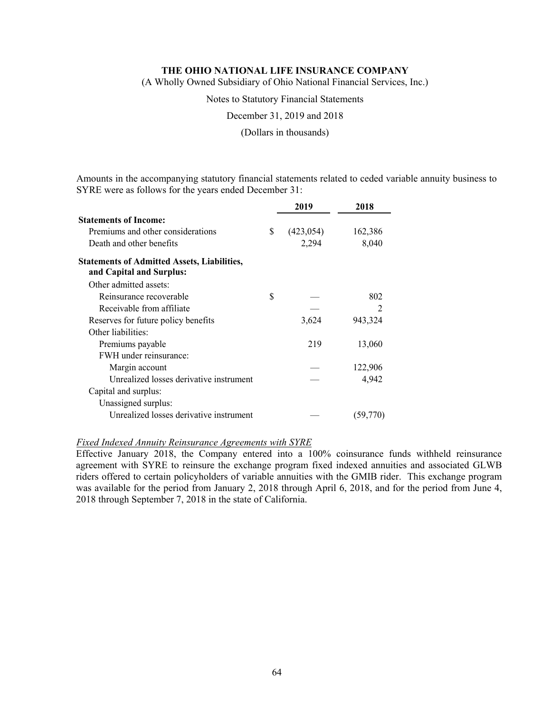(A Wholly Owned Subsidiary of Ohio National Financial Services, Inc.)

Notes to Statutory Financial Statements

December 31, 2019 and 2018

(Dollars in thousands)

Amounts in the accompanying statutory financial statements related to ceded variable annuity business to SYRE were as follows for the years ended December 31:

|                                                                                | 2019             | 2018     |
|--------------------------------------------------------------------------------|------------------|----------|
| <b>Statements of Income:</b>                                                   |                  |          |
| Premiums and other considerations                                              | \$<br>(423, 054) | 162,386  |
| Death and other benefits                                                       | 2,294            | 8,040    |
| <b>Statements of Admitted Assets, Liabilities,</b><br>and Capital and Surplus: |                  |          |
| Other admitted assets:                                                         |                  |          |
| Reinsurance recoverable                                                        | \$               | 802      |
| Receivable from affiliate                                                      |                  |          |
| Reserves for future policy benefits                                            | 3,624            | 943,324  |
| Other liabilities:                                                             |                  |          |
| Premiums payable                                                               | 219              | 13,060   |
| FWH under reinsurance:                                                         |                  |          |
| Margin account                                                                 |                  | 122,906  |
| Unrealized losses derivative instrument                                        |                  | 4,942    |
| Capital and surplus:                                                           |                  |          |
| Unassigned surplus:                                                            |                  |          |
| Unrealized losses derivative instrument                                        |                  | (59,770) |

### *Fixed Indexed Annuity Reinsurance Agreements with SYRE*

Effective January 2018, the Company entered into a 100% coinsurance funds withheld reinsurance agreement with SYRE to reinsure the exchange program fixed indexed annuities and associated GLWB riders offered to certain policyholders of variable annuities with the GMIB rider. This exchange program was available for the period from January 2, 2018 through April 6, 2018, and for the period from June 4, 2018 through September 7, 2018 in the state of California.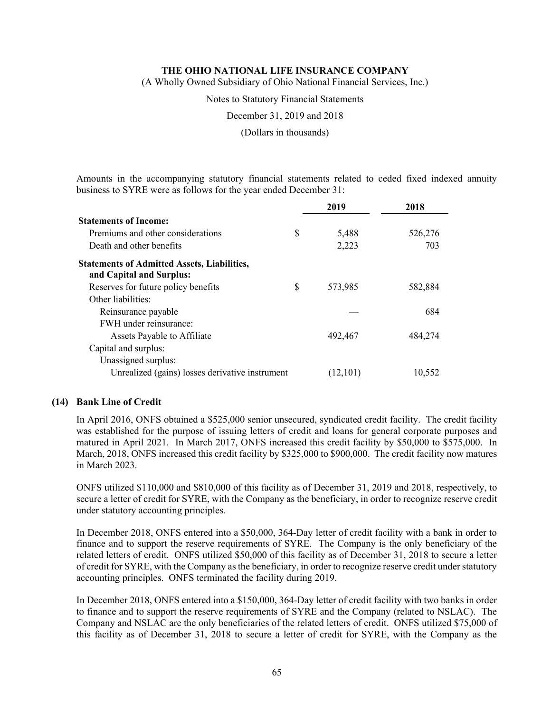(A Wholly Owned Subsidiary of Ohio National Financial Services, Inc.)

Notes to Statutory Financial Statements

December 31, 2019 and 2018

(Dollars in thousands)

Amounts in the accompanying statutory financial statements related to ceded fixed indexed annuity business to SYRE were as follows for the year ended December 31:

|                                                                                | 2019          | 2018    |
|--------------------------------------------------------------------------------|---------------|---------|
| <b>Statements of Income:</b>                                                   |               |         |
| Premiums and other considerations                                              | \$<br>5,488   | 526,276 |
| Death and other benefits                                                       | 2,223         | 703     |
| <b>Statements of Admitted Assets, Liabilities,</b><br>and Capital and Surplus: |               |         |
| Reserves for future policy benefits                                            | \$<br>573,985 | 582,884 |
| Other liabilities:                                                             |               |         |
| Reinsurance payable                                                            |               | 684     |
| FWH under reinsurance:                                                         |               |         |
| Assets Payable to Affiliate                                                    | 492,467       | 484,274 |
| Capital and surplus:                                                           |               |         |
| Unassigned surplus:                                                            |               |         |
| Unrealized (gains) losses derivative instrument                                | (12,101)      | 10,552  |

### **(14) Bank Line of Credit**

In April 2016, ONFS obtained a \$525,000 senior unsecured, syndicated credit facility. The credit facility was established for the purpose of issuing letters of credit and loans for general corporate purposes and matured in April 2021. In March 2017, ONFS increased this credit facility by \$50,000 to \$575,000. In March, 2018, ONFS increased this credit facility by \$325,000 to \$900,000. The credit facility now matures in March 2023.

ONFS utilized \$110,000 and \$810,000 of this facility as of December 31, 2019 and 2018, respectively, to secure a letter of credit for SYRE, with the Company as the beneficiary, in order to recognize reserve credit under statutory accounting principles.

In December 2018, ONFS entered into a \$50,000, 364-Day letter of credit facility with a bank in order to finance and to support the reserve requirements of SYRE. The Company is the only beneficiary of the related letters of credit. ONFS utilized \$50,000 of this facility as of December 31, 2018 to secure a letter of credit for SYRE, with the Company as the beneficiary, in order to recognize reserve credit under statutory accounting principles. ONFS terminated the facility during 2019.

In December 2018, ONFS entered into a \$150,000, 364-Day letter of credit facility with two banks in order to finance and to support the reserve requirements of SYRE and the Company (related to NSLAC). The Company and NSLAC are the only beneficiaries of the related letters of credit. ONFS utilized \$75,000 of this facility as of December 31, 2018 to secure a letter of credit for SYRE, with the Company as the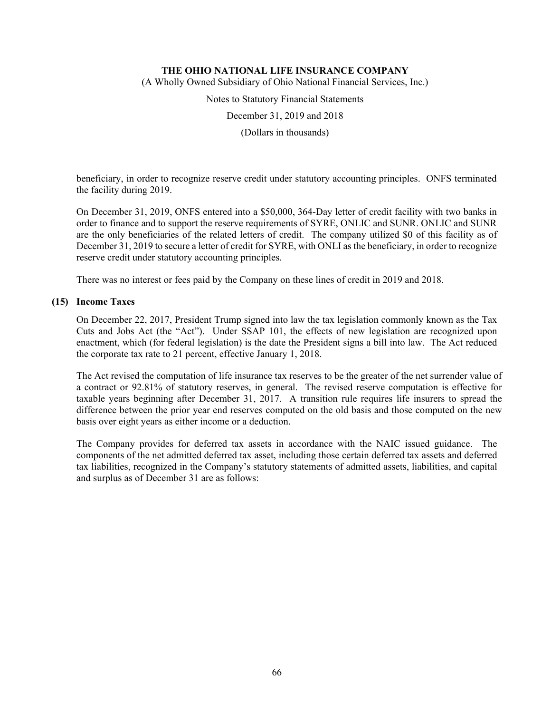(A Wholly Owned Subsidiary of Ohio National Financial Services, Inc.)

Notes to Statutory Financial Statements

December 31, 2019 and 2018

(Dollars in thousands)

beneficiary, in order to recognize reserve credit under statutory accounting principles. ONFS terminated the facility during 2019.

On December 31, 2019, ONFS entered into a \$50,000, 364-Day letter of credit facility with two banks in order to finance and to support the reserve requirements of SYRE, ONLIC and SUNR. ONLIC and SUNR are the only beneficiaries of the related letters of credit. The company utilized \$0 of this facility as of December 31, 2019 to secure a letter of credit for SYRE, with ONLI as the beneficiary, in order to recognize reserve credit under statutory accounting principles.

There was no interest or fees paid by the Company on these lines of credit in 2019 and 2018.

### **(15) Income Taxes**

On December 22, 2017, President Trump signed into law the tax legislation commonly known as the Tax Cuts and Jobs Act (the "Act"). Under SSAP 101, the effects of new legislation are recognized upon enactment, which (for federal legislation) is the date the President signs a bill into law. The Act reduced the corporate tax rate to 21 percent, effective January 1, 2018.

The Act revised the computation of life insurance tax reserves to be the greater of the net surrender value of a contract or 92.81% of statutory reserves, in general. The revised reserve computation is effective for taxable years beginning after December 31, 2017. A transition rule requires life insurers to spread the difference between the prior year end reserves computed on the old basis and those computed on the new basis over eight years as either income or a deduction.

The Company provides for deferred tax assets in accordance with the NAIC issued guidance. The components of the net admitted deferred tax asset, including those certain deferred tax assets and deferred tax liabilities, recognized in the Company's statutory statements of admitted assets, liabilities, and capital and surplus as of December 31 are as follows: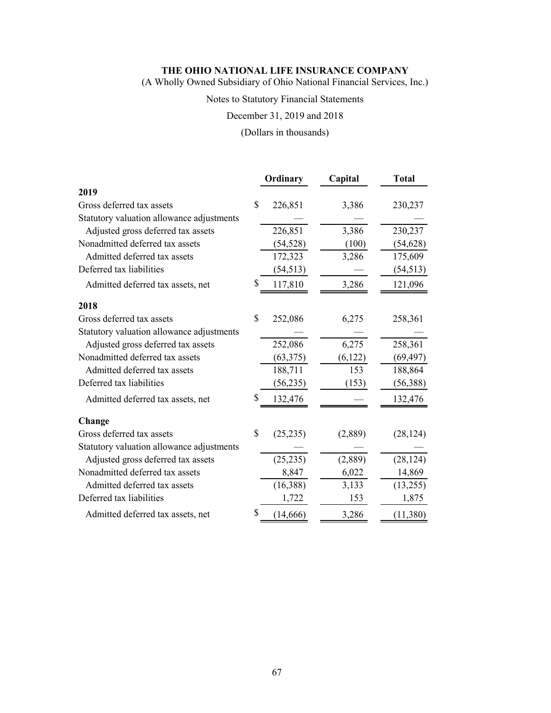(A Wholly Owned Subsidiary of Ohio National Financial Services, Inc.)

# Notes to Statutory Financial Statements

December 31, 2019 and 2018

(Dollars in thousands)

|                                           | Ordinary        | Capital | <b>Total</b> |
|-------------------------------------------|-----------------|---------|--------------|
| 2019                                      |                 |         |              |
| Gross deferred tax assets                 | \$<br>226,851   | 3,386   | 230,237      |
| Statutory valuation allowance adjustments |                 |         |              |
| Adjusted gross deferred tax assets        | 226,851         | 3,386   | 230,237      |
| Nonadmitted deferred tax assets           | (54, 528)       | (100)   | (54, 628)    |
| Admitted deferred tax assets              | 172,323         | 3,286   | 175,609      |
| Deferred tax liabilities                  | (54, 513)       |         | (54, 513)    |
| Admitted deferred tax assets, net         | \$<br>117,810   | 3,286   | 121,096      |
| 2018                                      |                 |         |              |
| Gross deferred tax assets                 | \$<br>252,086   | 6,275   | 258,361      |
| Statutory valuation allowance adjustments |                 |         |              |
| Adjusted gross deferred tax assets        | 252,086         | 6,275   | 258,361      |
| Nonadmitted deferred tax assets           | (63, 375)       | (6,122) | (69, 497)    |
| Admitted deferred tax assets              | 188,711         | 153     | 188,864      |
| Deferred tax liabilities                  | (56, 235)       | (153)   | (56, 388)    |
| Admitted deferred tax assets, net         | \$<br>132,476   |         | 132,476      |
| Change                                    |                 |         |              |
| Gross deferred tax assets                 | \$<br>(25, 235) | (2,889) | (28, 124)    |
| Statutory valuation allowance adjustments |                 |         |              |
| Adjusted gross deferred tax assets        | (25, 235)       | (2,889) | (28, 124)    |
| Nonadmitted deferred tax assets           | 8,847           | 6,022   | 14,869       |
| Admitted deferred tax assets              | (16, 388)       | 3,133   | (13,255)     |
| Deferred tax liabilities                  | 1,722           | 153     | 1,875        |
| Admitted deferred tax assets, net         | \$<br>(14, 666) | 3,286   | (11,380)     |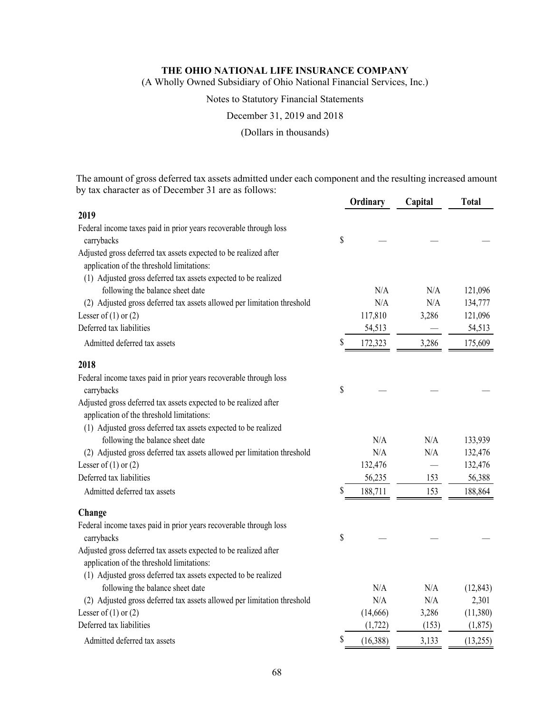(A Wholly Owned Subsidiary of Ohio National Financial Services, Inc.)

### Notes to Statutory Financial Statements

December 31, 2019 and 2018

(Dollars in thousands)

The amount of gross deferred tax assets admitted under each component and the resulting increased amount by tax character as of December 31 are as follows:

|                                                                         |    | Ordinary | Capital | <b>Total</b> |
|-------------------------------------------------------------------------|----|----------|---------|--------------|
| 2019                                                                    |    |          |         |              |
| Federal income taxes paid in prior years recoverable through loss       |    |          |         |              |
| carrybacks                                                              | \$ |          |         |              |
| Adjusted gross deferred tax assets expected to be realized after        |    |          |         |              |
| application of the threshold limitations:                               |    |          |         |              |
| (1) Adjusted gross deferred tax assets expected to be realized          |    |          |         |              |
| following the balance sheet date                                        |    | N/A      | N/A     | 121,096      |
| (2) Adjusted gross deferred tax assets allowed per limitation threshold |    | N/A      | N/A     | 134,777      |
| Lesser of $(1)$ or $(2)$                                                |    | 117,810  | 3,286   | 121,096      |
| Deferred tax liabilities                                                |    | 54,513   |         | 54,513       |
| Admitted deferred tax assets                                            | S  | 172,323  | 3,286   | 175,609      |
| 2018                                                                    |    |          |         |              |
| Federal income taxes paid in prior years recoverable through loss       |    |          |         |              |
| carrybacks                                                              | \$ |          |         |              |
| Adjusted gross deferred tax assets expected to be realized after        |    |          |         |              |
| application of the threshold limitations:                               |    |          |         |              |
| (1) Adjusted gross deferred tax assets expected to be realized          |    |          |         |              |
| following the balance sheet date                                        |    | N/A      | N/A     | 133,939      |
| (2) Adjusted gross deferred tax assets allowed per limitation threshold |    | N/A      | N/A     | 132,476      |
| Lesser of $(1)$ or $(2)$                                                |    | 132,476  |         | 132,476      |
| Deferred tax liabilities                                                |    | 56,235   | 153     | 56,388       |
| Admitted deferred tax assets                                            | \$ | 188,711  | 153     | 188,864      |
| Change                                                                  |    |          |         |              |
| Federal income taxes paid in prior years recoverable through loss       |    |          |         |              |
| carrybacks                                                              | \$ |          |         |              |
| Adjusted gross deferred tax assets expected to be realized after        |    |          |         |              |
| application of the threshold limitations:                               |    |          |         |              |
| (1) Adjusted gross deferred tax assets expected to be realized          |    |          |         |              |
| following the balance sheet date                                        |    | N/A      | N/A     | (12, 843)    |
| (2) Adjusted gross deferred tax assets allowed per limitation threshold |    | N/A      | N/A     | 2,301        |
| Lesser of $(1)$ or $(2)$                                                |    | (14,666) | 3,286   | (11,380)     |
| Deferred tax liabilities                                                |    | (1, 722) | (153)   | (1,875)      |
| Admitted deferred tax assets                                            | \$ | (16,388) | 3,133   | (13,255)     |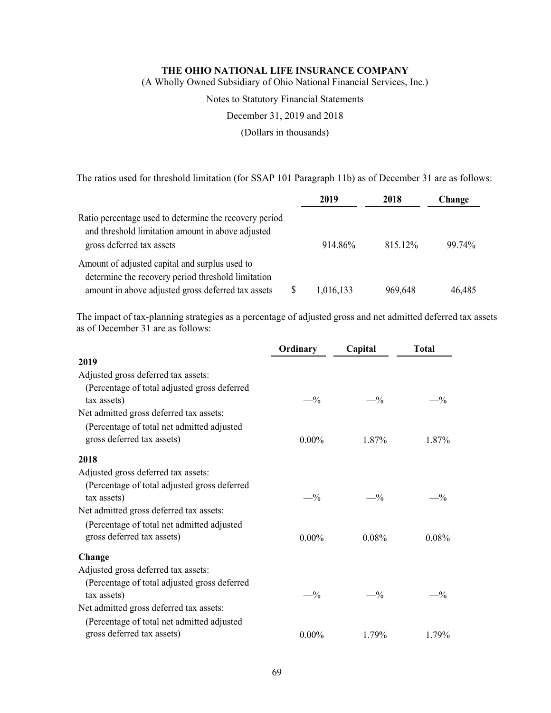(A Wholly Owned Subsidiary of Ohio National Financial Services, Inc.)

Notes to Statutory Financial Statements

December 31, 2019 and 2018

(Dollars in thousands)

The ratios used for threshold limitation (for SSAP 101 Paragraph 11b) as of December 31 are as follows:

|                                                                                                                                          |   | 2019      | 2018    | Change |
|------------------------------------------------------------------------------------------------------------------------------------------|---|-----------|---------|--------|
| Ratio percentage used to determine the recovery period<br>and threshold limitation amount in above adjusted<br>gross deferred tax assets |   | 914.86%   | 815.12% | 99.74% |
| Amount of adjusted capital and surplus used to<br>determine the recovery period threshold limitation                                     |   |           |         |        |
| amount in above adjusted gross deferred tax assets                                                                                       | S | 1,016,133 | 969,648 | 46,485 |

The impact of tax-planning strategies as a percentage of adjusted gross and net admitted deferred tax assets as of December  $31$  are as follows:

|                                              | Ordinary | Capital  | <b>Total</b> |
|----------------------------------------------|----------|----------|--------------|
| 2019                                         |          |          |              |
| Adjusted gross deferred tax assets:          |          |          |              |
| (Percentage of total adjusted gross deferred |          |          |              |
| tax assets)                                  | $-$ %    | $-$ %    | $-1/2$       |
| Net admitted gross deferred tax assets:      |          |          |              |
| (Percentage of total net admitted adjusted   |          |          |              |
| gross deferred tax assets)                   | $0.00\%$ | 1.87%    | 1.87%        |
| 2018                                         |          |          |              |
| Adjusted gross deferred tax assets:          |          |          |              |
| (Percentage of total adjusted gross deferred |          |          |              |
| tax assets)                                  | $-$ %    | $-$ %    | $-^{0}/_{0}$ |
| Net admitted gross deferred tax assets:      |          |          |              |
| (Percentage of total net admitted adjusted   |          |          |              |
| gross deferred tax assets)                   | $0.00\%$ | $0.08\%$ | $0.08\%$     |
| Change                                       |          |          |              |
| Adjusted gross deferred tax assets:          |          |          |              |
| (Percentage of total adjusted gross deferred |          |          |              |
| tax assets)                                  | $-$ %    | $-$ %    | $-^{0}/_{0}$ |
| Net admitted gross deferred tax assets:      |          |          |              |
| (Percentage of total net admitted adjusted   |          |          |              |
| gross deferred tax assets)                   | $0.00\%$ | 1.79%    | 1.79%        |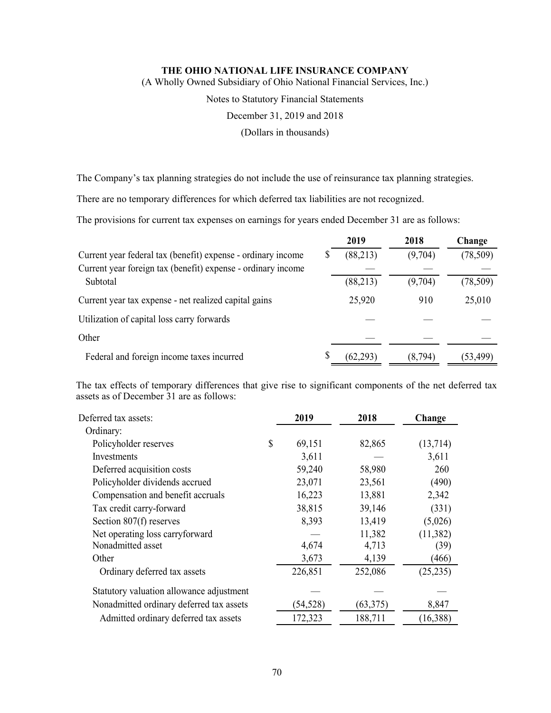(A Wholly Owned Subsidiary of Ohio National Financial Services, Inc.)

Notes to Statutory Financial Statements

December 31, 2019 and 2018

(Dollars in thousands)

The Company's tax planning strategies do not include the use of reinsurance tax planning strategies.

There are no temporary differences for which deferred tax liabilities are not recognized.

The provisions for current tax expenses on earnings for years ended December 31 are as follows:

|                                                              |   | 2019      | 2018    | Change    |
|--------------------------------------------------------------|---|-----------|---------|-----------|
| Current year federal tax (benefit) expense - ordinary income | S | (88,213)  | (9,704) | (78, 509) |
| Current year foreign tax (benefit) expense - ordinary income |   |           |         |           |
| Subtotal                                                     |   | (88,213)  | (9,704) | (78, 509) |
| Current year tax expense - net realized capital gains        |   | 25,920    | 910     | 25,010    |
| Utilization of capital loss carry forwards                   |   |           |         |           |
| Other                                                        |   |           |         |           |
| Federal and foreign income taxes incurred                    | S | (62, 293) | (8,794) | (53, 499) |

The tax effects of temporary differences that give rise to significant components of the net deferred tax assets as of December 31 are as follows:

| Deferred tax assets:                     | 2019         | 2018     | Change    |
|------------------------------------------|--------------|----------|-----------|
| Ordinary:                                |              |          |           |
| Policyholder reserves                    | \$<br>69,151 | 82,865   | (13,714)  |
| Investments                              | 3,611        |          | 3,611     |
| Deferred acquisition costs               | 59,240       | 58,980   | 260       |
| Policyholder dividends accrued           | 23,071       | 23,561   | (490)     |
| Compensation and benefit accruals        | 16,223       | 13,881   | 2,342     |
| Tax credit carry-forward                 | 38,815       | 39,146   | (331)     |
| Section $807(f)$ reserves                | 8,393        | 13,419   | (5,026)   |
| Net operating loss carryforward          |              | 11,382   | (11, 382) |
| Nonadmitted asset                        | 4,674        | 4,713    | (39)      |
| Other                                    | 3,673        | 4,139    | (466)     |
| Ordinary deferred tax assets             | 226,851      | 252,086  | (25, 235) |
| Statutory valuation allowance adjustment |              |          |           |
| Nonadmitted ordinary deferred tax assets | (54, 528)    | (63,375) | 8,847     |
| Admitted ordinary deferred tax assets    | 172,323      | 188,711  | (16, 388) |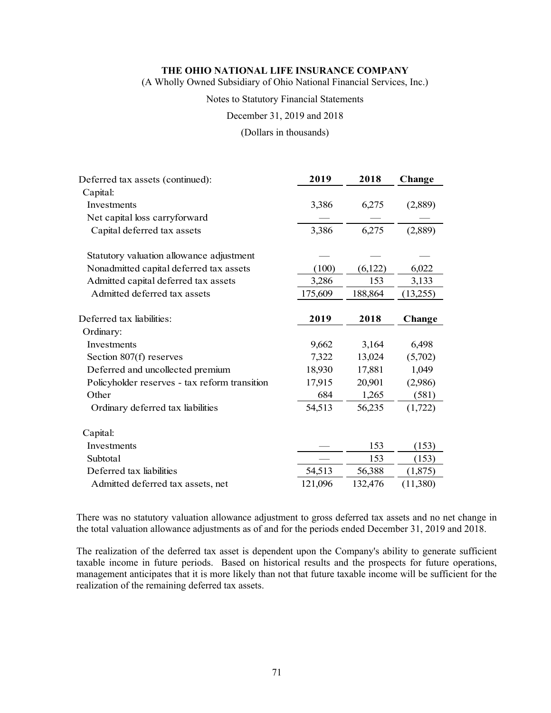(A Wholly Owned Subsidiary of Ohio National Financial Services, Inc.)

#### Notes to Statutory Financial Statements

December 31, 2019 and 2018

#### (Dollars in thousands)

| Deferred tax assets (continued):              | 2019    | 2018    | Change   |
|-----------------------------------------------|---------|---------|----------|
| Capital:                                      |         |         |          |
| Investments                                   | 3,386   | 6,275   | (2,889)  |
| Net capital loss carryforward                 |         |         |          |
| Capital deferred tax assets                   | 3,386   | 6,275   | (2,889)  |
| Statutory valuation allowance adjustment      |         |         |          |
| Nonadmitted capital deferred tax assets       | (100)   | (6,122) | 6,022    |
| Admitted capital deferred tax assets          | 3,286   | 153     | 3,133    |
| Admitted deferred tax assets                  | 175,609 | 188,864 | (13,255) |
|                                               |         |         |          |
| Deferred tax liabilities:                     | 2019    | 2018    | Change   |
| Ordinary:                                     |         |         |          |
| Investments                                   | 9,662   | 3,164   | 6,498    |
| Section 807(f) reserves                       | 7,322   | 13,024  | (5,702)  |
| Deferred and uncollected premium              | 18,930  | 17,881  | 1,049    |
| Policyholder reserves - tax reform transition | 17,915  | 20,901  | (2,986)  |
| Other                                         | 684     | 1,265   | (581)    |
| Ordinary deferred tax liabilities             | 54,513  | 56,235  | (1,722)  |
| Capital:                                      |         |         |          |
| Investments                                   |         | 153     | (153)    |
| Subtotal                                      |         | 153     | (153)    |
| Deferred tax liabilities                      | 54,513  | 56,388  | (1,875)  |
| Admitted deferred tax assets, net             | 121,096 | 132,476 | (11,380) |

There was no statutory valuation allowance adjustment to gross deferred tax assets and no net change in the total valuation allowance adjustments as of and for the periods ended December 31, 2019 and 2018.

The realization of the deferred tax asset is dependent upon the Company's ability to generate sufficient taxable income in future periods. Based on historical results and the prospects for future operations, management anticipates that it is more likely than not that future taxable income will be sufficient for the realization of the remaining deferred tax assets.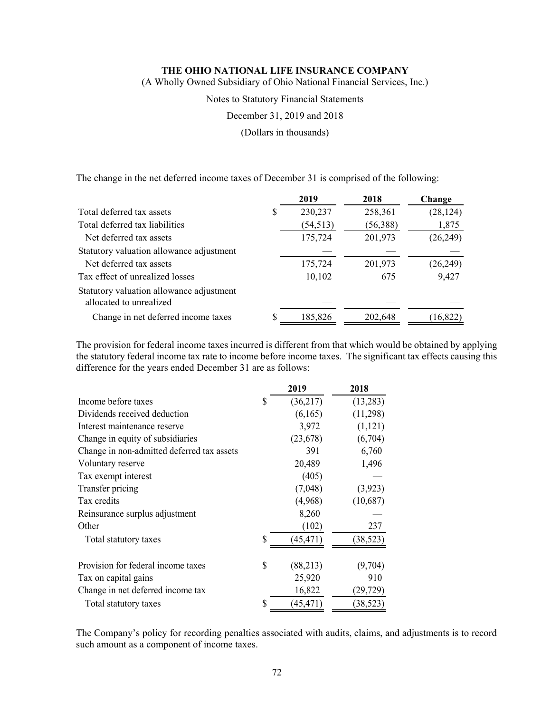(A Wholly Owned Subsidiary of Ohio National Financial Services, Inc.)

Notes to Statutory Financial Statements

December 31, 2019 and 2018

(Dollars in thousands)

The change in the net deferred income taxes of December 31 is comprised of the following:

|                                                                     |    | 2019      | 2018     | Change    |
|---------------------------------------------------------------------|----|-----------|----------|-----------|
| Total deferred tax assets                                           | \$ | 230,237   | 258,361  | (28, 124) |
| Total deferred tax liabilities                                      |    | (54, 513) | (56,388) | 1,875     |
| Net deferred tax assets                                             |    | 175,724   | 201,973  | (26,249)  |
| Statutory valuation allowance adjustment                            |    |           |          |           |
| Net deferred tax assets                                             |    | 175,724   | 201,973  | (26,249)  |
| Tax effect of unrealized losses                                     |    | 10,102    | 675      | 9,427     |
| Statutory valuation allowance adjustment<br>allocated to unrealized |    |           |          |           |
| Change in net deferred income taxes                                 | S  | 185,826   | 202,648  | (16, 822) |

The provision for federal income taxes incurred is different from that which would be obtained by applying the statutory federal income tax rate to income before income taxes. The significant tax effects causing this difference for the years ended December 31 are as follows:

|                                            |    | 2019      | 2018      |
|--------------------------------------------|----|-----------|-----------|
| Income before taxes                        | S  | (36,217)  | (13,283)  |
| Dividends received deduction               |    | (6,165)   | (11,298)  |
| Interest maintenance reserve               |    | 3,972     | (1,121)   |
| Change in equity of subsidiaries           |    | (23, 678) | (6,704)   |
| Change in non-admitted deferred tax assets |    | 391       | 6,760     |
| Voluntary reserve                          |    | 20,489    | 1,496     |
| Tax exempt interest                        |    | (405)     |           |
| Transfer pricing                           |    | (7,048)   | (3,923)   |
| Tax credits                                |    | (4,968)   | (10,687)  |
| Reinsurance surplus adjustment             |    | 8,260     |           |
| Other                                      |    | (102)     | 237       |
| Total statutory taxes                      | S  | (45, 471) | (38, 523) |
| Provision for federal income taxes         | \$ | (88,213)  | (9,704)   |
| Tax on capital gains                       |    | 25,920    | 910       |
| Change in net deferred income tax          |    | 16,822    | (29, 729) |
| Total statutory taxes                      | \$ | (45, 471) | (38, 523) |

The Company's policy for recording penalties associated with audits, claims, and adjustments is to record such amount as a component of income taxes.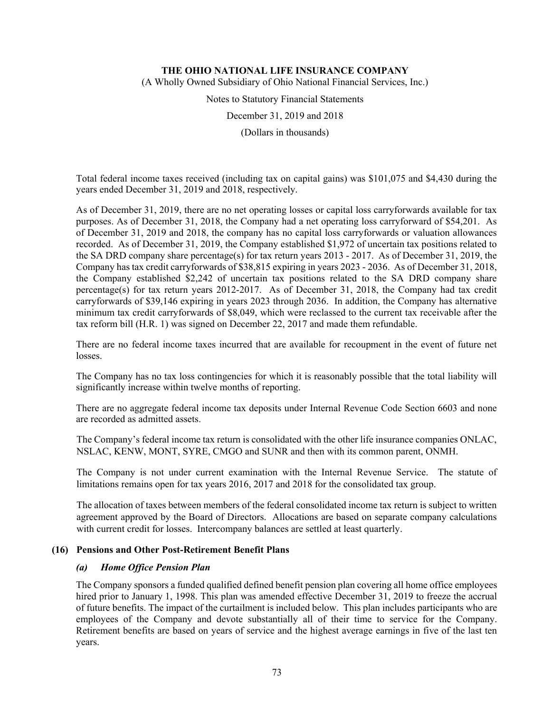(A Wholly Owned Subsidiary of Ohio National Financial Services, Inc.)

Notes to Statutory Financial Statements

December 31, 2019 and 2018

(Dollars in thousands)

Total federal income taxes received (including tax on capital gains) was \$101,075 and \$4,430 during the years ended December 31, 2019 and 2018, respectively.

As of December 31, 2019, there are no net operating losses or capital loss carryforwards available for tax purposes. As of December 31, 2018, the Company had a net operating loss carryforward of \$54,201. As of December 31, 2019 and 2018, the company has no capital loss carryforwards or valuation allowances recorded. As of December 31, 2019, the Company established \$1,972 of uncertain tax positions related to the SA DRD company share percentage(s) for tax return years 2013 - 2017. As of December 31, 2019, the Company has tax credit carryforwards of \$38,815 expiring in years 2023 - 2036. As of December 31, 2018, the Company established \$2,242 of uncertain tax positions related to the SA DRD company share percentage(s) for tax return years 2012-2017. As of December 31, 2018, the Company had tax credit carryforwards of \$39,146 expiring in years 2023 through 2036. In addition, the Company has alternative minimum tax credit carryforwards of \$8,049, which were reclassed to the current tax receivable after the tax reform bill (H.R. 1) was signed on December 22, 2017 and made them refundable.

There are no federal income taxes incurred that are available for recoupment in the event of future net losses.

The Company has no tax loss contingencies for which it is reasonably possible that the total liability will significantly increase within twelve months of reporting.

There are no aggregate federal income tax deposits under Internal Revenue Code Section 6603 and none are recorded as admitted assets.

The Company's federal income tax return is consolidated with the other life insurance companies ONLAC, NSLAC, KENW, MONT, SYRE, CMGO and SUNR and then with its common parent, ONMH.

The Company is not under current examination with the Internal Revenue Service. The statute of limitations remains open for tax years 2016, 2017 and 2018 for the consolidated tax group.

The allocation of taxes between members of the federal consolidated income tax return is subject to written agreement approved by the Board of Directors. Allocations are based on separate company calculations with current credit for losses. Intercompany balances are settled at least quarterly.

### **(16) Pensions and Other Post-Retirement Benefit Plans**

# *(a) Home Office Pension Plan*

The Company sponsors a funded qualified defined benefit pension plan covering all home office employees hired prior to January 1, 1998. This plan was amended effective December 31, 2019 to freeze the accrual of future benefits. The impact of the curtailment is included below. This plan includes participants who are employees of the Company and devote substantially all of their time to service for the Company. Retirement benefits are based on years of service and the highest average earnings in five of the last ten years.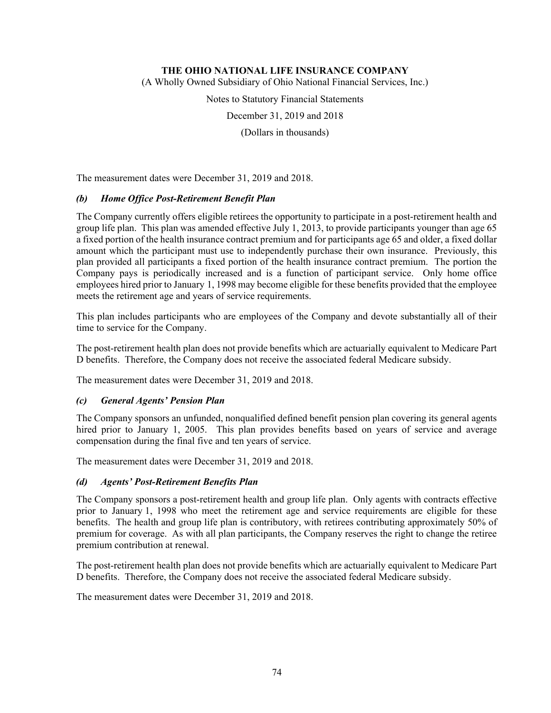(A Wholly Owned Subsidiary of Ohio National Financial Services, Inc.)

Notes to Statutory Financial Statements

December 31, 2019 and 2018

(Dollars in thousands)

The measurement dates were December 31, 2019 and 2018.

# *(b) Home Office Post-Retirement Benefit Plan*

The Company currently offers eligible retirees the opportunity to participate in a post-retirement health and group life plan. This plan was amended effective July 1, 2013, to provide participants younger than age 65 a fixed portion of the health insurance contract premium and for participants age 65 and older, a fixed dollar amount which the participant must use to independently purchase their own insurance. Previously, this plan provided all participants a fixed portion of the health insurance contract premium. The portion the Company pays is periodically increased and is a function of participant service. Only home office employees hired prior to January 1, 1998 may become eligible for these benefits provided that the employee meets the retirement age and years of service requirements.

This plan includes participants who are employees of the Company and devote substantially all of their time to service for the Company.

The post-retirement health plan does not provide benefits which are actuarially equivalent to Medicare Part D benefits. Therefore, the Company does not receive the associated federal Medicare subsidy.

The measurement dates were December 31, 2019 and 2018.

# *(c) General Agents' Pension Plan*

The Company sponsors an unfunded, nonqualified defined benefit pension plan covering its general agents hired prior to January 1, 2005. This plan provides benefits based on years of service and average compensation during the final five and ten years of service.

The measurement dates were December 31, 2019 and 2018.

# *(d) Agents' Post-Retirement Benefits Plan*

The Company sponsors a post-retirement health and group life plan. Only agents with contracts effective prior to January 1, 1998 who meet the retirement age and service requirements are eligible for these benefits. The health and group life plan is contributory, with retirees contributing approximately 50% of premium for coverage. As with all plan participants, the Company reserves the right to change the retiree premium contribution at renewal.

The post-retirement health plan does not provide benefits which are actuarially equivalent to Medicare Part D benefits. Therefore, the Company does not receive the associated federal Medicare subsidy.

The measurement dates were December 31, 2019 and 2018.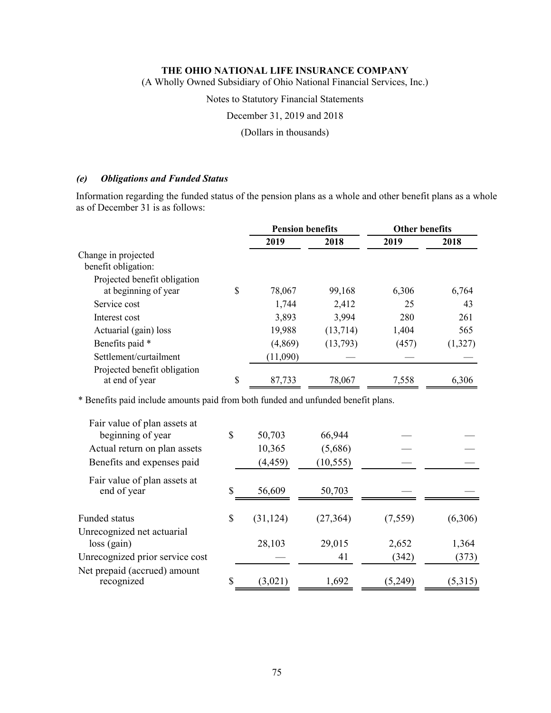(A Wholly Owned Subsidiary of Ohio National Financial Services, Inc.)

Notes to Statutory Financial Statements

December 31, 2019 and 2018

(Dollars in thousands)

### *(e) Obligations and Funded Status*

Information regarding the funded status of the pension plans as a whole and other benefit plans as a whole as of December 31 is as follows:

|                                                |    | <b>Pension benefits</b> |          |       |         | <b>Other benefits</b> |  |
|------------------------------------------------|----|-------------------------|----------|-------|---------|-----------------------|--|
|                                                |    | 2019                    | 2018     | 2019  | 2018    |                       |  |
| Change in projected<br>benefit obligation:     |    |                         |          |       |         |                       |  |
| Projected benefit obligation                   |    |                         |          |       |         |                       |  |
| at beginning of year                           | \$ | 78,067                  | 99,168   | 6,306 | 6,764   |                       |  |
| Service cost                                   |    | 1,744                   | 2,412    | 25    | 43      |                       |  |
| Interest cost                                  |    | 3,893                   | 3,994    | 280   | 261     |                       |  |
| Actuarial (gain) loss                          |    | 19,988                  | (13,714) | 1,404 | 565     |                       |  |
| Benefits paid *                                |    | (4,869)                 | (13,793) | (457) | (1,327) |                       |  |
| Settlement/curtailment                         |    | (11,090)                |          |       |         |                       |  |
| Projected benefit obligation<br>at end of year | \$ | 87,733                  | 78,067   | 7,558 | 6,306   |                       |  |

\* Benefits paid include amounts paid from both funded and unfunded benefit plans.

| Fair value of plan assets at               |                 |           |         |         |
|--------------------------------------------|-----------------|-----------|---------|---------|
| beginning of year                          | \$<br>50,703    | 66,944    |         |         |
| Actual return on plan assets               | 10,365          | (5,686)   |         |         |
| Benefits and expenses paid                 | (4, 459)        | (10, 555) |         |         |
| Fair value of plan assets at               |                 |           |         |         |
| end of year                                | \$<br>56,609    | 50,703    |         |         |
| Funded status                              | \$<br>(31, 124) | (27, 364) | (7,559) | (6,306) |
| Unrecognized net actuarial                 |                 |           |         |         |
| $loss$ (gain)                              | 28,103          | 29,015    | 2,652   | 1,364   |
| Unrecognized prior service cost            |                 | 41        | (342)   | (373)   |
| Net prepaid (accrued) amount<br>recognized | \$<br>(3,021)   | 1,692     | (5,249) | (5,315) |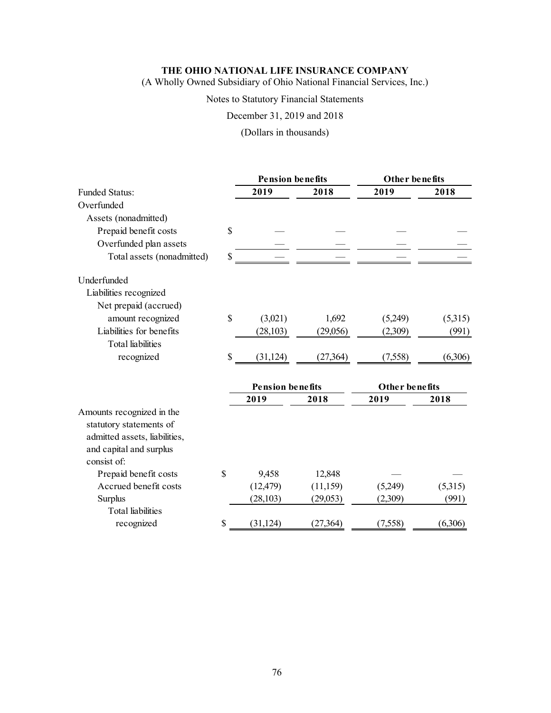(A Wholly Owned Subsidiary of Ohio National Financial Services, Inc.)

# Notes to Statutory Financial Statements

December 31, 2019 and 2018

(Dollars in thousands)

|                                                      |    | <b>Pension benefits</b> |           | Other benefits |         |
|------------------------------------------------------|----|-------------------------|-----------|----------------|---------|
| <b>Funded Status:</b>                                |    | 2019                    | 2018      | 2019           | 2018    |
| Overfunded                                           |    |                         |           |                |         |
| Assets (nonadmitted)                                 |    |                         |           |                |         |
| Prepaid benefit costs                                | \$ |                         |           |                |         |
| Overfunded plan assets                               |    |                         |           |                |         |
| Total assets (nonadmitted)                           | S  |                         |           |                |         |
| Underfunded                                          |    |                         |           |                |         |
| Liabilities recognized                               |    |                         |           |                |         |
| Net prepaid (accrued)                                |    |                         |           |                |         |
| amount recognized                                    | \$ | (3,021)                 | 1,692     | (5,249)        | (5,315) |
| Liabilities for benefits                             |    | (28, 103)               | (29,056)  | (2,309)        | (991)   |
| <b>Total</b> liabilities                             |    |                         |           |                |         |
| recognized                                           | \$ | (31, 124)               | (27, 364) | (7,558)        | (6,306) |
|                                                      |    | <b>Pension benefits</b> |           | Other benefits |         |
|                                                      |    | 2019                    | 2018      | 2019           | 2018    |
| Amounts recognized in the<br>statutory statements of |    |                         |           |                |         |
| admitted assets, liabilities,                        |    |                         |           |                |         |
| and capital and surplus                              |    |                         |           |                |         |
| consist of:                                          |    |                         |           |                |         |
| Prepaid benefit costs                                | \$ | 9,458                   | 12,848    |                |         |
| Accrued benefit costs                                |    | (12, 479)               | (11,159)  | (5,249)        | (5,315) |
| Surplus                                              |    | (28, 103)               | (29,053)  | (2,309)        | (991)   |
| <b>Total liabilities</b>                             |    |                         |           |                |         |
| recognized                                           | \$ | (31, 124)               | (27,364)  | (7,558)        | (6,306) |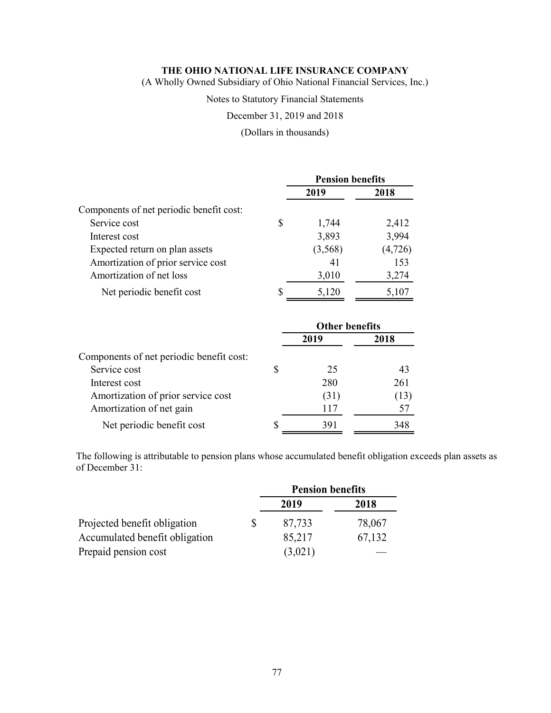(A Wholly Owned Subsidiary of Ohio National Financial Services, Inc.)

### Notes to Statutory Financial Statements

## December 31, 2019 and 2018

### (Dollars in thousands)

|                                          |   | <b>Pension benefits</b> |          |  |
|------------------------------------------|---|-------------------------|----------|--|
|                                          |   | 2019                    | 2018     |  |
| Components of net periodic benefit cost: |   |                         |          |  |
| Service cost                             | S | 1,744                   | 2,412    |  |
| Interest cost                            |   | 3,893                   | 3,994    |  |
| Expected return on plan assets           |   | (3,568)                 | (4, 726) |  |
| Amortization of prior service cost       |   | 41                      | 153      |  |
| Amortization of net loss                 |   | 3,010                   | 3,274    |  |
| Net periodic benefit cost                |   | 5,120                   | 5,107    |  |

|                                          | <b>Other benefits</b> |      |  |
|------------------------------------------|-----------------------|------|--|
|                                          | 2019                  | 2018 |  |
| Components of net periodic benefit cost: |                       |      |  |
| Service cost                             | 25                    | 43   |  |
| Interest cost                            | 280                   | 261  |  |
| Amortization of prior service cost       | (31)                  | (13) |  |
| Amortization of net gain                 | 117                   |      |  |
| Net periodic benefit cost                | 391                   | 348  |  |

The following is attributable to pension plans whose accumulated benefit obligation exceeds plan assets as of December 31:

|                                | <b>Pension benefits</b> |        |  |
|--------------------------------|-------------------------|--------|--|
|                                | 2019                    | 2018   |  |
| Projected benefit obligation   | 87,733                  | 78,067 |  |
| Accumulated benefit obligation | 85,217                  | 67,132 |  |
| Prepaid pension cost           | (3,021)                 |        |  |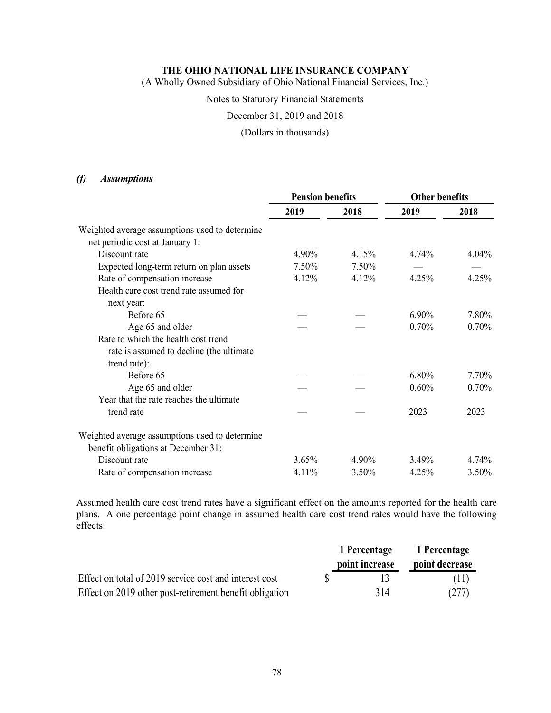(A Wholly Owned Subsidiary of Ohio National Financial Services, Inc.)

#### Notes to Statutory Financial Statements

December 31, 2019 and 2018

### (Dollars in thousands)

## *(f) Assumptions*

|                                                | <b>Pension benefits</b> |       | <b>Other benefits</b> |          |
|------------------------------------------------|-------------------------|-------|-----------------------|----------|
|                                                | 2019                    | 2018  | 2019                  | 2018     |
| Weighted average assumptions used to determine |                         |       |                       |          |
| net periodic cost at January 1:                |                         |       |                       |          |
| Discount rate                                  | 4.90%                   | 4.15% | 4.74%                 | $4.04\%$ |
| Expected long-term return on plan assets       | 7.50%                   | 7.50% |                       |          |
| Rate of compensation increase                  | 4.12%                   | 4.12% | 4.25%                 | 4.25%    |
| Health care cost trend rate assumed for        |                         |       |                       |          |
| next year:                                     |                         |       |                       |          |
| Before 65                                      |                         |       | $6.90\%$              | 7.80%    |
| Age 65 and older                               |                         |       | 0.70%                 | 0.70%    |
| Rate to which the health cost trend            |                         |       |                       |          |
| rate is assumed to decline (the ultimate       |                         |       |                       |          |
| trend rate):                                   |                         |       |                       |          |
| Before 65                                      |                         |       | 6.80%                 | 7.70%    |
| Age 65 and older                               |                         |       | 0.60%                 | 0.70%    |
| Year that the rate reaches the ultimate        |                         |       |                       |          |
| trend rate                                     |                         |       | 2023                  | 2023     |
| Weighted average assumptions used to determine |                         |       |                       |          |
| benefit obligations at December 31:            |                         |       |                       |          |
| Discount rate                                  | 3.65%                   | 4.90% | 3.49%                 | 4.74%    |
| Rate of compensation increase                  | 4.11%                   | 3.50% | 4.25%                 | 3.50%    |

Assumed health care cost trend rates have a significant effect on the amounts reported for the health care plans. A one percentage point change in assumed health care cost trend rates would have the following effects:

|                                                         | 1 Percentage   | 1 Percentage   |
|---------------------------------------------------------|----------------|----------------|
|                                                         | point increase | point decrease |
| Effect on total of 2019 service cost and interest cost  |                | (11)           |
| Effect on 2019 other post-retirement benefit obligation | 314            | (277)          |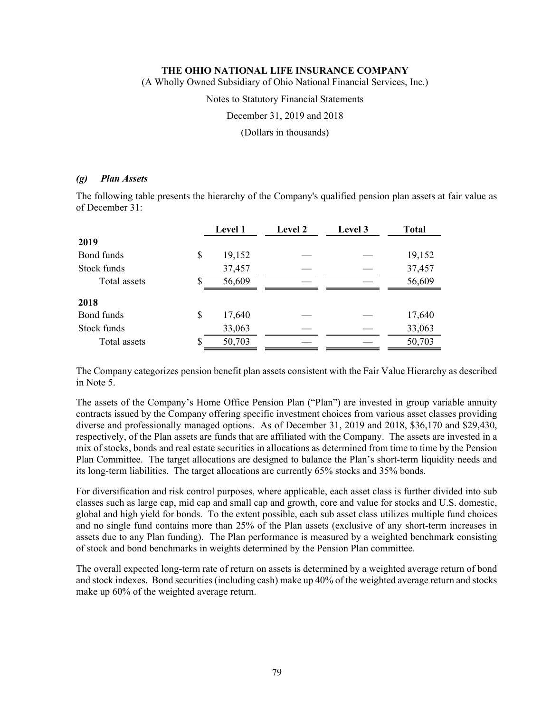(A Wholly Owned Subsidiary of Ohio National Financial Services, Inc.)

Notes to Statutory Financial Statements

December 31, 2019 and 2018

(Dollars in thousands)

### *(g) Plan Assets*

The following table presents the hierarchy of the Company's qualified pension plan assets at fair value as of December 31:

|              |    | Level 1 | Level 2 | Level 3 | <b>Total</b> |
|--------------|----|---------|---------|---------|--------------|
| 2019         |    |         |         |         |              |
| Bond funds   | \$ | 19,152  |         |         | 19,152       |
| Stock funds  |    | 37,457  |         |         | 37,457       |
| Total assets | S  | 56,609  |         |         | 56,609       |
| 2018         |    |         |         |         |              |
| Bond funds   | \$ | 17,640  |         |         | 17,640       |
| Stock funds  |    | 33,063  |         |         | 33,063       |
| Total assets | S  | 50,703  |         |         | 50,703       |

The Company categorizes pension benefit plan assets consistent with the Fair Value Hierarchy as described in Note 5.

The assets of the Company's Home Office Pension Plan ("Plan") are invested in group variable annuity contracts issued by the Company offering specific investment choices from various asset classes providing diverse and professionally managed options. As of December 31, 2019 and 2018, \$36,170 and \$29,430, respectively, of the Plan assets are funds that are affiliated with the Company. The assets are invested in a mix of stocks, bonds and real estate securities in allocations as determined from time to time by the Pension Plan Committee. The target allocations are designed to balance the Plan's short-term liquidity needs and its long-term liabilities. The target allocations are currently 65% stocks and 35% bonds.

For diversification and risk control purposes, where applicable, each asset class is further divided into sub classes such as large cap, mid cap and small cap and growth, core and value for stocks and U.S. domestic, global and high yield for bonds. To the extent possible, each sub asset class utilizes multiple fund choices and no single fund contains more than 25% of the Plan assets (exclusive of any short-term increases in assets due to any Plan funding). The Plan performance is measured by a weighted benchmark consisting of stock and bond benchmarks in weights determined by the Pension Plan committee.

The overall expected long-term rate of return on assets is determined by a weighted average return of bond and stock indexes. Bond securities (including cash) make up 40% of the weighted average return and stocks make up 60% of the weighted average return.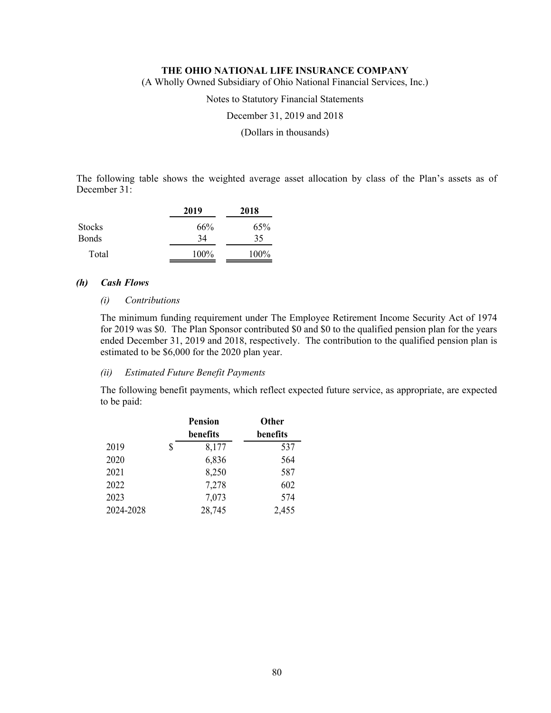(A Wholly Owned Subsidiary of Ohio National Financial Services, Inc.)

Notes to Statutory Financial Statements

December 31, 2019 and 2018

(Dollars in thousands)

The following table shows the weighted average asset allocation by class of the Plan's assets as of December 31:

|               | 2019 | 2018 |
|---------------|------|------|
| <b>Stocks</b> | 66%  | 65%  |
| <b>Bonds</b>  | 34   | 35   |
| Total         | 100% | 100% |

## *(h) Cash Flows*

#### *(i) Contributions*

The minimum funding requirement under The Employee Retirement Income Security Act of 1974 for 2019 was \$0. The Plan Sponsor contributed \$0 and \$0 to the qualified pension plan for the years ended December 31, 2019 and 2018, respectively. The contribution to the qualified pension plan is estimated to be \$6,000 for the 2020 plan year.

### *(ii) Estimated Future Benefit Payments*

The following benefit payments, which reflect expected future service, as appropriate, are expected to be paid:

|           | <b>Pension</b> | Other    |
|-----------|----------------|----------|
|           | benefits       | benefits |
| 2019      | \$<br>8,177    | 537      |
| 2020      | 6,836          | 564      |
| 2021      | 8,250          | 587      |
| 2022      | 7,278          | 602      |
| 2023      | 7,073          | 574      |
| 2024-2028 | 28,745         | 2,455    |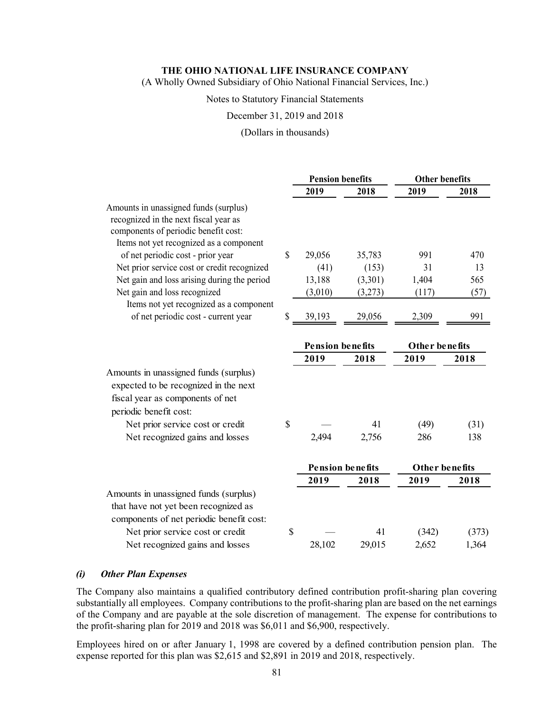(A Wholly Owned Subsidiary of Ohio National Financial Services, Inc.)

#### Notes to Statutory Financial Statements

#### December 31, 2019 and 2018

#### (Dollars in thousands)

|                                                                                                                                                                   | <b>Pension benefits</b> |         |                | <b>Other benefits</b> |  |  |
|-------------------------------------------------------------------------------------------------------------------------------------------------------------------|-------------------------|---------|----------------|-----------------------|--|--|
|                                                                                                                                                                   | 2019                    | 2018    | 2019           | 2018                  |  |  |
| Amounts in unassigned funds (surplus)<br>recognized in the next fiscal year as<br>components of periodic benefit cost:<br>Items not yet recognized as a component |                         |         |                |                       |  |  |
| of net periodic cost - prior year                                                                                                                                 | \$<br>29,056            | 35,783  | 991            | 470                   |  |  |
| Net prior service cost or credit recognized                                                                                                                       | (41)                    | (153)   | 31             | 13                    |  |  |
| Net gain and loss arising during the period                                                                                                                       | 13,188                  | (3,301) | 1,404          | 565                   |  |  |
| Net gain and loss recognized                                                                                                                                      | (3,010)                 | (3,273) | (117)          | (57)                  |  |  |
| Items not yet recognized as a component<br>of net periodic cost - current year                                                                                    | \$<br>39,193            | 29,056  | 2,309          | 991                   |  |  |
|                                                                                                                                                                   | <b>Pension benefits</b> |         | Other benefits |                       |  |  |
|                                                                                                                                                                   | 2019                    | 2018    | 2019           | 2018                  |  |  |
| Amounts in unassigned funds (surplus)<br>expected to be recognized in the next<br>fiscal year as components of net<br>periodic benefit cost:                      |                         |         |                |                       |  |  |
| Net prior service cost or credit                                                                                                                                  | \$                      | 41      | (49)           | (31)                  |  |  |
| Net recognized gains and losses                                                                                                                                   | 2,494                   | 2,756   | 286            | 138                   |  |  |
|                                                                                                                                                                   | <b>Pension benefits</b> |         | Other benefits |                       |  |  |
|                                                                                                                                                                   | 2019                    | 2018    | 2019           | 2018                  |  |  |
| Amounts in unassigned funds (surplus)<br>that have not yet been recognized as<br>components of net periodic benefit cost:                                         |                         |         |                |                       |  |  |
| Net prior service cost or credit                                                                                                                                  | \$                      | 41      | (342)          | (373)                 |  |  |
| Net recognized gains and losses                                                                                                                                   | 28,102                  | 29,015  | 2,652          | 1,364                 |  |  |

#### *(i) Other Plan Expenses*

The Company also maintains a qualified contributory defined contribution profit-sharing plan covering substantially all employees. Company contributions to the profit-sharing plan are based on the net earnings of the Company and are payable at the sole discretion of management. The expense for contributions to the profit-sharing plan for 2019 and 2018 was \$6,011 and \$6,900, respectively.

Employees hired on or after January 1, 1998 are covered by a defined contribution pension plan. The expense reported for this plan was \$2,615 and \$2,891 in 2019 and 2018, respectively.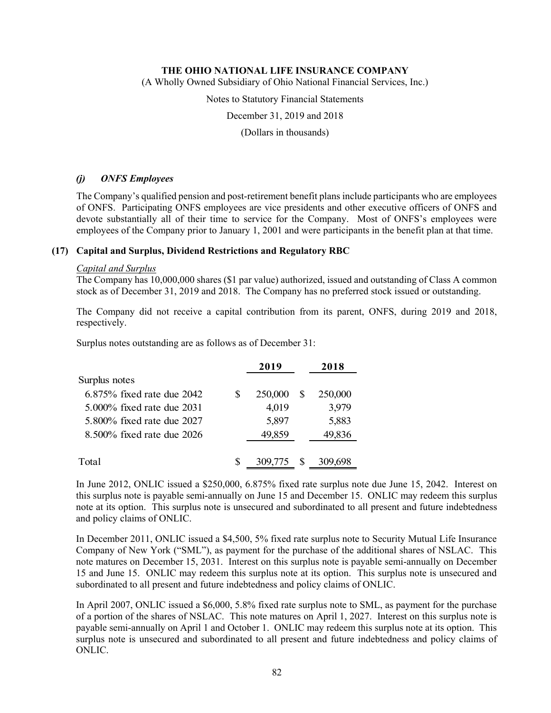(A Wholly Owned Subsidiary of Ohio National Financial Services, Inc.)

Notes to Statutory Financial Statements

December 31, 2019 and 2018

(Dollars in thousands)

# *(j) ONFS Employees*

The Company's qualified pension and post-retirement benefit plans include participants who are employees of ONFS. Participating ONFS employees are vice presidents and other executive officers of ONFS and devote substantially all of their time to service for the Company. Most of ONFS's employees were employees of the Company prior to January 1, 2001 and were participants in the benefit plan at that time.

### **(17) Capital and Surplus, Dividend Restrictions and Regulatory RBC**

#### *Capital and Surplus*

The Company has 10,000,000 shares (\$1 par value) authorized, issued and outstanding of Class A common stock as of December 31, 2019 and 2018. The Company has no preferred stock issued or outstanding.

The Company did not receive a capital contribution from its parent, ONFS, during 2019 and 2018, respectively.

Surplus notes outstanding are as follows as of December 31:

|                                 |   | 2019    |   | 2018    |
|---------------------------------|---|---------|---|---------|
| Surplus notes                   |   |         |   |         |
| $6.875\%$ fixed rate due $2042$ |   | 250,000 |   | 250,000 |
| $5.000\%$ fixed rate due 2031   |   | 4,019   |   | 3,979   |
| 5.800% fixed rate due 2027      |   | 5,897   |   | 5,883   |
| $8.500\%$ fixed rate due 2026   |   | 49,859  |   | 49,836  |
|                                 |   |         |   |         |
| Total                           | S | 309,775 | S | 309,698 |
|                                 |   |         |   |         |

In June 2012, ONLIC issued a \$250,000, 6.875% fixed rate surplus note due June 15, 2042. Interest on this surplus note is payable semi-annually on June 15 and December 15. ONLIC may redeem this surplus note at its option. This surplus note is unsecured and subordinated to all present and future indebtedness and policy claims of ONLIC.

In December 2011, ONLIC issued a \$4,500, 5% fixed rate surplus note to Security Mutual Life Insurance Company of New York ("SML"), as payment for the purchase of the additional shares of NSLAC. This note matures on December 15, 2031. Interest on this surplus note is payable semi-annually on December 15 and June 15. ONLIC may redeem this surplus note at its option. This surplus note is unsecured and subordinated to all present and future indebtedness and policy claims of ONLIC.

In April 2007, ONLIC issued a \$6,000, 5.8% fixed rate surplus note to SML, as payment for the purchase of a portion of the shares of NSLAC. This note matures on April 1, 2027. Interest on this surplus note is payable semi-annually on April 1 and October 1. ONLIC may redeem this surplus note at its option. This surplus note is unsecured and subordinated to all present and future indebtedness and policy claims of ONLIC.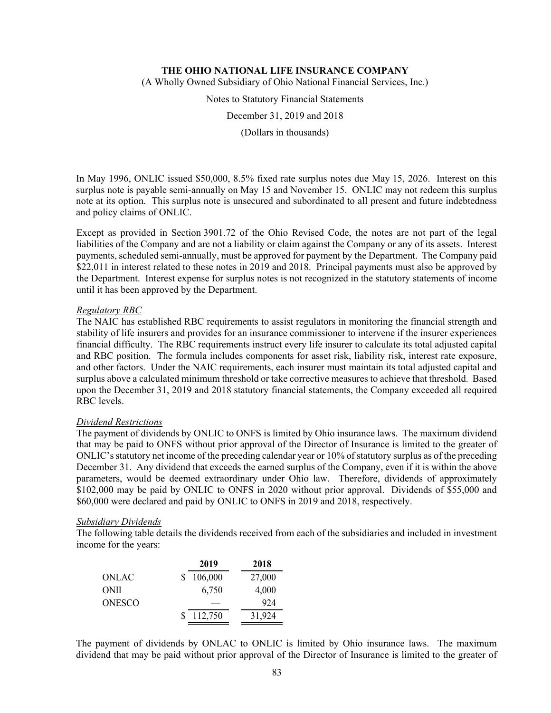(A Wholly Owned Subsidiary of Ohio National Financial Services, Inc.)

Notes to Statutory Financial Statements

December 31, 2019 and 2018

(Dollars in thousands)

In May 1996, ONLIC issued \$50,000, 8.5% fixed rate surplus notes due May 15, 2026. Interest on this surplus note is payable semi-annually on May 15 and November 15. ONLIC may not redeem this surplus note at its option. This surplus note is unsecured and subordinated to all present and future indebtedness and policy claims of ONLIC.

Except as provided in Section 3901.72 of the Ohio Revised Code, the notes are not part of the legal liabilities of the Company and are not a liability or claim against the Company or any of its assets. Interest payments, scheduled semi-annually, must be approved for payment by the Department. The Company paid \$22,011 in interest related to these notes in 2019 and 2018. Principal payments must also be approved by the Department. Interest expense for surplus notes is not recognized in the statutory statements of income until it has been approved by the Department.

#### *Regulatory RBC*

The NAIC has established RBC requirements to assist regulators in monitoring the financial strength and stability of life insurers and provides for an insurance commissioner to intervene if the insurer experiences financial difficulty. The RBC requirements instruct every life insurer to calculate its total adjusted capital and RBC position. The formula includes components for asset risk, liability risk, interest rate exposure, and other factors. Under the NAIC requirements, each insurer must maintain its total adjusted capital and surplus above a calculated minimum threshold or take corrective measures to achieve that threshold. Based upon the December 31, 2019 and 2018 statutory financial statements, the Company exceeded all required RBC levels.

#### *Dividend Restrictions*

The payment of dividends by ONLIC to ONFS is limited by Ohio insurance laws. The maximum dividend that may be paid to ONFS without prior approval of the Director of Insurance is limited to the greater of ONLIC's statutory net income of the preceding calendar year or 10% of statutory surplus as of the preceding December 31. Any dividend that exceeds the earned surplus of the Company, even if it is within the above parameters, would be deemed extraordinary under Ohio law. Therefore, dividends of approximately \$102,000 may be paid by ONLIC to ONFS in 2020 without prior approval. Dividends of \$55,000 and \$60,000 were declared and paid by ONLIC to ONFS in 2019 and 2018, respectively.

#### *Subsidiary Dividends*

The following table details the dividends received from each of the subsidiaries and included in investment income for the years:

|               | 2019    | 2018   |
|---------------|---------|--------|
| ONLAC         | 106,000 | 27,000 |
| ONII          | 6,750   | 4,000  |
| <b>ONESCO</b> |         | 924    |
|               | 112,750 | 31,924 |

The payment of dividends by ONLAC to ONLIC is limited by Ohio insurance laws. The maximum dividend that may be paid without prior approval of the Director of Insurance is limited to the greater of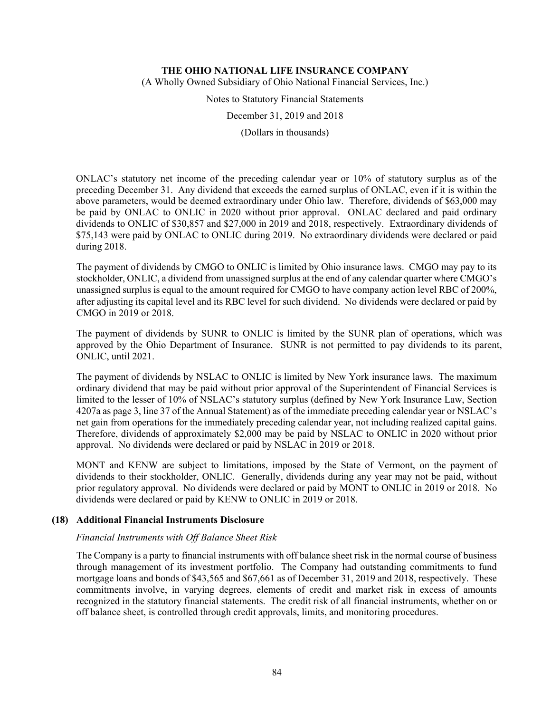(A Wholly Owned Subsidiary of Ohio National Financial Services, Inc.)

Notes to Statutory Financial Statements

December 31, 2019 and 2018

(Dollars in thousands)

ONLAC's statutory net income of the preceding calendar year or 10% of statutory surplus as of the preceding December 31. Any dividend that exceeds the earned surplus of ONLAC, even if it is within the above parameters, would be deemed extraordinary under Ohio law. Therefore, dividends of \$63,000 may be paid by ONLAC to ONLIC in 2020 without prior approval. ONLAC declared and paid ordinary dividends to ONLIC of \$30,857 and \$27,000 in 2019 and 2018, respectively. Extraordinary dividends of \$75,143 were paid by ONLAC to ONLIC during 2019. No extraordinary dividends were declared or paid during 2018.

The payment of dividends by CMGO to ONLIC is limited by Ohio insurance laws. CMGO may pay to its stockholder, ONLIC, a dividend from unassigned surplus at the end of any calendar quarter where CMGO's unassigned surplus is equal to the amount required for CMGO to have company action level RBC of 200%, after adjusting its capital level and its RBC level for such dividend. No dividends were declared or paid by CMGO in 2019 or 2018.

The payment of dividends by SUNR to ONLIC is limited by the SUNR plan of operations, which was approved by the Ohio Department of Insurance. SUNR is not permitted to pay dividends to its parent, ONLIC, until 2021.

The payment of dividends by NSLAC to ONLIC is limited by New York insurance laws. The maximum ordinary dividend that may be paid without prior approval of the Superintendent of Financial Services is limited to the lesser of 10% of NSLAC's statutory surplus (defined by New York Insurance Law, Section 4207a as page 3, line 37 of the Annual Statement) as of the immediate preceding calendar year or NSLAC's net gain from operations for the immediately preceding calendar year, not including realized capital gains. Therefore, dividends of approximately \$2,000 may be paid by NSLAC to ONLIC in 2020 without prior approval. No dividends were declared or paid by NSLAC in 2019 or 2018.

MONT and KENW are subject to limitations, imposed by the State of Vermont, on the payment of dividends to their stockholder, ONLIC. Generally, dividends during any year may not be paid, without prior regulatory approval. No dividends were declared or paid by MONT to ONLIC in 2019 or 2018. No dividends were declared or paid by KENW to ONLIC in 2019 or 2018.

# **(18) Additional Financial Instruments Disclosure**

#### *Financial Instruments with Off Balance Sheet Risk*

The Company is a party to financial instruments with off balance sheet risk in the normal course of business through management of its investment portfolio. The Company had outstanding commitments to fund mortgage loans and bonds of \$43,565 and \$67,661 as of December 31, 2019 and 2018, respectively. These commitments involve, in varying degrees, elements of credit and market risk in excess of amounts recognized in the statutory financial statements. The credit risk of all financial instruments, whether on or off balance sheet, is controlled through credit approvals, limits, and monitoring procedures.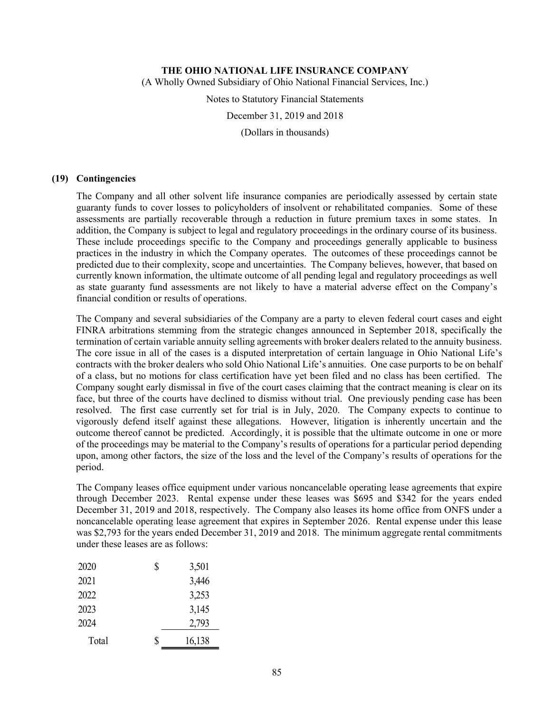(A Wholly Owned Subsidiary of Ohio National Financial Services, Inc.)

Notes to Statutory Financial Statements

December 31, 2019 and 2018

(Dollars in thousands)

### **(19) Contingencies**

The Company and all other solvent life insurance companies are periodically assessed by certain state guaranty funds to cover losses to policyholders of insolvent or rehabilitated companies. Some of these assessments are partially recoverable through a reduction in future premium taxes in some states. In addition, the Company is subject to legal and regulatory proceedings in the ordinary course of its business. These include proceedings specific to the Company and proceedings generally applicable to business practices in the industry in which the Company operates. The outcomes of these proceedings cannot be predicted due to their complexity, scope and uncertainties. The Company believes, however, that based on currently known information, the ultimate outcome of all pending legal and regulatory proceedings as well as state guaranty fund assessments are not likely to have a material adverse effect on the Company's financial condition or results of operations.

The Company and several subsidiaries of the Company are a party to eleven federal court cases and eight FINRA arbitrations stemming from the strategic changes announced in September 2018, specifically the termination of certain variable annuity selling agreements with broker dealers related to the annuity business. The core issue in all of the cases is a disputed interpretation of certain language in Ohio National Life's contracts with the broker dealers who sold Ohio National Life's annuities. One case purports to be on behalf of a class, but no motions for class certification have yet been filed and no class has been certified. The Company sought early dismissal in five of the court cases claiming that the contract meaning is clear on its face, but three of the courts have declined to dismiss without trial. One previously pending case has been resolved. The first case currently set for trial is in July, 2020. The Company expects to continue to vigorously defend itself against these allegations. However, litigation is inherently uncertain and the outcome thereof cannot be predicted. Accordingly, it is possible that the ultimate outcome in one or more of the proceedings may be material to the Company's results of operations for a particular period depending upon, among other factors, the size of the loss and the level of the Company's results of operations for the period.

The Company leases office equipment under various noncancelable operating lease agreements that expire through December 2023. Rental expense under these leases was \$695 and \$342 for the years ended December 31, 2019 and 2018, respectively. The Company also leases its home office from ONFS under a noncancelable operating lease agreement that expires in September 2026. Rental expense under this lease was \$2,793 for the years ended December 31, 2019 and 2018. The minimum aggregate rental commitments under these leases are as follows:

| 2020  | \$<br>3,501  |
|-------|--------------|
| 2021  | 3,446        |
| 2022  | 3,253        |
| 2023  | 3,145        |
| 2024  | 2,793        |
| Total | \$<br>16,138 |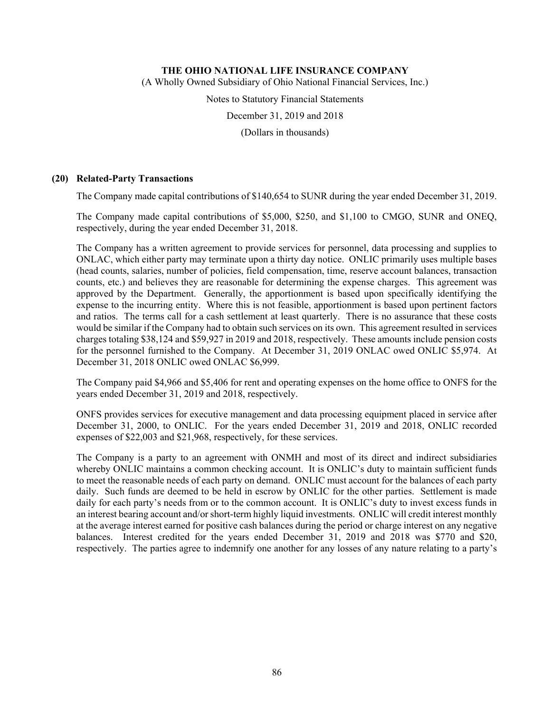(A Wholly Owned Subsidiary of Ohio National Financial Services, Inc.)

Notes to Statutory Financial Statements

December 31, 2019 and 2018

(Dollars in thousands)

### **(20) Related-Party Transactions**

The Company made capital contributions of \$140,654 to SUNR during the year ended December 31, 2019.

The Company made capital contributions of \$5,000, \$250, and \$1,100 to CMGO, SUNR and ONEQ, respectively, during the year ended December 31, 2018.

The Company has a written agreement to provide services for personnel, data processing and supplies to ONLAC, which either party may terminate upon a thirty day notice. ONLIC primarily uses multiple bases (head counts, salaries, number of policies, field compensation, time, reserve account balances, transaction counts, etc.) and believes they are reasonable for determining the expense charges. This agreement was approved by the Department. Generally, the apportionment is based upon specifically identifying the expense to the incurring entity. Where this is not feasible, apportionment is based upon pertinent factors and ratios. The terms call for a cash settlement at least quarterly. There is no assurance that these costs would be similar if the Company had to obtain such services on its own. This agreement resulted in services charges totaling \$38,124 and \$59,927 in 2019 and 2018, respectively. These amounts include pension costs for the personnel furnished to the Company. At December 31, 2019 ONLAC owed ONLIC \$5,974. At December 31, 2018 ONLIC owed ONLAC \$6,999.

The Company paid \$4,966 and \$5,406 for rent and operating expenses on the home office to ONFS for the years ended December 31, 2019 and 2018, respectively.

ONFS provides services for executive management and data processing equipment placed in service after December 31, 2000, to ONLIC. For the years ended December 31, 2019 and 2018, ONLIC recorded expenses of \$22,003 and \$21,968, respectively, for these services.

The Company is a party to an agreement with ONMH and most of its direct and indirect subsidiaries whereby ONLIC maintains a common checking account. It is ONLIC's duty to maintain sufficient funds to meet the reasonable needs of each party on demand. ONLIC must account for the balances of each party daily. Such funds are deemed to be held in escrow by ONLIC for the other parties. Settlement is made daily for each party's needs from or to the common account. It is ONLIC's duty to invest excess funds in an interest bearing account and/or short-term highly liquid investments. ONLIC will credit interest monthly at the average interest earned for positive cash balances during the period or charge interest on any negative balances. Interest credited for the years ended December 31, 2019 and 2018 was \$770 and \$20, respectively. The parties agree to indemnify one another for any losses of any nature relating to a party's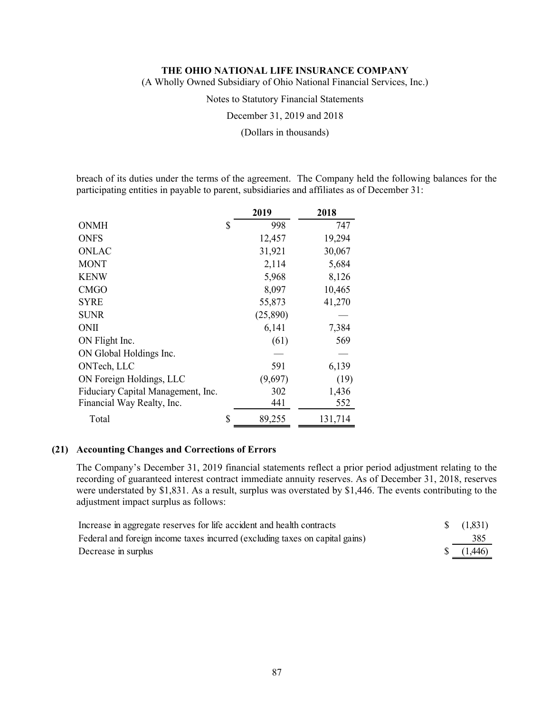(A Wholly Owned Subsidiary of Ohio National Financial Services, Inc.)

Notes to Statutory Financial Statements

December 31, 2019 and 2018

(Dollars in thousands)

breach of its duties under the terms of the agreement. The Company held the following balances for the participating entities in payable to parent, subsidiaries and affiliates as of December 31:

|                                    | 2019         | 2018    |
|------------------------------------|--------------|---------|
| <b>ONMH</b>                        | \$<br>998    | 747     |
| <b>ONFS</b>                        | 12,457       | 19,294  |
| <b>ONLAC</b>                       | 31,921       | 30,067  |
| <b>MONT</b>                        | 2,114        | 5,684   |
| <b>KENW</b>                        | 5,968        | 8,126   |
| <b>CMGO</b>                        | 8,097        | 10,465  |
| <b>SYRE</b>                        | 55,873       | 41,270  |
| <b>SUNR</b>                        | (25,890)     |         |
| ONII                               | 6,141        | 7,384   |
| ON Flight Inc.                     | (61)         | 569     |
| ON Global Holdings Inc.            |              |         |
| ONTech, LLC                        | 591          | 6,139   |
| ON Foreign Holdings, LLC           | (9,697)      | (19)    |
| Fiduciary Capital Management, Inc. | 302          | 1,436   |
| Financial Way Realty, Inc.         | 441          | 552     |
| Total                              | \$<br>89,255 | 131,714 |

#### **(21) Accounting Changes and Corrections of Errors**

The Company's December 31, 2019 financial statements reflect a prior period adjustment relating to the recording of guaranteed interest contract immediate annuity reserves. As of December 31, 2018, reserves were understated by \$1,831. As a result, surplus was overstated by \$1,446. The events contributing to the adjustment impact surplus as follows:

| Increase in aggregate reserves for life accident and health contracts        | $\{(1,831)\}$ |
|------------------------------------------------------------------------------|---------------|
| Federal and foreign income taxes incurred (excluding taxes on capital gains) | 385           |
| Decrease in surplus                                                          | (1,446)       |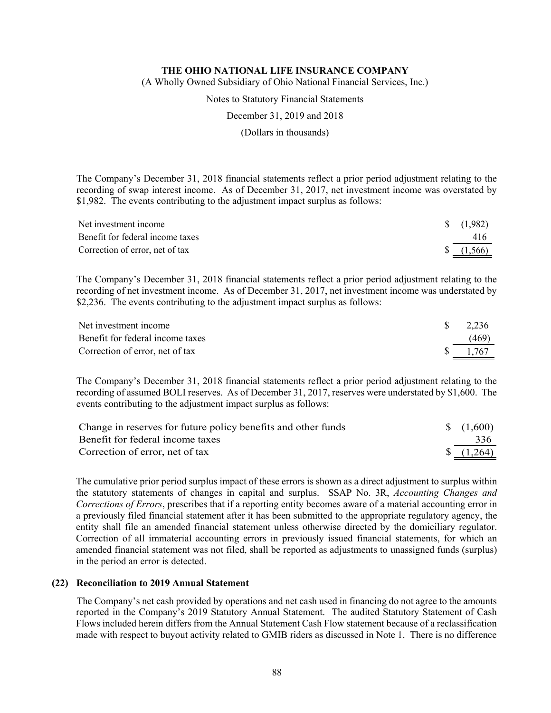(A Wholly Owned Subsidiary of Ohio National Financial Services, Inc.)

Notes to Statutory Financial Statements

December 31, 2019 and 2018

(Dollars in thousands)

The Company's December 31, 2018 financial statements reflect a prior period adjustment relating to the recording of swap interest income. As of December 31, 2017, net investment income was overstated by \$1,982. The events contributing to the adjustment impact surplus as follows:

| Net investment income            | $\frac{1}{982}$ |
|----------------------------------|-----------------|
| Benefit for federal income taxes | 416             |
| Correction of error, net of tax  | (1, 566)        |

The Company's December 31, 2018 financial statements reflect a prior period adjustment relating to the recording of net investment income. As of December 31, 2017, net investment income was understated by \$2,236. The events contributing to the adjustment impact surplus as follows:

| Net investment income            | 2,236 |
|----------------------------------|-------|
| Benefit for federal income taxes | (469) |
| Correction of error, net of tax  | 1.767 |

The Company's December 31, 2018 financial statements reflect a prior period adjustment relating to the recording of assumed BOLI reserves. As of December 31, 2017, reserves were understated by \$1,600. The events contributing to the adjustment impact surplus as follows:

| Change in reserves for future policy benefits and other funds | $\frac{1}{600}$   |
|---------------------------------------------------------------|-------------------|
| Benefit for federal income taxes                              | 336               |
| Correction of error, net of tax                               | $\frac{1,264}{ }$ |

The cumulative prior period surplus impact of these errors is shown as a direct adjustment to surplus within the statutory statements of changes in capital and surplus. SSAP No. 3R, *Accounting Changes and Corrections of Errors*, prescribes that if a reporting entity becomes aware of a material accounting error in a previously filed financial statement after it has been submitted to the appropriate regulatory agency, the entity shall file an amended financial statement unless otherwise directed by the domiciliary regulator. Correction of all immaterial accounting errors in previously issued financial statements, for which an amended financial statement was not filed, shall be reported as adjustments to unassigned funds (surplus) in the period an error is detected.

#### **(22) Reconciliation to 2019 Annual Statement**

The Company's net cash provided by operations and net cash used in financing do not agree to the amounts reported in the Company's 2019 Statutory Annual Statement. The audited Statutory Statement of Cash Flows included herein differs from the Annual Statement Cash Flow statement because of a reclassification made with respect to buyout activity related to GMIB riders as discussed in Note 1. There is no difference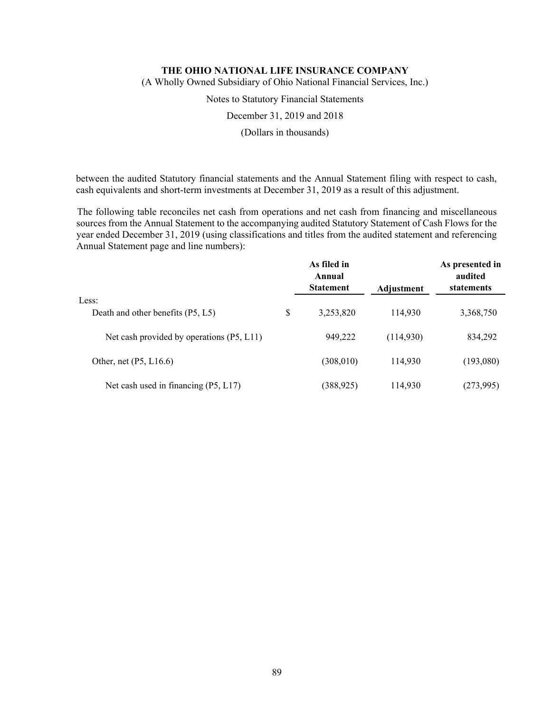(A Wholly Owned Subsidiary of Ohio National Financial Services, Inc.)

Notes to Statutory Financial Statements

December 31, 2019 and 2018

(Dollars in thousands)

between the audited Statutory financial statements and the Annual Statement filing with respect to cash, cash equivalents and short-term investments at December 31, 2019 as a result of this adjustment.

The following table reconciles net cash from operations and net cash from financing and miscellaneous sources from the Annual Statement to the accompanying audited Statutory Statement of Cash Flows for the year ended December 31, 2019 (using classifications and titles from the audited statement and referencing Annual Statement page and line numbers):

|                                           | As filed in<br>Annual<br><b>Statement</b> | Adjustment | As presented in<br>audited<br>statements |
|-------------------------------------------|-------------------------------------------|------------|------------------------------------------|
| Less:                                     |                                           |            |                                          |
| Death and other benefits (P5, L5)         | \$<br>3,253,820                           | 114,930    | 3,368,750                                |
|                                           |                                           |            |                                          |
| Net cash provided by operations (P5, L11) | 949,222                                   | (114,930)  | 834,292                                  |
| Other, net $(P5, L16.6)$                  | (308, 010)                                | 114,930    | (193,080)                                |
|                                           |                                           |            |                                          |
| Net cash used in financing (P5, L17)      | (388, 925)                                | 114,930    | (273,995)                                |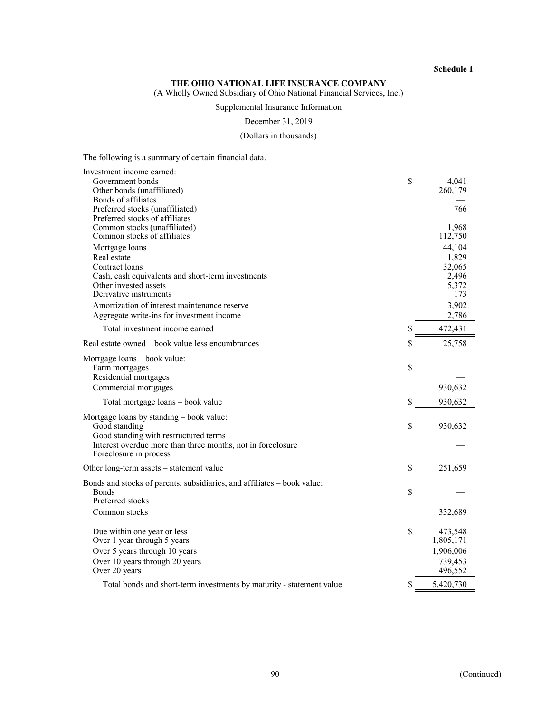#### **THE OHIO NATIONAL LIFE INSURANCE COMPANY**

(A Wholly Owned Subsidiary of Ohio National Financial Services, Inc.)

# Supplemental Insurance Information

December 31, 2019

#### (Dollars in thousands)

The following is a summary of certain financial data.

| Investment income earned:                                               |              |           |
|-------------------------------------------------------------------------|--------------|-----------|
| Government bonds                                                        | \$           | 4,041     |
| Other bonds (unaffiliated)                                              |              | 260,179   |
| Bonds of affiliates                                                     |              |           |
| Preferred stocks (unaffiliated)                                         |              | 766       |
| Preferred stocks of affiliates                                          |              |           |
| Common stocks (unaffiliated)                                            |              | 1,968     |
| Common stocks of affiliates                                             |              | 112,750   |
| Mortgage loans                                                          |              | 44,104    |
| Real estate                                                             |              | 1,829     |
| Contract loans                                                          |              | 32,065    |
| Cash, cash equivalents and short-term investments                       |              | 2,496     |
| Other invested assets                                                   |              | 5,372     |
| Derivative instruments                                                  |              | 173       |
| Amortization of interest maintenance reserve                            |              | 3,902     |
| Aggregate write-ins for investment income                               |              | 2,786     |
|                                                                         |              |           |
| Total investment income earned                                          | \$           | 472,431   |
| Real estate owned – book value less encumbrances                        | \$           | 25,758    |
| Mortgage loans - book value:                                            |              |           |
| Farm mortgages                                                          | \$           |           |
| Residential mortgages                                                   |              |           |
| Commercial mortgages                                                    |              | 930,632   |
| Total mortgage loans - book value                                       | \$           | 930,632   |
| Mortgage loans by standing - book value:                                |              |           |
| Good standing                                                           | \$           | 930,632   |
| Good standing with restructured terms                                   |              |           |
| Interest overdue more than three months, not in foreclosure             |              |           |
| Foreclosure in process                                                  |              |           |
|                                                                         |              |           |
| Other long-term assets – statement value                                | $\mathbb{S}$ | 251,659   |
| Bonds and stocks of parents, subsidiaries, and affiliates – book value: |              |           |
| <b>Bonds</b>                                                            | \$           |           |
| Preferred stocks                                                        |              |           |
| Common stocks                                                           |              | 332,689   |
|                                                                         |              |           |
| Due within one year or less                                             | \$           | 473,548   |
| Over 1 year through 5 years                                             |              | 1,805,171 |
| Over 5 years through 10 years                                           |              | 1,906,006 |
|                                                                         |              |           |
| Over 10 years through 20 years                                          |              | 739,453   |
| Over 20 years                                                           |              | 496,552   |
| Total bonds and short-term investments by maturity - statement value    |              | 5,420,730 |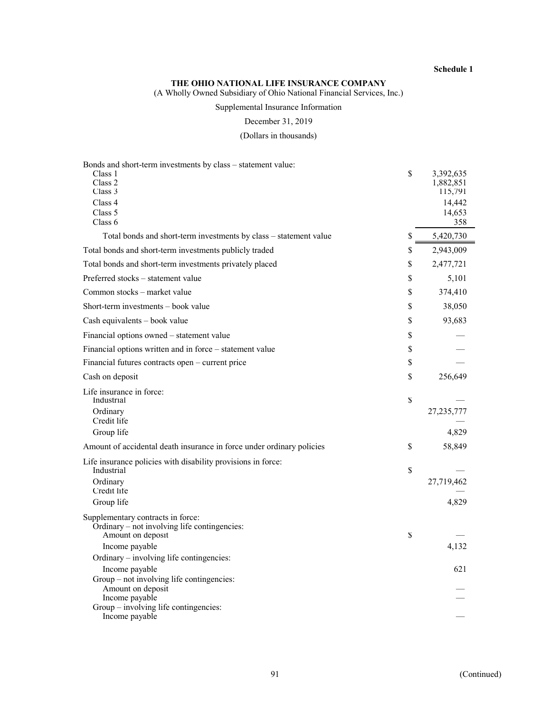#### **THE OHIO NATIONAL LIFE INSURANCE COMPANY**

(A Wholly Owned Subsidiary of Ohio National Financial Services, Inc.)

# Supplemental Insurance Information

December 31, 2019

(Dollars in thousands)

| Bonds and short-term investments by class - statement value:          |                              |
|-----------------------------------------------------------------------|------------------------------|
| Class 1<br>Class 2                                                    | \$<br>3,392,635<br>1,882,851 |
| Class 3                                                               | 115,791                      |
| Class 4                                                               | 14,442                       |
| Class 5                                                               | 14,653                       |
| Class 6                                                               | 358                          |
| Total bonds and short-term investments by class - statement value     | \$<br>5,420,730              |
| Total bonds and short-term investments publicly traded                | \$<br>2,943,009              |
| Total bonds and short-term investments privately placed               | \$<br>2,477,721              |
| Preferred stocks – statement value                                    | \$<br>5,101                  |
| Common stocks – market value                                          | \$<br>374,410                |
| Short-term investments – book value                                   | \$<br>38,050                 |
| Cash equivalents - book value                                         | \$<br>93,683                 |
| Financial options owned - statement value                             | \$                           |
| Financial options written and in force - statement value              | \$                           |
| Financial futures contracts open - current price                      | \$                           |
| Cash on deposit                                                       | \$<br>256,649                |
| Life insurance in force:                                              |                              |
| Industrial                                                            | \$                           |
| Ordinary<br>Credit life                                               | 27,235,777                   |
| Group life                                                            | 4,829                        |
| Amount of accidental death insurance in force under ordinary policies | \$<br>58,849                 |
| Life insurance policies with disability provisions in force:          |                              |
| Industrial                                                            | \$                           |
| Ordinary<br>Credit life                                               | 27,719,462                   |
| Group life                                                            | 4,829                        |
| Supplementary contracts in force:                                     |                              |
| Ordinary – not involving life contingencies:                          |                              |
| Amount on deposit                                                     | \$                           |
| Income payable                                                        | 4,132                        |
| Ordinary - involving life contingencies:                              |                              |
| Income payable                                                        | 621                          |
| Group – not involving life contingencies:<br>Amount on deposit        |                              |
| Income payable                                                        |                              |
| Group – involving life contingencies:                                 |                              |
| Income payable                                                        |                              |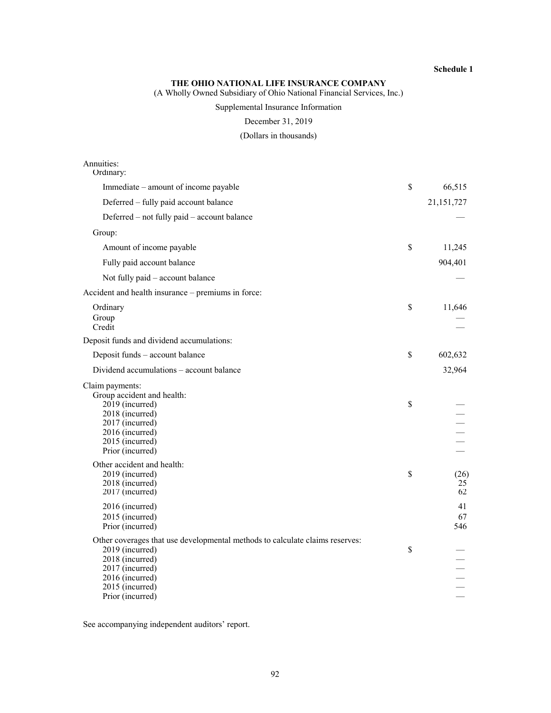#### **THE OHIO NATIONAL LIFE INSURANCE COMPANY**

(A Wholly Owned Subsidiary of Ohio National Financial Services, Inc.)

# Supplemental Insurance Information

December 31, 2019

(Dollars in thousands)

| Annuities:<br>Ordinary:                                                                                                                                                                         |               |                  |
|-------------------------------------------------------------------------------------------------------------------------------------------------------------------------------------------------|---------------|------------------|
| Immediate – amount of income payable                                                                                                                                                            | $\mathcal{S}$ | 66,515           |
| Deferred - fully paid account balance                                                                                                                                                           |               | 21,151,727       |
| Deferred – not fully paid – account balance                                                                                                                                                     |               |                  |
| Group:                                                                                                                                                                                          |               |                  |
| Amount of income payable                                                                                                                                                                        | $\mathcal{S}$ | 11,245           |
| Fully paid account balance                                                                                                                                                                      |               | 904,401          |
| Not fully paid - account balance                                                                                                                                                                |               |                  |
| Accident and health insurance - premiums in force:                                                                                                                                              |               |                  |
| Ordinary<br>Group<br>Credit                                                                                                                                                                     | \$            | 11,646           |
| Deposit funds and dividend accumulations:                                                                                                                                                       |               |                  |
| Deposit funds - account balance                                                                                                                                                                 | \$            | 602,632          |
| Dividend accumulations - account balance                                                                                                                                                        |               | 32,964           |
| Claim payments:<br>Group accident and health:<br>2019 (incurred)<br>2018 (incurred)<br>2017 (incurred)<br>2016 (incurred)<br>2015 (incurred)<br>Prior (incurred)                                | \$            |                  |
| Other accident and health:<br>2019 (incurred)<br>2018 (incurred)<br>2017 (incurred)                                                                                                             | \$            | (26)<br>25<br>62 |
| 2016 (incurred)<br>2015 (incurred)<br>Prior (incurred)                                                                                                                                          |               | 41<br>67<br>546  |
| Other coverages that use developmental methods to calculate claims reserves:<br>2019 (incurred)<br>2018 (incurred)<br>2017 (incurred)<br>2016 (incurred)<br>2015 (incurred)<br>Prior (incurred) | \$            |                  |

See accompanying independent auditors' report.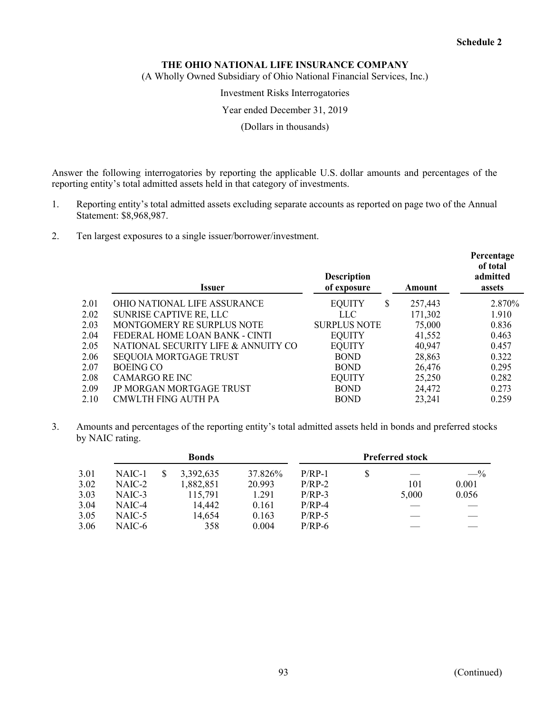(A Wholly Owned Subsidiary of Ohio National Financial Services, Inc.)

Investment Risks Interrogatories

Year ended December 31, 2019

(Dollars in thousands)

Answer the following interrogatories by reporting the applicable U.S. dollar amounts and percentages of the reporting entity's total admitted assets held in that category of investments.

- 1. Reporting entity's total admitted assets excluding separate accounts as reported on page two of the Annual Statement: \$8,968,987.
- 2. Ten largest exposures to a single issuer/borrower/investment.

|      | Issuer                              | <b>Description</b><br>of exposure | Amount  | Percentage<br>of total<br>admitted<br>assets |
|------|-------------------------------------|-----------------------------------|---------|----------------------------------------------|
| 2.01 | <b>OHIO NATIONAL LIFE ASSURANCE</b> | <b>EQUITY</b><br>\$               | 257,443 | 2.870\%                                      |
| 2.02 | <b>SUNRISE CAPTIVE RE, LLC</b>      | <b>LLC</b>                        | 171,302 | 1.910                                        |
| 2.03 | MONTGOMERY RE SURPLUS NOTE          | <b>SURPLUS NOTE</b>               | 75,000  | 0.836                                        |
| 2.04 | FEDERAL HOME LOAN BANK - CINTI      | <b>EQUITY</b>                     | 41,552  | 0.463                                        |
| 2.05 | NATIONAL SECURITY LIFE & ANNUITY CO | <b>EQUITY</b>                     | 40,947  | 0.457                                        |
| 2.06 | <b>SEQUOIA MORTGAGE TRUST</b>       | <b>BOND</b>                       | 28,863  | 0.322                                        |
| 2.07 | <b>BOEING CO</b>                    | <b>BOND</b>                       | 26,476  | 0.295                                        |
| 2.08 | <b>CAMARGO RE INC</b>               | <b>EQUITY</b>                     | 25,250  | 0.282                                        |
| 2.09 | JP MORGAN MORTGAGE TRUST            | <b>BOND</b>                       | 24,472  | 0.273                                        |
| 2.10 | CMWLTH FING AUTH PA                 | <b>BOND</b>                       | 23,241  | 0.259                                        |

3. Amounts and percentages of the reporting entity's total admitted assets held in bonds and preferred stocks by NAIC rating.

|      | <b>Bonds</b> |  |           | <b>Preferred stock</b> |          |  |       |       |
|------|--------------|--|-----------|------------------------|----------|--|-------|-------|
| 3.01 | NAIC-1       |  | 3,392,635 | 37.826%                | $P/RP-1$ |  |       | $-$ % |
| 3.02 | NAIC-2       |  | 1,882,851 | 20.993                 | $P/RP-2$ |  | 101   | 0.001 |
| 3.03 | NAIC-3       |  | 115,791   | 1.291                  | $P/RP-3$ |  | 5,000 | 0.056 |
| 3.04 | NAIC-4       |  | 14,442    | 0.161                  | $P/RP-4$ |  |       |       |
| 3.05 | NAIC-5       |  | 14,654    | 0.163                  | $P/RP-5$ |  |       |       |
| 3.06 | NAIC-6       |  | 358       | 0.004                  | $P/RP-6$ |  |       |       |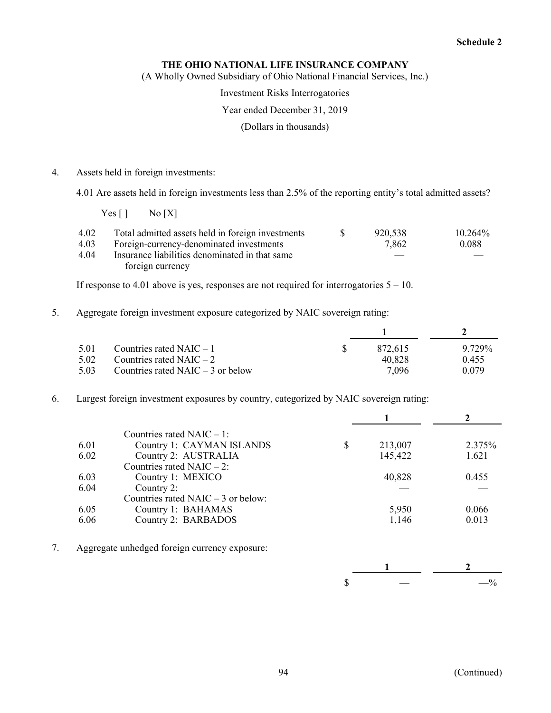(A Wholly Owned Subsidiary of Ohio National Financial Services, Inc.)

Investment Risks Interrogatories

#### Year ended December 31, 2019

(Dollars in thousands)

4. Assets held in foreign investments:

4.01 Are assets held in foreign investments less than 2.5% of the reporting entity's total admitted assets?

 $Yes [ ] No [X]$ 

| 4.02 | Total admitted assets held in foreign investments | 920,538 | $10.264\%$ |
|------|---------------------------------------------------|---------|------------|
| 4.03 | Foreign-currency-denominated investments          | 7,862   | 0.088      |
| 4.04 | Insurance liabilities denominated in that same    |         |            |
|      | foreign currency                                  |         |            |

If response to 4.01 above is yes, responses are not required for interrogatories 5 – 10.

5. Aggregate foreign investment exposure categorized by NAIC sovereign rating:

| 5.01 | Countries rated $NAIC - 1$          | 872.615 | 9.729% |
|------|-------------------------------------|---------|--------|
| 5.02 | Countries rated $NAIC - 2$          | 40.828  | 0.455  |
| 5.03 | Countries rated $NAIC - 3$ or below | 7.096   | 0.079  |

6. Largest foreign investment exposures by country, categorized by NAIC sovereign rating:

|      | Countries rated $NAIC - 1$ :        |               |        |
|------|-------------------------------------|---------------|--------|
| 6.01 | Country 1: CAYMAN ISLANDS           | \$<br>213,007 | 2.375% |
| 6.02 | Country 2: AUSTRALIA                | 145,422       | 1.621  |
|      | Countries rated NAIC $-2$ :         |               |        |
| 6.03 | Country 1: MEXICO                   | 40,828        | 0.455  |
| 6.04 | Country 2:                          |               |        |
|      | Countries rated NAIC $-3$ or below: |               |        |
| 6.05 | Country 1: BAHAMAS                  | 5,950         | 0.066  |
| 6.06 | Country 2: BARBADOS                 | 1,146         | 0.013  |
|      |                                     |               |        |

7. Aggregate unhedged foreign currency exposure:

|  | $-$ |
|--|-----|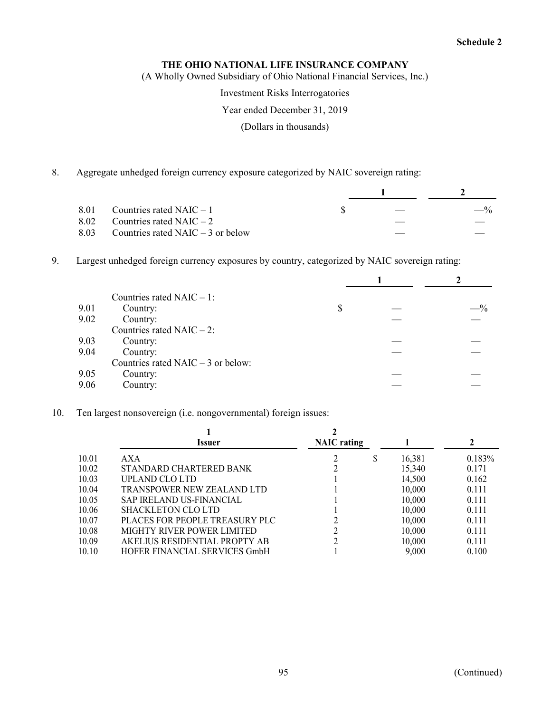(A Wholly Owned Subsidiary of Ohio National Financial Services, Inc.)

Investment Risks Interrogatories

#### Year ended December 31, 2019

(Dollars in thousands)

8. Aggregate unhedged foreign currency exposure categorized by NAIC sovereign rating:

| 8.01 | Countries rated $NAIC - 1$               | $\frac{1}{2}$ | $-$ % |
|------|------------------------------------------|---------------|-------|
|      | 8.02 Countries rated NAIC $-2$           |               |       |
|      | 8.03 Countries rated NAIC $-$ 3 or below |               |       |

9. Largest unhedged foreign currency exposures by country, categorized by NAIC sovereign rating:

|      | Countries rated $NAIC - 1$ :        |    |  |       |  |
|------|-------------------------------------|----|--|-------|--|
| 9.01 | Country:                            | \$ |  | $-$ % |  |
| 9.02 | Country:                            |    |  |       |  |
|      | Countries rated NAIC $-2$ :         |    |  |       |  |
| 9.03 | Country:                            |    |  |       |  |
| 9.04 | Country:                            |    |  |       |  |
|      | Countries rated NAIC $-3$ or below: |    |  |       |  |
| 9.05 | Country:                            |    |  |       |  |
| 9.06 | Country:                            |    |  |       |  |

10. Ten largest nonsovereign (i.e. nongovernmental) foreign issues:

|       | <i><u><b>Issuer</b></u></i>     | <b>NAIC</b> rating |   |        |        |
|-------|---------------------------------|--------------------|---|--------|--------|
| 10.01 | AXA                             |                    | S | 16,381 | 0.183% |
| 10.02 | STANDARD CHARTERED BANK         |                    |   | 15,340 | 0.171  |
| 10.03 | UPLAND CLO LTD                  |                    |   | 14,500 | 0.162  |
| 10.04 | TRANSPOWER NEW ZEALAND LTD      |                    |   | 10,000 | 0.111  |
| 10.05 | <b>SAP IRELAND US-FINANCIAL</b> |                    |   | 10,000 | 0.111  |
| 10.06 | <b>SHACKLETON CLO LTD</b>       |                    |   | 10,000 | 0.111  |
| 10.07 | PLACES FOR PEOPLE TREASURY PLC  |                    |   | 10,000 | 0.111  |
| 10.08 | MIGHTY RIVER POWER LIMITED      |                    |   | 10,000 | 0.111  |
| 10.09 | AKELIUS RESIDENTIAL PROPTY AB   |                    |   | 10,000 | 0.111  |
| 10.10 | HOFER FINANCIAL SERVICES GmbH   |                    |   | 9,000  | 0.100  |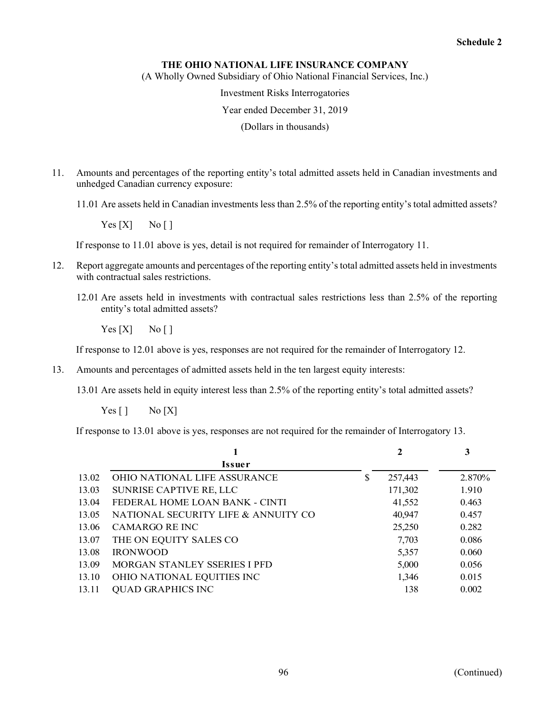(A Wholly Owned Subsidiary of Ohio National Financial Services, Inc.)

Investment Risks Interrogatories

#### Year ended December 31, 2019

(Dollars in thousands)

11. Amounts and percentages of the reporting entity's total admitted assets held in Canadian investments and unhedged Canadian currency exposure:

11.01 Are assets held in Canadian investments less than 2.5% of the reporting entity's total admitted assets?

 $Yes [X]$  No [ ]

If response to 11.01 above is yes, detail is not required for remainder of Interrogatory 11.

- 12. Report aggregate amounts and percentages of the reporting entity's total admitted assets held in investments with contractual sales restrictions.
	- 12.01 Are assets held in investments with contractual sales restrictions less than 2.5% of the reporting entity's total admitted assets?

 $Yes [X]$  No []

If response to 12.01 above is yes, responses are not required for the remainder of Interrogatory 12.

13. Amounts and percentages of admitted assets held in the ten largest equity interests:

13.01 Are assets held in equity interest less than 2.5% of the reporting entity's total admitted assets?

 $Yes [ ] No [ X ]$ 

If response to 13.01 above is yes, responses are not required for the remainder of Interrogatory 13.

|       | 1                                   | 2             | 3      |
|-------|-------------------------------------|---------------|--------|
|       | <b>Issuer</b>                       |               |        |
| 13.02 | <b>OHIO NATIONAL LIFE ASSURANCE</b> | \$<br>257,443 | 2.870% |
| 13.03 | SUNRISE CAPTIVE RE, LLC             | 171,302       | 1.910  |
| 13.04 | FEDERAL HOME LOAN BANK - CINTI      | 41,552        | 0.463  |
| 13.05 | NATIONAL SECURITY LIFE & ANNUITY CO | 40,947        | 0.457  |
| 13.06 | CAMARGO RE INC                      | 25,250        | 0.282  |
| 13.07 | THE ON EQUITY SALES CO              | 7,703         | 0.086  |
| 13.08 | <b>IRONWOOD</b>                     | 5,357         | 0.060  |
| 13.09 | MORGAN STANLEY SSERIES I PFD        | 5,000         | 0.056  |
| 13.10 | OHIO NATIONAL EQUITIES INC          | 1,346         | 0.015  |
| 13.11 | <b>QUAD GRAPHICS INC</b>            | 138           | 0.002  |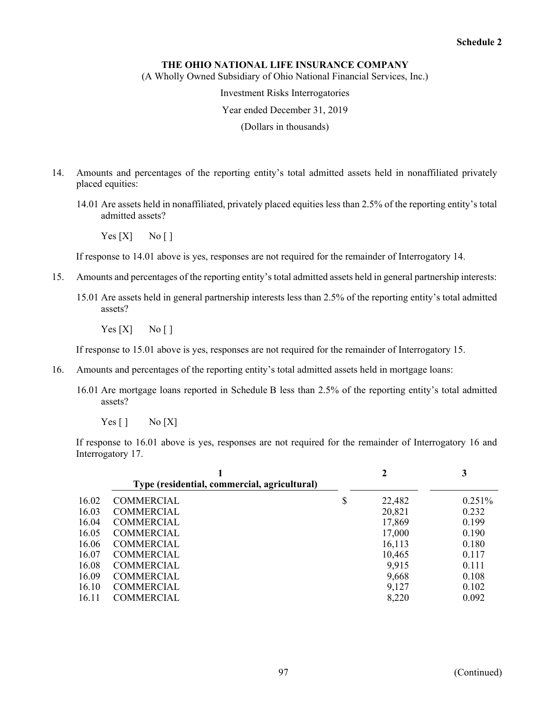(A Wholly Owned Subsidiary of Ohio National Financial Services, Inc.)

Investment Risks Interrogatories

Year ended December 31, 2019

(Dollars in thousands)

- 14. Amounts and percentages of the reporting entity's total admitted assets held in nonaffiliated privately placed equities:
	- 14.01 Are assets held in nonaffiliated, privately placed equities less than 2.5% of the reporting entity's total admitted assets?

 $Yes [X]$  No []

If response to 14.01 above is yes, responses are not required for the remainder of Interrogatory 14.

- 15. Amounts and percentages of the reporting entity's total admitted assets held in general partnership interests:
	- 15.01 Are assets held in general partnership interests less than 2.5% of the reporting entity's total admitted assets?

 $Yes [X]$  No []

If response to 15.01 above is yes, responses are not required for the remainder of Interrogatory 15.

- 16. Amounts and percentages of the reporting entity's total admitted assets held in mortgage loans:
	- 16.01 Are mortgage loans reported in Schedule B less than 2.5% of the reporting entity's total admitted assets?
		- $Yes [ ]$  No  $[X]$

If response to 16.01 above is yes, responses are not required for the remainder of Interrogatory 16 and Interrogatory 17.

|       | Type (residential, commercial, agricultural) | 2            | 3         |
|-------|----------------------------------------------|--------------|-----------|
| 16.02 | <b>COMMERCIAL</b>                            | \$<br>22,482 | $0.251\%$ |
| 16.03 | <b>COMMERCIAL</b>                            | 20,821       | 0.232     |
| 16.04 | <b>COMMERCIAL</b>                            | 17,869       | 0.199     |
| 16.05 | <b>COMMERCIAL</b>                            | 17,000       | 0.190     |
| 16.06 | <b>COMMERCIAL</b>                            | 16,113       | 0.180     |
| 16.07 | <b>COMMERCIAL</b>                            | 10,465       | 0.117     |
| 16.08 | <b>COMMERCIAL</b>                            | 9,915        | 0.111     |
| 16.09 | <b>COMMERCIAL</b>                            | 9,668        | 0.108     |
| 16.10 | <b>COMMERCIAL</b>                            | 9,127        | 0.102     |
| 16.11 | <b>COMMERCIAL</b>                            | 8,220        | 0.092     |
|       |                                              |              |           |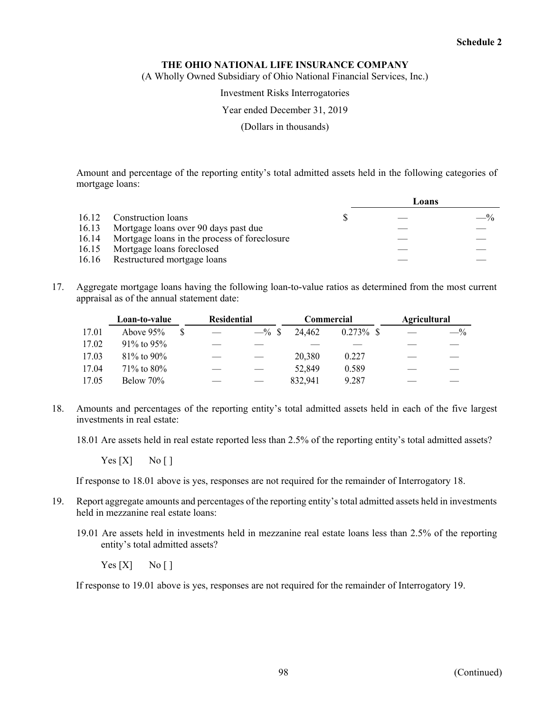(A Wholly Owned Subsidiary of Ohio National Financial Services, Inc.)

Investment Risks Interrogatories

Year ended December 31, 2019

(Dollars in thousands)

Amount and percentage of the reporting entity's total admitted assets held in the following categories of mortgage loans:

|  |                                                    | Loans |       |
|--|----------------------------------------------------|-------|-------|
|  | 16.12 Construction loans                           |       | $-$ % |
|  | 16.13 Mortgage loans over 90 days past due         |       |       |
|  | 16.14 Mortgage loans in the process of foreclosure |       |       |
|  | 16.15 Mortgage loans foreclosed                    |       |       |
|  | 16.16 Restructured mortgage loans                  |       |       |

17. Aggregate mortgage loans having the following loan-to-value ratios as determined from the most current appraisal as of the annual statement date:

|       | Loan-to-value    |  | <b>Residential</b> |          | Commercial |              | <b>Agricultural</b> |                 |
|-------|------------------|--|--------------------|----------|------------|--------------|---------------------|-----------------|
| 17.01 | Above $95%$      |  |                    | $-$ % \$ | 24.462     | $0.273\%$ \$ |                     | $- \frac{0}{0}$ |
| 17.02 | 91\% to 95\%     |  |                    |          |            |              |                     |                 |
| 17.03 | $81\%$ to 90%    |  |                    |          | 20,380     | 0.227        |                     |                 |
| 17.04 | $71\%$ to $80\%$ |  |                    |          | 52,849     | 0.589        |                     |                 |
| 17.05 | Below 70%        |  |                    |          | 832,941    | 9.287        |                     |                 |

18. Amounts and percentages of the reporting entity's total admitted assets held in each of the five largest investments in real estate:

18.01 Are assets held in real estate reported less than 2.5% of the reporting entity's total admitted assets?

 $Yes [X]$  No []

If response to 18.01 above is yes, responses are not required for the remainder of Interrogatory 18.

- 19. Report aggregate amounts and percentages of the reporting entity's total admitted assets held in investments held in mezzanine real estate loans:
	- 19.01 Are assets held in investments held in mezzanine real estate loans less than 2.5% of the reporting entity's total admitted assets?

 $Yes [X]$  No []

If response to 19.01 above is yes, responses are not required for the remainder of Interrogatory 19.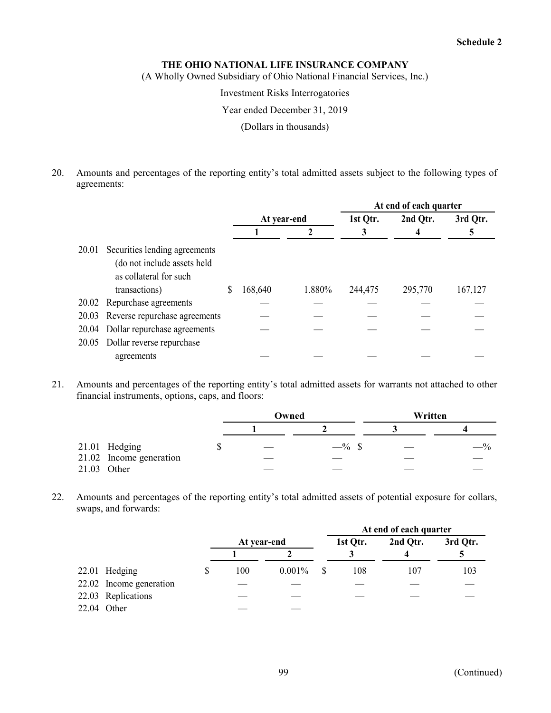(A Wholly Owned Subsidiary of Ohio National Financial Services, Inc.)

Investment Risks Interrogatories

#### Year ended December 31, 2019

(Dollars in thousands)

20. Amounts and percentages of the reporting entity's total admitted assets subject to the following types of agreements:

|       |                                                                                                         |             |        | At end of each quarter |          |          |  |  |  |
|-------|---------------------------------------------------------------------------------------------------------|-------------|--------|------------------------|----------|----------|--|--|--|
|       |                                                                                                         | At year-end |        | 1st Qtr.               | 2nd Qtr. | 3rd Qtr. |  |  |  |
|       |                                                                                                         |             |        |                        |          |          |  |  |  |
| 20.01 | Securities lending agreements<br>(do not include assets held<br>as collateral for such<br>transactions) | 168,640     | 1.880% | 244,475                | 295,770  | 167,127  |  |  |  |
| 20.02 | Repurchase agreements                                                                                   |             |        |                        |          |          |  |  |  |
| 20.03 | Reverse repurchase agreements                                                                           |             |        |                        |          |          |  |  |  |
| 20.04 | Dollar repurchase agreements                                                                            |             |        |                        |          |          |  |  |  |
| 20.05 | Dollar reverse repurchase<br>agreements                                                                 |             |        |                        |          |          |  |  |  |
|       |                                                                                                         |             |        |                        |          |          |  |  |  |

21. Amounts and percentages of the reporting entity's total admitted assets for warrants not attached to other financial instruments, options, caps, and floors:

|                         | Owned                                                                                                                                                                                                                                                                                                                                                                                                                                                                      |          | Written |       |  |
|-------------------------|----------------------------------------------------------------------------------------------------------------------------------------------------------------------------------------------------------------------------------------------------------------------------------------------------------------------------------------------------------------------------------------------------------------------------------------------------------------------------|----------|---------|-------|--|
|                         |                                                                                                                                                                                                                                                                                                                                                                                                                                                                            |          |         |       |  |
| 21.01 Hedging           | $\frac{1}{2} \left( \frac{1}{2} \right) \left( \frac{1}{2} \right) \left( \frac{1}{2} \right) \left( \frac{1}{2} \right) \left( \frac{1}{2} \right) \left( \frac{1}{2} \right) \left( \frac{1}{2} \right) \left( \frac{1}{2} \right) \left( \frac{1}{2} \right) \left( \frac{1}{2} \right) \left( \frac{1}{2} \right) \left( \frac{1}{2} \right) \left( \frac{1}{2} \right) \left( \frac{1}{2} \right) \left( \frac{1}{2} \right) \left( \frac{1}{2} \right) \left( \frac$ | $-$ % \$ |         | $-$ % |  |
| 21.02 Income generation | ___                                                                                                                                                                                                                                                                                                                                                                                                                                                                        |          |         |       |  |
| 21.03 Other             |                                                                                                                                                                                                                                                                                                                                                                                                                                                                            |          |         |       |  |

22. Amounts and percentages of the reporting entity's total admitted assets of potential exposure for collars, swaps, and forwards:

|                         |             |        |          | At end of each quarter |          |
|-------------------------|-------------|--------|----------|------------------------|----------|
|                         | At year-end |        | 1st Qtr. | 2nd Qtr.               | 3rd Qtr. |
|                         |             |        |          |                        |          |
| 22.01 Hedging           | 100         | 0.001% | 108      | 107                    | 103      |
| 22.02 Income generation |             |        |          |                        |          |
| 22.03 Replications      |             |        |          |                        |          |
| 22.04 Other             |             |        |          |                        |          |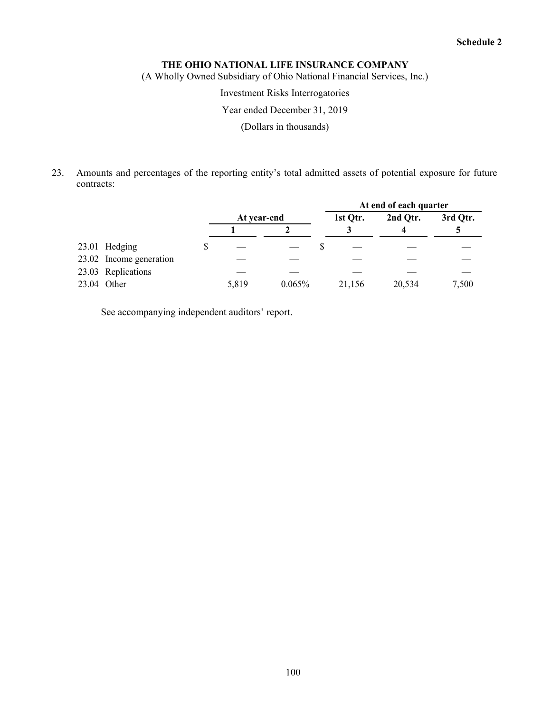(A Wholly Owned Subsidiary of Ohio National Financial Services, Inc.)

Investment Risks Interrogatories

Year ended December 31, 2019

(Dollars in thousands)

23. Amounts and percentages of the reporting entity's total admitted assets of potential exposure for future contracts:

|                         |             |        | At end of each quarter |          |          |  |
|-------------------------|-------------|--------|------------------------|----------|----------|--|
|                         | At year-end |        | 1st Qtr.               | 2nd Qtr. | 3rd Qtr. |  |
|                         |             |        |                        |          |          |  |
| 23.01 Hedging           |             |        |                        |          |          |  |
| 23.02 Income generation |             |        |                        |          |          |  |
| 23.03 Replications      |             |        |                        |          |          |  |
| 23.04 Other             | 5,819       | 0.065% | 21,156                 | 20,534   | 7,500    |  |

See accompanying independent auditors' report.